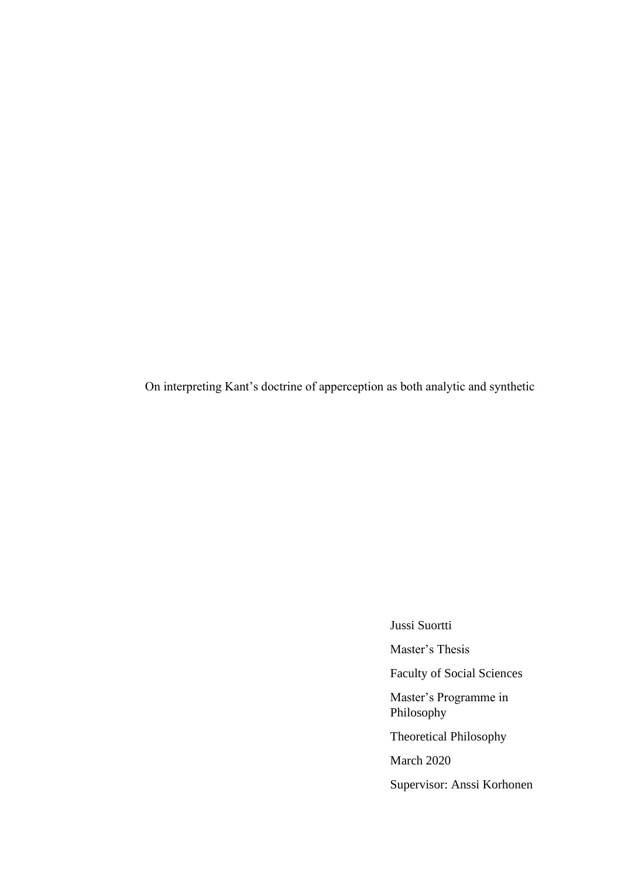On interpreting Kant's doctrine of apperception as both analytic and synthetic

Jussi Suortti

Master's Thesis

Faculty of Social Sciences

Master's Programme in Philosophy

Theoretical Philosophy

March 2020

Supervisor: Anssi Korhonen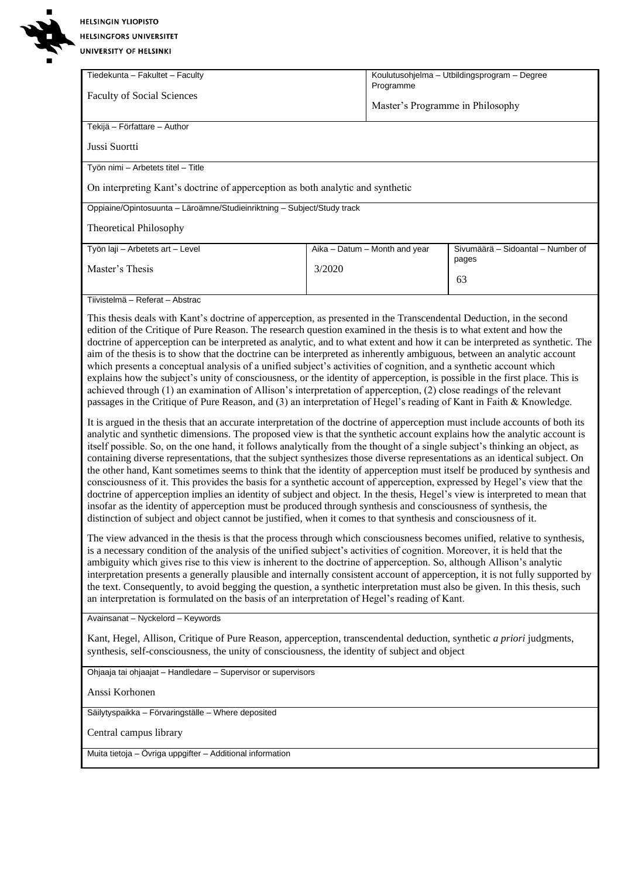# **HELSINGIN YLIOPISTO HELSINGFORS UNIVERSITET**

UNIVERSITY OF HELSINKI

| Tiedekunta - Fakultet - Faculty<br><b>Faculty of Social Sciences</b>           | Koulutusohjelma – Utbildingsprogram – Degree<br>Programme<br>Master's Programme in Philosophy |  |  |  |
|--------------------------------------------------------------------------------|-----------------------------------------------------------------------------------------------|--|--|--|
| Tekijä - Författare - Author                                                   |                                                                                               |  |  |  |
| Jussi Suortti                                                                  |                                                                                               |  |  |  |
| Työn nimi – Arbetets titel – Title                                             |                                                                                               |  |  |  |
| On interpreting Kant's doctrine of apperception as both analytic and synthetic |                                                                                               |  |  |  |
| Oppiaine/Opintosuunta – Läroämne/Studieinriktning – Subject/Study track        |                                                                                               |  |  |  |
| <b>Theoretical Philosophy</b>                                                  |                                                                                               |  |  |  |
| Työn laji - Arbetets art - Level                                               | Sivumäärä - Sidoantal - Number of<br>Aika – Datum – Month and year                            |  |  |  |
| Master's Thesis                                                                | pages<br>3/2020<br>63                                                                         |  |  |  |
|                                                                                |                                                                                               |  |  |  |
| Tiivistelmä – Referat – Abstrac                                                |                                                                                               |  |  |  |

This thesis deals with Kant's doctrine of apperception, as presented in the Transcendental Deduction, in the second edition of the Critique of Pure Reason. The research question examined in the thesis is to what extent and how the doctrine of apperception can be interpreted as analytic, and to what extent and how it can be interpreted as synthetic. The aim of the thesis is to show that the doctrine can be interpreted as inherently ambiguous, between an analytic account which presents a conceptual analysis of a unified subject's activities of cognition, and a synthetic account which explains how the subject's unity of consciousness, or the identity of apperception, is possible in the first place. This is achieved through (1) an examination of Allison's interpretation of apperception, (2) close readings of the relevant passages in the Critique of Pure Reason, and (3) an interpretation of Hegel's reading of Kant in Faith & Knowledge.

It is argued in the thesis that an accurate interpretation of the doctrine of apperception must include accounts of both its analytic and synthetic dimensions. The proposed view is that the synthetic account explains how the analytic account is itself possible. So, on the one hand, it follows analytically from the thought of a single subject's thinking an object, as containing diverse representations, that the subject synthesizes those diverse representations as an identical subject. On the other hand, Kant sometimes seems to think that the identity of apperception must itself be produced by synthesis and consciousness of it. This provides the basis for a synthetic account of apperception, expressed by Hegel's view that the doctrine of apperception implies an identity of subject and object. In the thesis, Hegel's view is interpreted to mean that insofar as the identity of apperception must be produced through synthesis and consciousness of synthesis, the distinction of subject and object cannot be justified, when it comes to that synthesis and consciousness of it.

The view advanced in the thesis is that the process through which consciousness becomes unified, relative to synthesis, is a necessary condition of the analysis of the unified subject's activities of cognition. Moreover, it is held that the ambiguity which gives rise to this view is inherent to the doctrine of apperception. So, although Allison's analytic interpretation presents a generally plausible and internally consistent account of apperception, it is not fully supported by the text. Consequently, to avoid begging the question, a synthetic interpretation must also be given. In this thesis, such an interpretation is formulated on the basis of an interpretation of Hegel's reading of Kant.

Avainsanat – Nyckelord – Keywords

Kant, Hegel, Allison, Critique of Pure Reason, apperception, transcendental deduction, synthetic *a priori* judgments, synthesis, self-consciousness, the unity of consciousness, the identity of subject and object

Ohjaaja tai ohjaajat – Handledare – Supervisor or supervisors

Anssi Korhonen

Säilytyspaikka – Förvaringställe – Where deposited

Central campus library

Muita tietoja – Övriga uppgifter – Additional information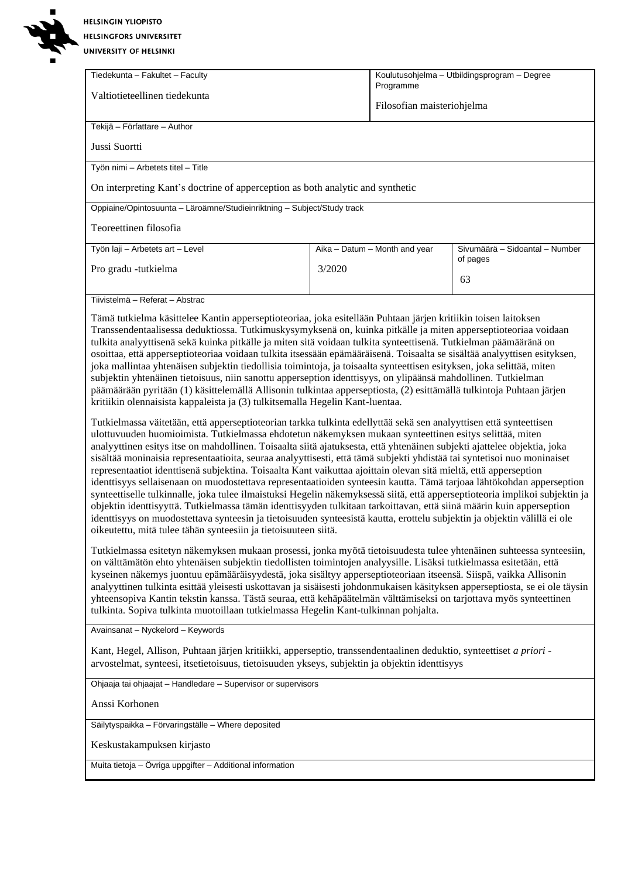**HELSINGIN YLIOPISTO** HELSINGFORS UNIVERSITET

**CO** N  $\blacksquare$ 

| UNIVERSITY OF HELSINKI                                                                                                                                                                                                                                                                                                                                                                                                                                                                                                                                                                                                                                                                                                                                                                                                                                                                                                                                                                                                                                                                                                                                                                                                                                                                                                                                                                                                                                                                                                                                                                                                                                                                                                                                                                                                                                                                                                                                                                                                                                                                                                                                                                                                                                                                                                                                                                                                                                                                                                                                                                                                                                                                                                                                                                                                                                                       |        |                                              |                                            |  |  |
|------------------------------------------------------------------------------------------------------------------------------------------------------------------------------------------------------------------------------------------------------------------------------------------------------------------------------------------------------------------------------------------------------------------------------------------------------------------------------------------------------------------------------------------------------------------------------------------------------------------------------------------------------------------------------------------------------------------------------------------------------------------------------------------------------------------------------------------------------------------------------------------------------------------------------------------------------------------------------------------------------------------------------------------------------------------------------------------------------------------------------------------------------------------------------------------------------------------------------------------------------------------------------------------------------------------------------------------------------------------------------------------------------------------------------------------------------------------------------------------------------------------------------------------------------------------------------------------------------------------------------------------------------------------------------------------------------------------------------------------------------------------------------------------------------------------------------------------------------------------------------------------------------------------------------------------------------------------------------------------------------------------------------------------------------------------------------------------------------------------------------------------------------------------------------------------------------------------------------------------------------------------------------------------------------------------------------------------------------------------------------------------------------------------------------------------------------------------------------------------------------------------------------------------------------------------------------------------------------------------------------------------------------------------------------------------------------------------------------------------------------------------------------------------------------------------------------------------------------------------------------|--------|----------------------------------------------|--------------------------------------------|--|--|
| Tiedekunta - Fakultet - Faculty                                                                                                                                                                                                                                                                                                                                                                                                                                                                                                                                                                                                                                                                                                                                                                                                                                                                                                                                                                                                                                                                                                                                                                                                                                                                                                                                                                                                                                                                                                                                                                                                                                                                                                                                                                                                                                                                                                                                                                                                                                                                                                                                                                                                                                                                                                                                                                                                                                                                                                                                                                                                                                                                                                                                                                                                                                              |        | Koulutusohjelma - Utbildingsprogram - Degree |                                            |  |  |
| Valtiotieteellinen tiedekunta                                                                                                                                                                                                                                                                                                                                                                                                                                                                                                                                                                                                                                                                                                                                                                                                                                                                                                                                                                                                                                                                                                                                                                                                                                                                                                                                                                                                                                                                                                                                                                                                                                                                                                                                                                                                                                                                                                                                                                                                                                                                                                                                                                                                                                                                                                                                                                                                                                                                                                                                                                                                                                                                                                                                                                                                                                                |        | Programme<br>Filosofian maisteriohjelma      |                                            |  |  |
| Tekijä - Författare - Author                                                                                                                                                                                                                                                                                                                                                                                                                                                                                                                                                                                                                                                                                                                                                                                                                                                                                                                                                                                                                                                                                                                                                                                                                                                                                                                                                                                                                                                                                                                                                                                                                                                                                                                                                                                                                                                                                                                                                                                                                                                                                                                                                                                                                                                                                                                                                                                                                                                                                                                                                                                                                                                                                                                                                                                                                                                 |        |                                              |                                            |  |  |
| Jussi Suortti                                                                                                                                                                                                                                                                                                                                                                                                                                                                                                                                                                                                                                                                                                                                                                                                                                                                                                                                                                                                                                                                                                                                                                                                                                                                                                                                                                                                                                                                                                                                                                                                                                                                                                                                                                                                                                                                                                                                                                                                                                                                                                                                                                                                                                                                                                                                                                                                                                                                                                                                                                                                                                                                                                                                                                                                                                                                |        |                                              |                                            |  |  |
| Työn nimi - Arbetets titel - Title                                                                                                                                                                                                                                                                                                                                                                                                                                                                                                                                                                                                                                                                                                                                                                                                                                                                                                                                                                                                                                                                                                                                                                                                                                                                                                                                                                                                                                                                                                                                                                                                                                                                                                                                                                                                                                                                                                                                                                                                                                                                                                                                                                                                                                                                                                                                                                                                                                                                                                                                                                                                                                                                                                                                                                                                                                           |        |                                              |                                            |  |  |
| On interpreting Kant's doctrine of apperception as both analytic and synthetic                                                                                                                                                                                                                                                                                                                                                                                                                                                                                                                                                                                                                                                                                                                                                                                                                                                                                                                                                                                                                                                                                                                                                                                                                                                                                                                                                                                                                                                                                                                                                                                                                                                                                                                                                                                                                                                                                                                                                                                                                                                                                                                                                                                                                                                                                                                                                                                                                                                                                                                                                                                                                                                                                                                                                                                               |        |                                              |                                            |  |  |
| Oppiaine/Opintosuunta - Läroämne/Studieinriktning - Subject/Study track                                                                                                                                                                                                                                                                                                                                                                                                                                                                                                                                                                                                                                                                                                                                                                                                                                                                                                                                                                                                                                                                                                                                                                                                                                                                                                                                                                                                                                                                                                                                                                                                                                                                                                                                                                                                                                                                                                                                                                                                                                                                                                                                                                                                                                                                                                                                                                                                                                                                                                                                                                                                                                                                                                                                                                                                      |        |                                              |                                            |  |  |
| Teoreettinen filosofia                                                                                                                                                                                                                                                                                                                                                                                                                                                                                                                                                                                                                                                                                                                                                                                                                                                                                                                                                                                                                                                                                                                                                                                                                                                                                                                                                                                                                                                                                                                                                                                                                                                                                                                                                                                                                                                                                                                                                                                                                                                                                                                                                                                                                                                                                                                                                                                                                                                                                                                                                                                                                                                                                                                                                                                                                                                       |        |                                              |                                            |  |  |
| Työn laji - Arbetets art - Level                                                                                                                                                                                                                                                                                                                                                                                                                                                                                                                                                                                                                                                                                                                                                                                                                                                                                                                                                                                                                                                                                                                                                                                                                                                                                                                                                                                                                                                                                                                                                                                                                                                                                                                                                                                                                                                                                                                                                                                                                                                                                                                                                                                                                                                                                                                                                                                                                                                                                                                                                                                                                                                                                                                                                                                                                                             |        | Aika - Datum - Month and year                | Sivumäärä - Sidoantal - Number<br>of pages |  |  |
| Pro gradu -tutkielma                                                                                                                                                                                                                                                                                                                                                                                                                                                                                                                                                                                                                                                                                                                                                                                                                                                                                                                                                                                                                                                                                                                                                                                                                                                                                                                                                                                                                                                                                                                                                                                                                                                                                                                                                                                                                                                                                                                                                                                                                                                                                                                                                                                                                                                                                                                                                                                                                                                                                                                                                                                                                                                                                                                                                                                                                                                         | 3/2020 |                                              | 63                                         |  |  |
|                                                                                                                                                                                                                                                                                                                                                                                                                                                                                                                                                                                                                                                                                                                                                                                                                                                                                                                                                                                                                                                                                                                                                                                                                                                                                                                                                                                                                                                                                                                                                                                                                                                                                                                                                                                                                                                                                                                                                                                                                                                                                                                                                                                                                                                                                                                                                                                                                                                                                                                                                                                                                                                                                                                                                                                                                                                                              |        |                                              |                                            |  |  |
| Tiivistelmä - Referat - Abstrac<br>Tämä tutkielma käsittelee Kantin apperseptioteoriaa, joka esitellään Puhtaan järjen kritiikin toisen laitoksen<br>Transsendentaalisessa deduktiossa. Tutkimuskysymyksenä on, kuinka pitkälle ja miten apperseptioteoriaa voidaan<br>tulkita analyyttisenä sekä kuinka pitkälle ja miten sitä voidaan tulkita synteettisenä. Tutkielman päämääränä on<br>osoittaa, että apperseptioteoriaa voidaan tulkita itsessään epämääräisenä. Toisaalta se sisältää analyyttisen esityksen,<br>joka mallintaa yhtenäisen subjektin tiedollisia toimintoja, ja toisaalta synteettisen esityksen, joka selittää, miten<br>subjektin yhtenäinen tietoisuus, niin sanottu apperseption identtisyys, on ylipäänsä mahdollinen. Tutkielman<br>päämäärään pyritään (1) käsittelemällä Allisonin tulkintaa apperseptiosta, (2) esittämällä tulkintoja Puhtaan järjen<br>kritiikin olennaisista kappaleista ja (3) tulkitsemalla Hegelin Kant-luentaa.<br>Tutkielmassa väitetään, että apperseptioteorian tarkka tulkinta edellyttää sekä sen analyyttisen että synteettisen<br>ulottuvuuden huomioimista. Tutkielmassa ehdotetun näkemyksen mukaan synteettinen esitys selittää, miten<br>analyyttinen esitys itse on mahdollinen. Toisaalta siitä ajatuksesta, että yhtenäinen subjekti ajattelee objektia, joka<br>sisältää moninaisia representaatioita, seuraa analyyttisesti, että tämä subjekti yhdistää tai syntetisoi nuo moninaiset<br>representaatiot identtisenä subjektina. Toisaalta Kant vaikuttaa ajoittain olevan sitä mieltä, että apperseption<br>identtisyys sellaisenaan on muodostettava representaatioiden synteesin kautta. Tämä tarjoaa lähtökohdan apperseption<br>synteettiselle tulkinnalle, joka tulee ilmaistuksi Hegelin näkemyksessä siitä, että apperseptioteoria implikoi subjektin ja<br>objektin identtisyyttä. Tutkielmassa tämän identtisyyden tulkitaan tarkoittavan, että siinä määrin kuin apperseption<br>identtisyys on muodostettava synteesin ja tietoisuuden synteesistä kautta, erottelu subjektin ja objektin välillä ei ole<br>oikeutettu, mitä tulee tähän synteesiin ja tietoisuuteen siitä.<br>Tutkielmassa esitetyn näkemyksen mukaan prosessi, jonka myötä tietoisuudesta tulee yhtenäinen suhteessa synteesiin,<br>on välttämätön ehto yhtenäisen subjektin tiedollisten toimintojen analyysille. Lisäksi tutkielmassa esitetään, että<br>kyseinen näkemys juontuu epämääräisyydestä, joka sisältyy apperseptioteoriaan itseensä. Siispä, vaikka Allisonin<br>analyyttinen tulkinta esittää yleisesti uskottavan ja sisäisesti johdonmukaisen käsityksen apperseptiosta, se ei ole täysin<br>yhteensopiva Kantin tekstin kanssa. Tästä seuraa, että kehäpäätelmän välttämiseksi on tarjottava myös synteettinen<br>tulkinta. Sopiva tulkinta muotoillaan tutkielmassa Hegelin Kant-tulkinnan pohjalta. |        |                                              |                                            |  |  |
| Avainsanat - Nyckelord - Keywords                                                                                                                                                                                                                                                                                                                                                                                                                                                                                                                                                                                                                                                                                                                                                                                                                                                                                                                                                                                                                                                                                                                                                                                                                                                                                                                                                                                                                                                                                                                                                                                                                                                                                                                                                                                                                                                                                                                                                                                                                                                                                                                                                                                                                                                                                                                                                                                                                                                                                                                                                                                                                                                                                                                                                                                                                                            |        |                                              |                                            |  |  |
| Kant, Hegel, Allison, Puhtaan järjen kritiikki, apperseptio, transsendentaalinen deduktio, synteettiset a priori -<br>arvostelmat, synteesi, itsetietoisuus, tietoisuuden ykseys, subjektin ja objektin identtisyys                                                                                                                                                                                                                                                                                                                                                                                                                                                                                                                                                                                                                                                                                                                                                                                                                                                                                                                                                                                                                                                                                                                                                                                                                                                                                                                                                                                                                                                                                                                                                                                                                                                                                                                                                                                                                                                                                                                                                                                                                                                                                                                                                                                                                                                                                                                                                                                                                                                                                                                                                                                                                                                          |        |                                              |                                            |  |  |
| Ohjaaja tai ohjaajat - Handledare - Supervisor or supervisors                                                                                                                                                                                                                                                                                                                                                                                                                                                                                                                                                                                                                                                                                                                                                                                                                                                                                                                                                                                                                                                                                                                                                                                                                                                                                                                                                                                                                                                                                                                                                                                                                                                                                                                                                                                                                                                                                                                                                                                                                                                                                                                                                                                                                                                                                                                                                                                                                                                                                                                                                                                                                                                                                                                                                                                                                |        |                                              |                                            |  |  |
| Anssi Korhonen                                                                                                                                                                                                                                                                                                                                                                                                                                                                                                                                                                                                                                                                                                                                                                                                                                                                                                                                                                                                                                                                                                                                                                                                                                                                                                                                                                                                                                                                                                                                                                                                                                                                                                                                                                                                                                                                                                                                                                                                                                                                                                                                                                                                                                                                                                                                                                                                                                                                                                                                                                                                                                                                                                                                                                                                                                                               |        |                                              |                                            |  |  |
| Säilytyspaikka - Förvaringställe - Where deposited                                                                                                                                                                                                                                                                                                                                                                                                                                                                                                                                                                                                                                                                                                                                                                                                                                                                                                                                                                                                                                                                                                                                                                                                                                                                                                                                                                                                                                                                                                                                                                                                                                                                                                                                                                                                                                                                                                                                                                                                                                                                                                                                                                                                                                                                                                                                                                                                                                                                                                                                                                                                                                                                                                                                                                                                                           |        |                                              |                                            |  |  |
| Keskustakampuksen kirjasto                                                                                                                                                                                                                                                                                                                                                                                                                                                                                                                                                                                                                                                                                                                                                                                                                                                                                                                                                                                                                                                                                                                                                                                                                                                                                                                                                                                                                                                                                                                                                                                                                                                                                                                                                                                                                                                                                                                                                                                                                                                                                                                                                                                                                                                                                                                                                                                                                                                                                                                                                                                                                                                                                                                                                                                                                                                   |        |                                              |                                            |  |  |
| Muita tietoja – Övriga uppgifter – Additional information                                                                                                                                                                                                                                                                                                                                                                                                                                                                                                                                                                                                                                                                                                                                                                                                                                                                                                                                                                                                                                                                                                                                                                                                                                                                                                                                                                                                                                                                                                                                                                                                                                                                                                                                                                                                                                                                                                                                                                                                                                                                                                                                                                                                                                                                                                                                                                                                                                                                                                                                                                                                                                                                                                                                                                                                                    |        |                                              |                                            |  |  |
|                                                                                                                                                                                                                                                                                                                                                                                                                                                                                                                                                                                                                                                                                                                                                                                                                                                                                                                                                                                                                                                                                                                                                                                                                                                                                                                                                                                                                                                                                                                                                                                                                                                                                                                                                                                                                                                                                                                                                                                                                                                                                                                                                                                                                                                                                                                                                                                                                                                                                                                                                                                                                                                                                                                                                                                                                                                                              |        |                                              |                                            |  |  |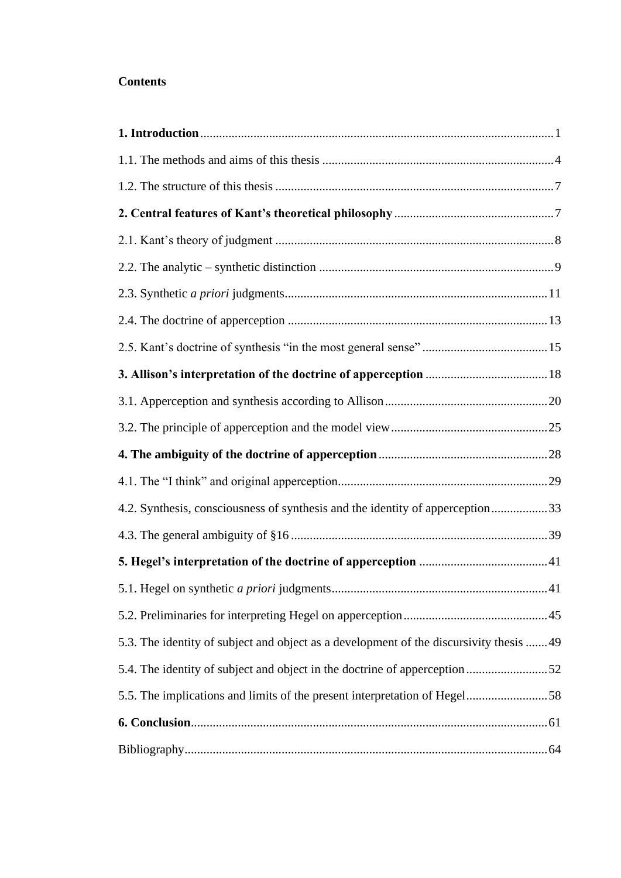# **Contents**

| 4.2. Synthesis, consciousness of synthesis and the identity of apperception33           |  |
|-----------------------------------------------------------------------------------------|--|
|                                                                                         |  |
|                                                                                         |  |
|                                                                                         |  |
|                                                                                         |  |
| 5.3. The identity of subject and object as a development of the discursivity thesis  49 |  |
| 5.4. The identity of subject and object in the doctrine of apperception52               |  |
| 5.5. The implications and limits of the present interpretation of Hegel58               |  |
|                                                                                         |  |
|                                                                                         |  |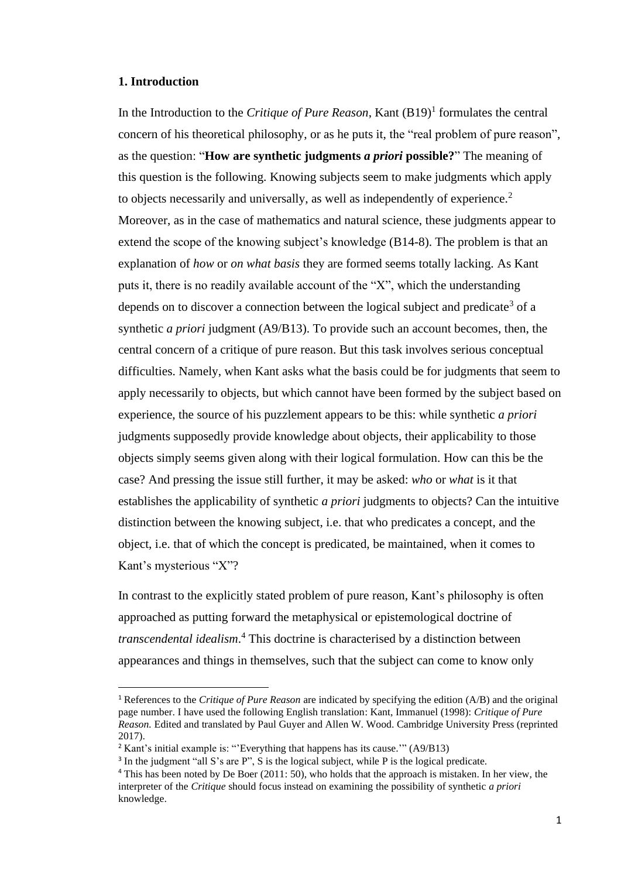#### <span id="page-4-0"></span>**1. Introduction**

In the Introduction to the *Critique of Pure Reason*, Kant  $(B19)^1$  formulates the central concern of his theoretical philosophy, or as he puts it, the "real problem of pure reason", as the question: "**How are synthetic judgments** *a priori* **possible?**" The meaning of this question is the following. Knowing subjects seem to make judgments which apply to objects necessarily and universally, as well as independently of experience.<sup>2</sup> Moreover, as in the case of mathematics and natural science, these judgments appear to extend the scope of the knowing subject's knowledge (B14-8). The problem is that an explanation of *how* or *on what basis* they are formed seems totally lacking. As Kant puts it, there is no readily available account of the "X", which the understanding depends on to discover a connection between the logical subject and predicate<sup>3</sup> of a synthetic *a priori* judgment (A9/B13). To provide such an account becomes, then, the central concern of a critique of pure reason. But this task involves serious conceptual difficulties. Namely, when Kant asks what the basis could be for judgments that seem to apply necessarily to objects, but which cannot have been formed by the subject based on experience, the source of his puzzlement appears to be this: while synthetic *a priori*  judgments supposedly provide knowledge about objects, their applicability to those objects simply seems given along with their logical formulation. How can this be the case? And pressing the issue still further, it may be asked: *who* or *what* is it that establishes the applicability of synthetic *a priori* judgments to objects? Can the intuitive distinction between the knowing subject, i.e. that who predicates a concept, and the object, i.e. that of which the concept is predicated, be maintained, when it comes to Kant's mysterious "X"?

In contrast to the explicitly stated problem of pure reason, Kant's philosophy is often approached as putting forward the metaphysical or epistemological doctrine of *transcendental idealism*. <sup>4</sup> This doctrine is characterised by a distinction between appearances and things in themselves, such that the subject can come to know only

<sup>1</sup> References to the *Critique of Pure Reason* are indicated by specifying the edition (A/B) and the original page number. I have used the following English translation: Kant, Immanuel (1998): *Critique of Pure Reason.* Edited and translated by Paul Guyer and Allen W. Wood. Cambridge University Press (reprinted 2017).

 $2$  Kant's initial example is: "Everything that happens has its cause."  $(A9/B13)$ 

<sup>&</sup>lt;sup>3</sup> In the judgment "all S's are P", S is the logical subject, while P is the logical predicate.

<sup>&</sup>lt;sup>4</sup> This has been noted by De Boer (2011: 50), who holds that the approach is mistaken. In her view, the interpreter of the *Critique* should focus instead on examining the possibility of synthetic *a priori*  knowledge.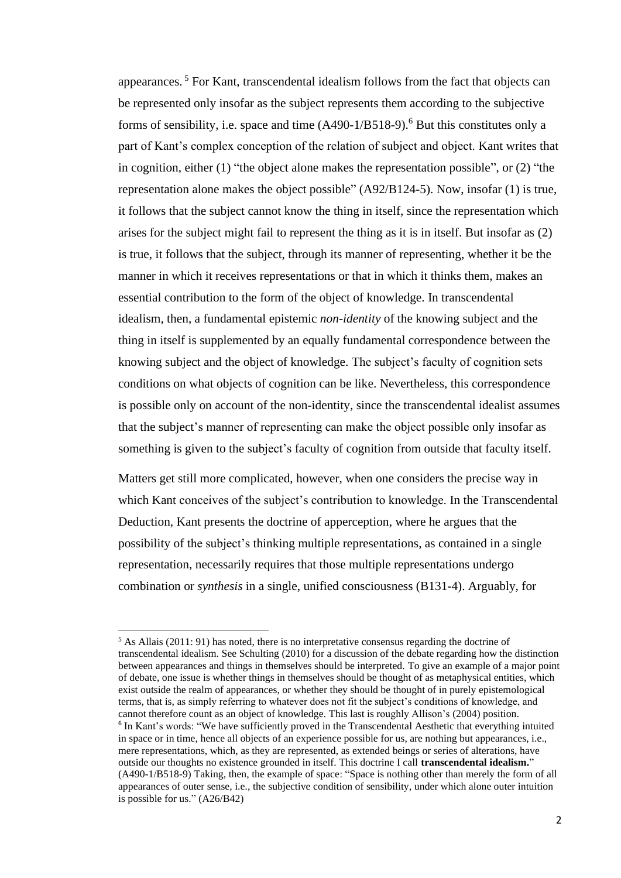appearances. <sup>5</sup> For Kant, transcendental idealism follows from the fact that objects can be represented only insofar as the subject represents them according to the subjective forms of sensibility, i.e. space and time (A490-1/B518-9). <sup>6</sup> But this constitutes only a part of Kant's complex conception of the relation of subject and object. Kant writes that in cognition, either (1) "the object alone makes the representation possible", or (2) "the representation alone makes the object possible" (A92/B124-5). Now, insofar (1) is true, it follows that the subject cannot know the thing in itself, since the representation which arises for the subject might fail to represent the thing as it is in itself. But insofar as (2) is true, it follows that the subject, through its manner of representing, whether it be the manner in which it receives representations or that in which it thinks them, makes an essential contribution to the form of the object of knowledge. In transcendental idealism, then, a fundamental epistemic *non-identity* of the knowing subject and the thing in itself is supplemented by an equally fundamental correspondence between the knowing subject and the object of knowledge. The subject's faculty of cognition sets conditions on what objects of cognition can be like. Nevertheless, this correspondence is possible only on account of the non-identity, since the transcendental idealist assumes that the subject's manner of representing can make the object possible only insofar as something is given to the subject's faculty of cognition from outside that faculty itself.

Matters get still more complicated, however, when one considers the precise way in which Kant conceives of the subject's contribution to knowledge. In the Transcendental Deduction, Kant presents the doctrine of apperception, where he argues that the possibility of the subject's thinking multiple representations, as contained in a single representation, necessarily requires that those multiple representations undergo combination or *synthesis* in a single, unified consciousness (B131-4). Arguably, for

 $5$  As Allais (2011: 91) has noted, there is no interpretative consensus regarding the doctrine of transcendental idealism. See Schulting (2010) for a discussion of the debate regarding how the distinction between appearances and things in themselves should be interpreted. To give an example of a major point of debate, one issue is whether things in themselves should be thought of as metaphysical entities, which exist outside the realm of appearances, or whether they should be thought of in purely epistemological terms, that is, as simply referring to whatever does not fit the subject's conditions of knowledge, and cannot therefore count as an object of knowledge. This last is roughly Allison's (2004) position. <sup>6</sup> In Kant's words: "We have sufficiently proved in the Transcendental Aesthetic that everything intuited in space or in time, hence all objects of an experience possible for us, are nothing but appearances, i.e., mere representations, which, as they are represented, as extended beings or series of alterations, have outside our thoughts no existence grounded in itself. This doctrine I call **transcendental idealism.**" (A490-1/B518-9) Taking, then, the example of space: "Space is nothing other than merely the form of all appearances of outer sense, i.e., the subjective condition of sensibility, under which alone outer intuition is possible for us." (A26/B42)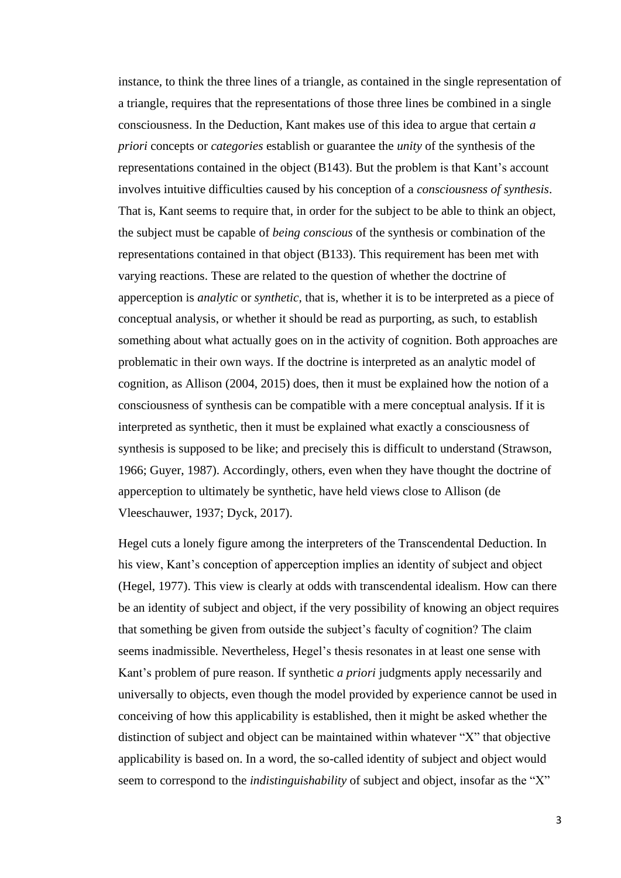instance, to think the three lines of a triangle, as contained in the single representation of a triangle, requires that the representations of those three lines be combined in a single consciousness. In the Deduction, Kant makes use of this idea to argue that certain *a priori* concepts or *categories* establish or guarantee the *unity* of the synthesis of the representations contained in the object (B143). But the problem is that Kant's account involves intuitive difficulties caused by his conception of a *consciousness of synthesis*. That is, Kant seems to require that, in order for the subject to be able to think an object, the subject must be capable of *being conscious* of the synthesis or combination of the representations contained in that object (B133). This requirement has been met with varying reactions. These are related to the question of whether the doctrine of apperception is *analytic* or *synthetic,* that is, whether it is to be interpreted as a piece of conceptual analysis, or whether it should be read as purporting, as such, to establish something about what actually goes on in the activity of cognition. Both approaches are problematic in their own ways. If the doctrine is interpreted as an analytic model of cognition, as Allison (2004, 2015) does, then it must be explained how the notion of a consciousness of synthesis can be compatible with a mere conceptual analysis. If it is interpreted as synthetic, then it must be explained what exactly a consciousness of synthesis is supposed to be like; and precisely this is difficult to understand (Strawson, 1966; Guyer, 1987). Accordingly, others, even when they have thought the doctrine of apperception to ultimately be synthetic, have held views close to Allison (de Vleeschauwer, 1937; Dyck, 2017).

Hegel cuts a lonely figure among the interpreters of the Transcendental Deduction. In his view, Kant's conception of apperception implies an identity of subject and object (Hegel, 1977). This view is clearly at odds with transcendental idealism. How can there be an identity of subject and object, if the very possibility of knowing an object requires that something be given from outside the subject's faculty of cognition? The claim seems inadmissible. Nevertheless, Hegel's thesis resonates in at least one sense with Kant's problem of pure reason. If synthetic *a priori* judgments apply necessarily and universally to objects, even though the model provided by experience cannot be used in conceiving of how this applicability is established, then it might be asked whether the distinction of subject and object can be maintained within whatever "X" that objective applicability is based on. In a word, the so-called identity of subject and object would seem to correspond to the *indistinguishability* of subject and object, insofar as the "X"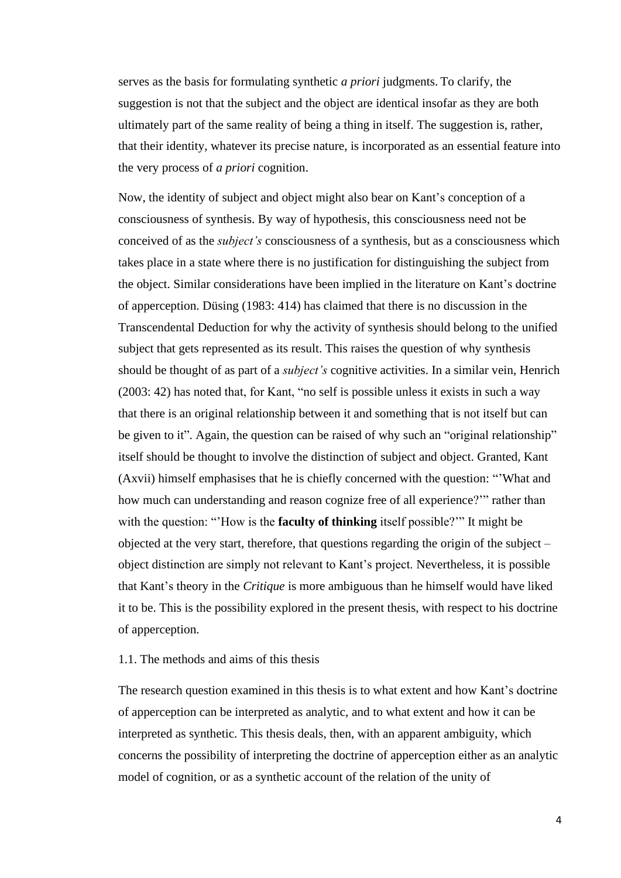serves as the basis for formulating synthetic *a priori* judgments. To clarify, the suggestion is not that the subject and the object are identical insofar as they are both ultimately part of the same reality of being a thing in itself. The suggestion is, rather, that their identity, whatever its precise nature, is incorporated as an essential feature into the very process of *a priori* cognition.

Now, the identity of subject and object might also bear on Kant's conception of a consciousness of synthesis. By way of hypothesis, this consciousness need not be conceived of as the *subject's* consciousness of a synthesis, but as a consciousness which takes place in a state where there is no justification for distinguishing the subject from the object. Similar considerations have been implied in the literature on Kant's doctrine of apperception. Düsing (1983: 414) has claimed that there is no discussion in the Transcendental Deduction for why the activity of synthesis should belong to the unified subject that gets represented as its result. This raises the question of why synthesis should be thought of as part of a *subject's* cognitive activities. In a similar vein, Henrich (2003: 42) has noted that, for Kant, "no self is possible unless it exists in such a way that there is an original relationship between it and something that is not itself but can be given to it". Again, the question can be raised of why such an "original relationship" itself should be thought to involve the distinction of subject and object. Granted, Kant (Axvii) himself emphasises that he is chiefly concerned with the question: "'What and how much can understanding and reason cognize free of all experience?'" rather than with the question: "'How is the **faculty of thinking** itself possible?'" It might be objected at the very start, therefore, that questions regarding the origin of the subject – object distinction are simply not relevant to Kant's project. Nevertheless, it is possible that Kant's theory in the *Critique* is more ambiguous than he himself would have liked it to be. This is the possibility explored in the present thesis, with respect to his doctrine of apperception.

# <span id="page-7-0"></span>1.1. The methods and aims of this thesis

The research question examined in this thesis is to what extent and how Kant's doctrine of apperception can be interpreted as analytic, and to what extent and how it can be interpreted as synthetic. This thesis deals, then, with an apparent ambiguity, which concerns the possibility of interpreting the doctrine of apperception either as an analytic model of cognition, or as a synthetic account of the relation of the unity of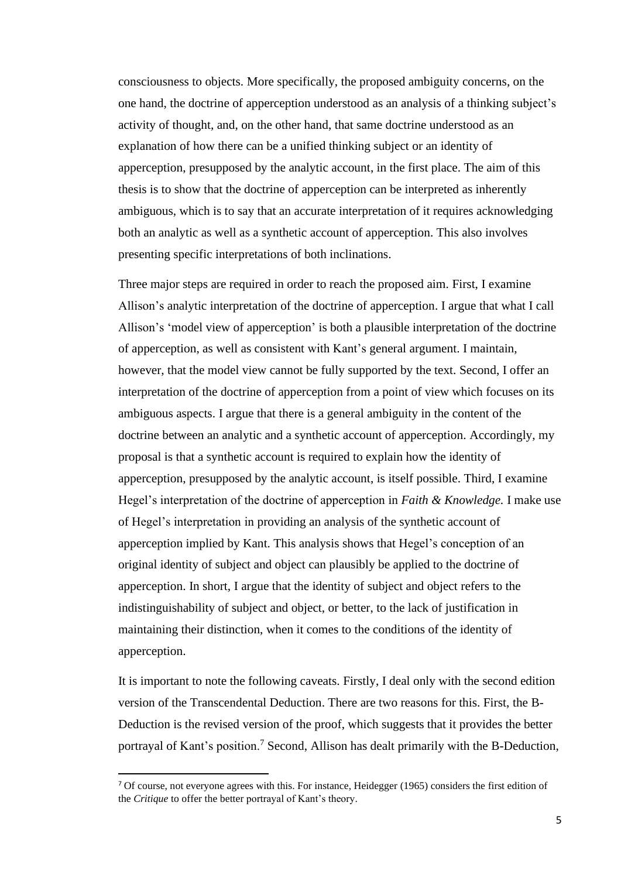consciousness to objects. More specifically, the proposed ambiguity concerns, on the one hand, the doctrine of apperception understood as an analysis of a thinking subject's activity of thought, and, on the other hand, that same doctrine understood as an explanation of how there can be a unified thinking subject or an identity of apperception, presupposed by the analytic account, in the first place. The aim of this thesis is to show that the doctrine of apperception can be interpreted as inherently ambiguous, which is to say that an accurate interpretation of it requires acknowledging both an analytic as well as a synthetic account of apperception. This also involves presenting specific interpretations of both inclinations.

Three major steps are required in order to reach the proposed aim. First, I examine Allison's analytic interpretation of the doctrine of apperception. I argue that what I call Allison's 'model view of apperception' is both a plausible interpretation of the doctrine of apperception, as well as consistent with Kant's general argument. I maintain, however, that the model view cannot be fully supported by the text. Second, I offer an interpretation of the doctrine of apperception from a point of view which focuses on its ambiguous aspects. I argue that there is a general ambiguity in the content of the doctrine between an analytic and a synthetic account of apperception. Accordingly, my proposal is that a synthetic account is required to explain how the identity of apperception, presupposed by the analytic account, is itself possible. Third, I examine Hegel's interpretation of the doctrine of apperception in *Faith & Knowledge.* I make use of Hegel's interpretation in providing an analysis of the synthetic account of apperception implied by Kant. This analysis shows that Hegel's conception of an original identity of subject and object can plausibly be applied to the doctrine of apperception. In short, I argue that the identity of subject and object refers to the indistinguishability of subject and object, or better, to the lack of justification in maintaining their distinction, when it comes to the conditions of the identity of apperception.

It is important to note the following caveats. Firstly, I deal only with the second edition version of the Transcendental Deduction. There are two reasons for this. First, the B-Deduction is the revised version of the proof, which suggests that it provides the better portrayal of Kant's position.<sup>7</sup> Second, Allison has dealt primarily with the B-Deduction,

 $<sup>7</sup>$  Of course, not everyone agrees with this. For instance, Heidegger (1965) considers the first edition of</sup> the *Critique* to offer the better portrayal of Kant's theory.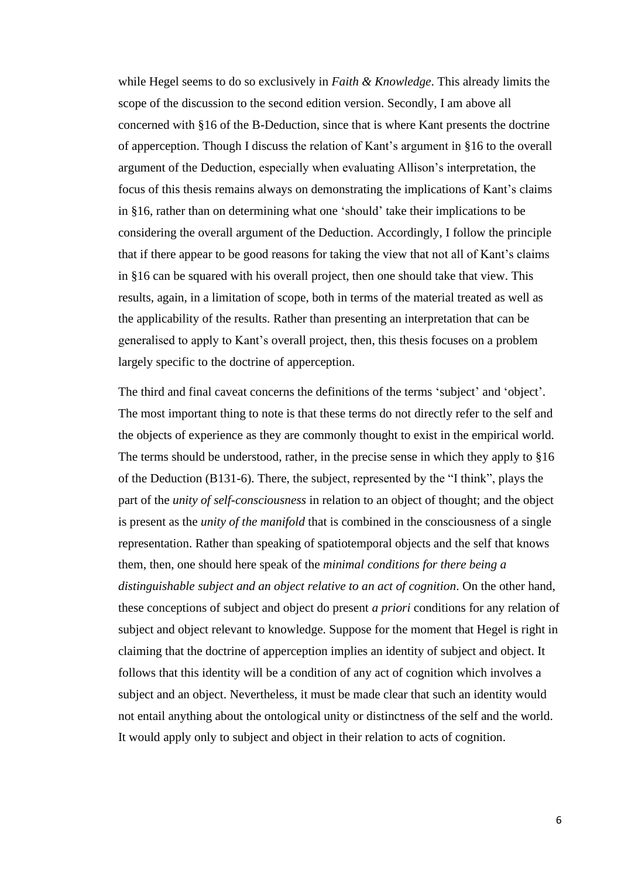while Hegel seems to do so exclusively in *Faith & Knowledge*. This already limits the scope of the discussion to the second edition version. Secondly, I am above all concerned with §16 of the B-Deduction, since that is where Kant presents the doctrine of apperception. Though I discuss the relation of Kant's argument in §16 to the overall argument of the Deduction, especially when evaluating Allison's interpretation, the focus of this thesis remains always on demonstrating the implications of Kant's claims in §16, rather than on determining what one 'should' take their implications to be considering the overall argument of the Deduction. Accordingly, I follow the principle that if there appear to be good reasons for taking the view that not all of Kant's claims in §16 can be squared with his overall project, then one should take that view. This results, again, in a limitation of scope, both in terms of the material treated as well as the applicability of the results. Rather than presenting an interpretation that can be generalised to apply to Kant's overall project, then, this thesis focuses on a problem largely specific to the doctrine of apperception.

The third and final caveat concerns the definitions of the terms 'subject' and 'object'. The most important thing to note is that these terms do not directly refer to the self and the objects of experience as they are commonly thought to exist in the empirical world. The terms should be understood, rather, in the precise sense in which they apply to §16 of the Deduction (B131-6). There, the subject, represented by the "I think", plays the part of the *unity of self-consciousness* in relation to an object of thought; and the object is present as the *unity of the manifold* that is combined in the consciousness of a single representation. Rather than speaking of spatiotemporal objects and the self that knows them, then, one should here speak of the *minimal conditions for there being a distinguishable subject and an object relative to an act of cognition*. On the other hand, these conceptions of subject and object do present *a priori* conditions for any relation of subject and object relevant to knowledge. Suppose for the moment that Hegel is right in claiming that the doctrine of apperception implies an identity of subject and object. It follows that this identity will be a condition of any act of cognition which involves a subject and an object. Nevertheless, it must be made clear that such an identity would not entail anything about the ontological unity or distinctness of the self and the world. It would apply only to subject and object in their relation to acts of cognition.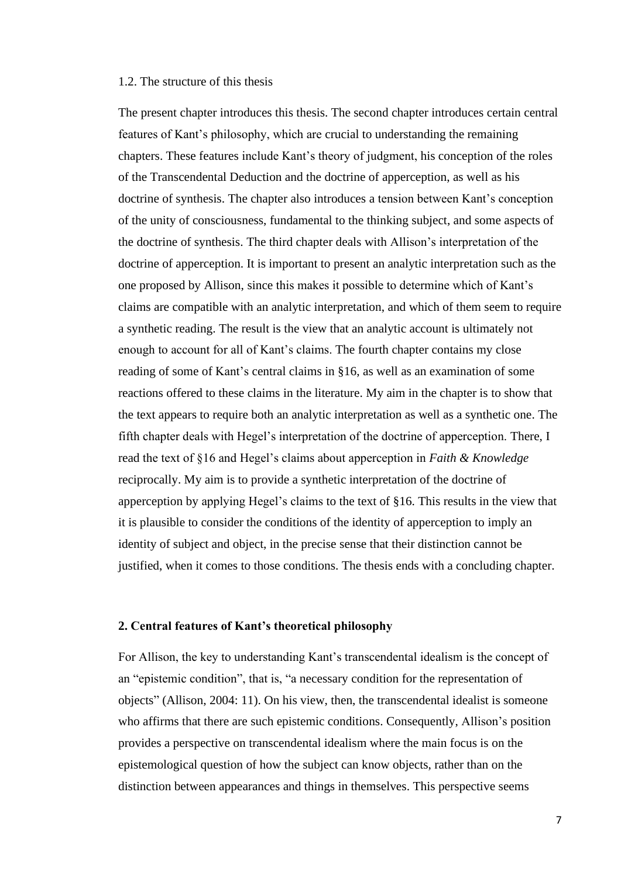#### <span id="page-10-0"></span>1.2. The structure of this thesis

The present chapter introduces this thesis. The second chapter introduces certain central features of Kant's philosophy, which are crucial to understanding the remaining chapters. These features include Kant's theory of judgment, his conception of the roles of the Transcendental Deduction and the doctrine of apperception, as well as his doctrine of synthesis. The chapter also introduces a tension between Kant's conception of the unity of consciousness, fundamental to the thinking subject, and some aspects of the doctrine of synthesis. The third chapter deals with Allison's interpretation of the doctrine of apperception. It is important to present an analytic interpretation such as the one proposed by Allison, since this makes it possible to determine which of Kant's claims are compatible with an analytic interpretation, and which of them seem to require a synthetic reading. The result is the view that an analytic account is ultimately not enough to account for all of Kant's claims. The fourth chapter contains my close reading of some of Kant's central claims in §16, as well as an examination of some reactions offered to these claims in the literature. My aim in the chapter is to show that the text appears to require both an analytic interpretation as well as a synthetic one. The fifth chapter deals with Hegel's interpretation of the doctrine of apperception. There, I read the text of §16 and Hegel's claims about apperception in *Faith & Knowledge* reciprocally. My aim is to provide a synthetic interpretation of the doctrine of apperception by applying Hegel's claims to the text of §16. This results in the view that it is plausible to consider the conditions of the identity of apperception to imply an identity of subject and object, in the precise sense that their distinction cannot be justified, when it comes to those conditions. The thesis ends with a concluding chapter.

## <span id="page-10-1"></span>**2. Central features of Kant's theoretical philosophy**

For Allison, the key to understanding Kant's transcendental idealism is the concept of an "epistemic condition", that is, "a necessary condition for the representation of objects" (Allison, 2004: 11). On his view, then, the transcendental idealist is someone who affirms that there are such epistemic conditions. Consequently, Allison's position provides a perspective on transcendental idealism where the main focus is on the epistemological question of how the subject can know objects, rather than on the distinction between appearances and things in themselves. This perspective seems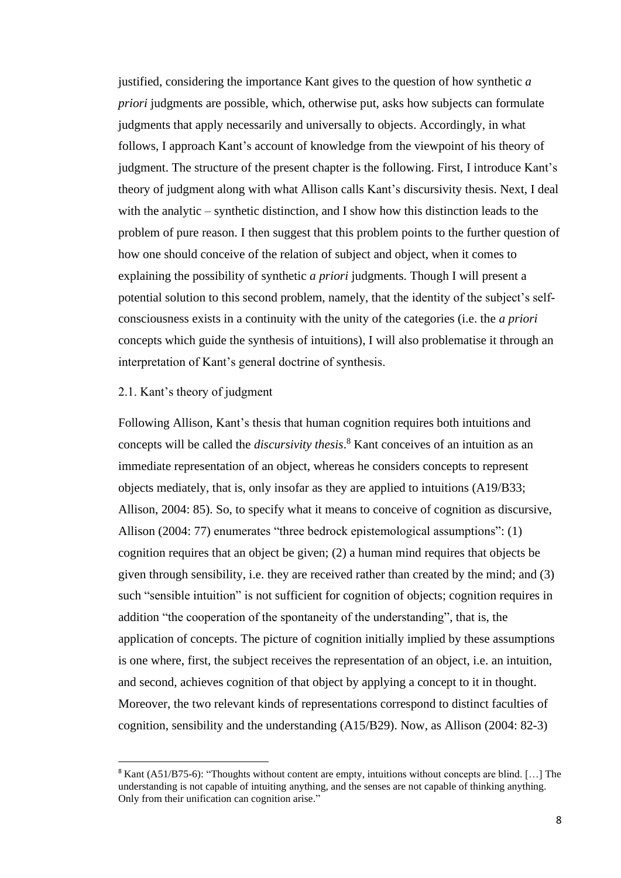justified, considering the importance Kant gives to the question of how synthetic *a priori* judgments are possible, which, otherwise put, asks how subjects can formulate judgments that apply necessarily and universally to objects. Accordingly, in what follows, I approach Kant's account of knowledge from the viewpoint of his theory of judgment. The structure of the present chapter is the following. First, I introduce Kant's theory of judgment along with what Allison calls Kant's discursivity thesis. Next, I deal with the analytic – synthetic distinction, and I show how this distinction leads to the problem of pure reason. I then suggest that this problem points to the further question of how one should conceive of the relation of subject and object, when it comes to explaining the possibility of synthetic *a priori* judgments. Though I will present a potential solution to this second problem, namely, that the identity of the subject's selfconsciousness exists in a continuity with the unity of the categories (i.e. the *a priori*  concepts which guide the synthesis of intuitions), I will also problematise it through an interpretation of Kant's general doctrine of synthesis.

#### <span id="page-11-0"></span>2.1. Kant's theory of judgment

Following Allison, Kant's thesis that human cognition requires both intuitions and concepts will be called the *discursivity thesis*. <sup>8</sup> Kant conceives of an intuition as an immediate representation of an object, whereas he considers concepts to represent objects mediately, that is, only insofar as they are applied to intuitions (A19/B33; Allison, 2004: 85). So, to specify what it means to conceive of cognition as discursive, Allison (2004: 77) enumerates "three bedrock epistemological assumptions": (1) cognition requires that an object be given; (2) a human mind requires that objects be given through sensibility, i.e. they are received rather than created by the mind; and (3) such "sensible intuition" is not sufficient for cognition of objects; cognition requires in addition "the cooperation of the spontaneity of the understanding", that is, the application of concepts. The picture of cognition initially implied by these assumptions is one where, first, the subject receives the representation of an object, i.e. an intuition, and second, achieves cognition of that object by applying a concept to it in thought. Moreover, the two relevant kinds of representations correspond to distinct faculties of cognition, sensibility and the understanding (A15/B29). Now, as Allison (2004: 82-3)

<sup>8</sup> Kant (A51/B75-6): "Thoughts without content are empty, intuitions without concepts are blind. […] The understanding is not capable of intuiting anything, and the senses are not capable of thinking anything. Only from their unification can cognition arise."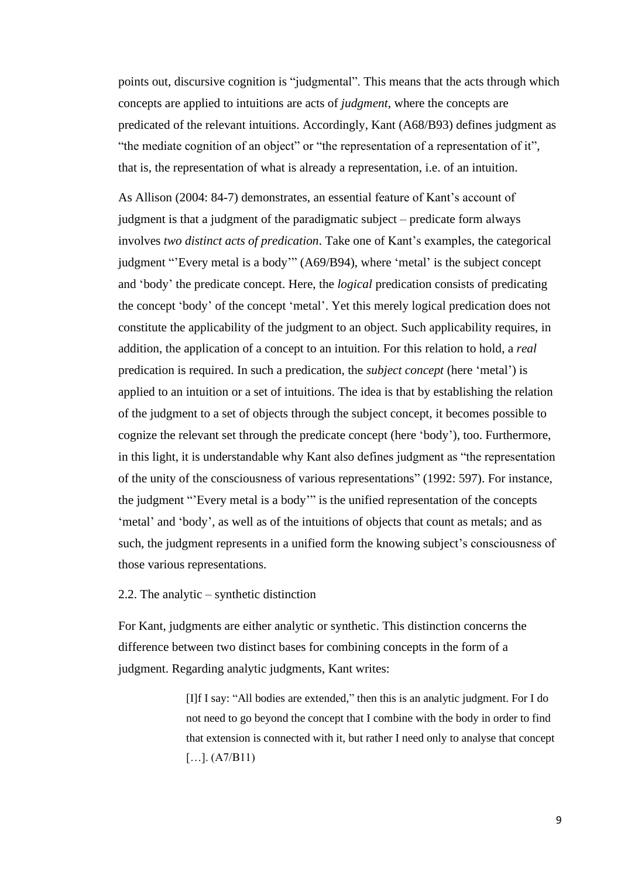points out, discursive cognition is "judgmental". This means that the acts through which concepts are applied to intuitions are acts of *judgment*, where the concepts are predicated of the relevant intuitions. Accordingly, Kant (A68/B93) defines judgment as "the mediate cognition of an object" or "the representation of a representation of it", that is, the representation of what is already a representation, i.e. of an intuition.

As Allison (2004: 84-7) demonstrates, an essential feature of Kant's account of judgment is that a judgment of the paradigmatic subject – predicate form always involves *two distinct acts of predication*. Take one of Kant's examples, the categorical judgment "'Every metal is a body'" (A69/B94), where 'metal' is the subject concept and 'body' the predicate concept. Here, the *logical* predication consists of predicating the concept 'body' of the concept 'metal'. Yet this merely logical predication does not constitute the applicability of the judgment to an object. Such applicability requires, in addition, the application of a concept to an intuition. For this relation to hold, a *real*  predication is required. In such a predication, the *subject concept* (here 'metal') is applied to an intuition or a set of intuitions. The idea is that by establishing the relation of the judgment to a set of objects through the subject concept, it becomes possible to cognize the relevant set through the predicate concept (here 'body'), too. Furthermore, in this light, it is understandable why Kant also defines judgment as "the representation of the unity of the consciousness of various representations" (1992: 597). For instance, the judgment "'Every metal is a body'" is the unified representation of the concepts 'metal' and 'body', as well as of the intuitions of objects that count as metals; and as such, the judgment represents in a unified form the knowing subject's consciousness of those various representations.

## <span id="page-12-0"></span>2.2. The analytic – synthetic distinction

For Kant, judgments are either analytic or synthetic. This distinction concerns the difference between two distinct bases for combining concepts in the form of a judgment. Regarding analytic judgments, Kant writes:

> [I]f I say: "All bodies are extended," then this is an analytic judgment. For I do not need to go beyond the concept that I combine with the body in order to find that extension is connected with it, but rather I need only to analyse that concept  $[...]$ . (A7/B11)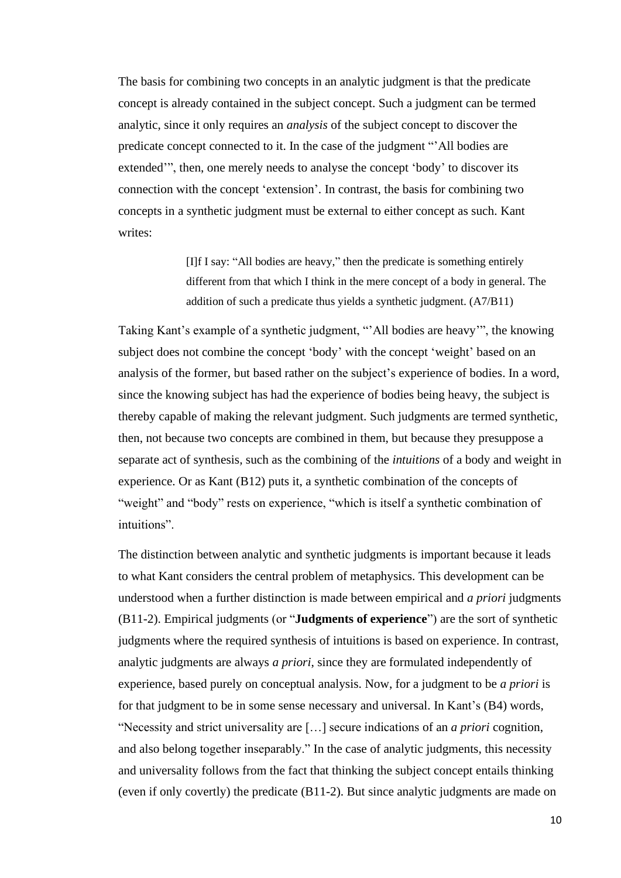The basis for combining two concepts in an analytic judgment is that the predicate concept is already contained in the subject concept. Such a judgment can be termed analytic, since it only requires an *analysis* of the subject concept to discover the predicate concept connected to it. In the case of the judgment "'All bodies are extended'", then, one merely needs to analyse the concept 'body' to discover its connection with the concept 'extension'. In contrast, the basis for combining two concepts in a synthetic judgment must be external to either concept as such. Kant writes:

> [I]f I say: "All bodies are heavy," then the predicate is something entirely different from that which I think in the mere concept of a body in general. The addition of such a predicate thus yields a synthetic judgment. (A7/B11)

Taking Kant's example of a synthetic judgment, "'All bodies are heavy'", the knowing subject does not combine the concept 'body' with the concept 'weight' based on an analysis of the former, but based rather on the subject's experience of bodies. In a word, since the knowing subject has had the experience of bodies being heavy, the subject is thereby capable of making the relevant judgment. Such judgments are termed synthetic, then, not because two concepts are combined in them, but because they presuppose a separate act of synthesis*,* such as the combining of the *intuitions* of a body and weight in experience. Or as Kant (B12) puts it, a synthetic combination of the concepts of "weight" and "body" rests on experience, "which is itself a synthetic combination of intuitions".

The distinction between analytic and synthetic judgments is important because it leads to what Kant considers the central problem of metaphysics. This development can be understood when a further distinction is made between empirical and *a priori* judgments (B11-2). Empirical judgments (or "**Judgments of experience**") are the sort of synthetic judgments where the required synthesis of intuitions is based on experience. In contrast, analytic judgments are always *a priori*, since they are formulated independently of experience, based purely on conceptual analysis. Now, for a judgment to be *a priori* is for that judgment to be in some sense necessary and universal. In Kant's (B4) words, "Necessity and strict universality are […] secure indications of an *a priori* cognition, and also belong together inseparably." In the case of analytic judgments, this necessity and universality follows from the fact that thinking the subject concept entails thinking (even if only covertly) the predicate (B11-2). But since analytic judgments are made on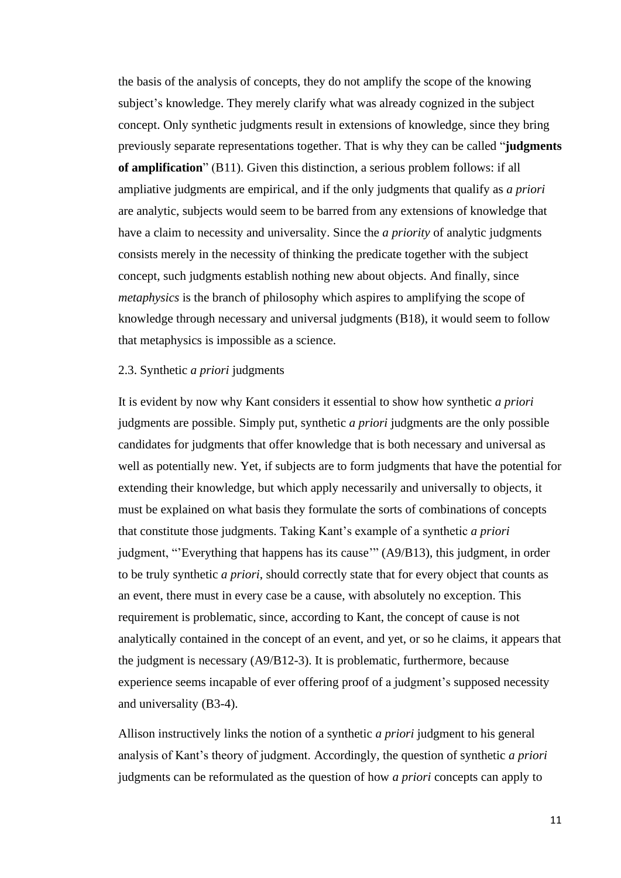the basis of the analysis of concepts, they do not amplify the scope of the knowing subject's knowledge. They merely clarify what was already cognized in the subject concept. Only synthetic judgments result in extensions of knowledge, since they bring previously separate representations together. That is why they can be called "**judgments of amplification**" (B11). Given this distinction, a serious problem follows: if all ampliative judgments are empirical, and if the only judgments that qualify as *a priori*  are analytic, subjects would seem to be barred from any extensions of knowledge that have a claim to necessity and universality. Since the *a priority* of analytic judgments consists merely in the necessity of thinking the predicate together with the subject concept, such judgments establish nothing new about objects. And finally, since *metaphysics* is the branch of philosophy which aspires to amplifying the scope of knowledge through necessary and universal judgments (B18), it would seem to follow that metaphysics is impossible as a science.

# <span id="page-14-0"></span>2.3. Synthetic *a priori* judgments

It is evident by now why Kant considers it essential to show how synthetic *a priori*  judgments are possible. Simply put, synthetic *a priori* judgments are the only possible candidates for judgments that offer knowledge that is both necessary and universal as well as potentially new. Yet, if subjects are to form judgments that have the potential for extending their knowledge, but which apply necessarily and universally to objects, it must be explained on what basis they formulate the sorts of combinations of concepts that constitute those judgments. Taking Kant's example of a synthetic *a priori*  judgment, "'Everything that happens has its cause'" (A9/B13), this judgment, in order to be truly synthetic *a priori*, should correctly state that for every object that counts as an event, there must in every case be a cause, with absolutely no exception. This requirement is problematic, since, according to Kant, the concept of cause is not analytically contained in the concept of an event, and yet, or so he claims, it appears that the judgment is necessary (A9/B12-3). It is problematic, furthermore, because experience seems incapable of ever offering proof of a judgment's supposed necessity and universality (B3-4).

Allison instructively links the notion of a synthetic *a priori* judgment to his general analysis of Kant's theory of judgment. Accordingly, the question of synthetic *a priori*  judgments can be reformulated as the question of how *a priori* concepts can apply to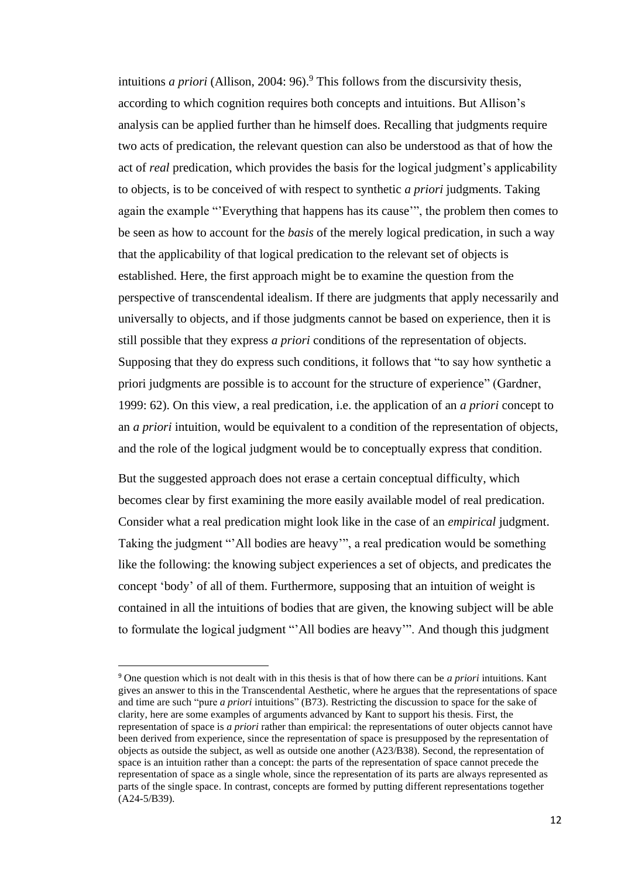intuitions *a priori* (Allison, 2004: 96). <sup>9</sup> This follows from the discursivity thesis, according to which cognition requires both concepts and intuitions. But Allison's analysis can be applied further than he himself does. Recalling that judgments require two acts of predication, the relevant question can also be understood as that of how the act of *real* predication, which provides the basis for the logical judgment's applicability to objects, is to be conceived of with respect to synthetic *a priori* judgments. Taking again the example "'Everything that happens has its cause'", the problem then comes to be seen as how to account for the *basis* of the merely logical predication, in such a way that the applicability of that logical predication to the relevant set of objects is established. Here, the first approach might be to examine the question from the perspective of transcendental idealism. If there are judgments that apply necessarily and universally to objects, and if those judgments cannot be based on experience, then it is still possible that they express *a priori* conditions of the representation of objects. Supposing that they do express such conditions, it follows that "to say how synthetic a priori judgments are possible is to account for the structure of experience" (Gardner, 1999: 62). On this view, a real predication, i.e. the application of an *a priori* concept to an *a priori* intuition, would be equivalent to a condition of the representation of objects, and the role of the logical judgment would be to conceptually express that condition.

But the suggested approach does not erase a certain conceptual difficulty, which becomes clear by first examining the more easily available model of real predication. Consider what a real predication might look like in the case of an *empirical* judgment. Taking the judgment "'All bodies are heavy'", a real predication would be something like the following: the knowing subject experiences a set of objects, and predicates the concept 'body' of all of them. Furthermore, supposing that an intuition of weight is contained in all the intuitions of bodies that are given, the knowing subject will be able to formulate the logical judgment "'All bodies are heavy'". And though this judgment

<sup>9</sup> One question which is not dealt with in this thesis is that of how there can be *a priori* intuitions. Kant gives an answer to this in the Transcendental Aesthetic, where he argues that the representations of space and time are such "pure *a priori* intuitions" (B73). Restricting the discussion to space for the sake of clarity, here are some examples of arguments advanced by Kant to support his thesis. First, the representation of space is *a priori* rather than empirical: the representations of outer objects cannot have been derived from experience, since the representation of space is presupposed by the representation of objects as outside the subject, as well as outside one another (A23/B38). Second, the representation of space is an intuition rather than a concept: the parts of the representation of space cannot precede the representation of space as a single whole, since the representation of its parts are always represented as parts of the single space. In contrast, concepts are formed by putting different representations together (A24-5/B39).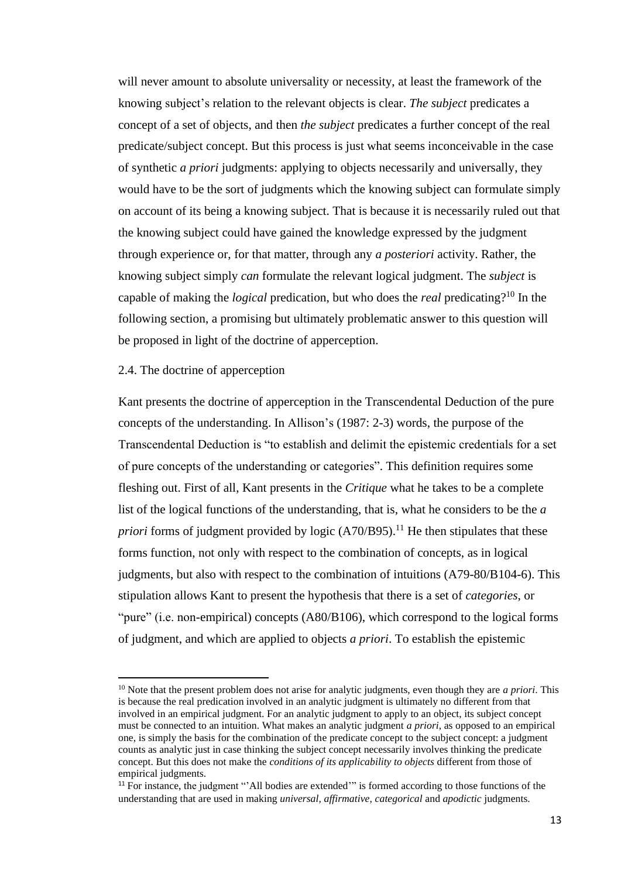will never amount to absolute universality or necessity, at least the framework of the knowing subject's relation to the relevant objects is clear. *The subject* predicates a concept of a set of objects, and then *the subject* predicates a further concept of the real predicate/subject concept. But this process is just what seems inconceivable in the case of synthetic *a priori* judgments: applying to objects necessarily and universally, they would have to be the sort of judgments which the knowing subject can formulate simply on account of its being a knowing subject. That is because it is necessarily ruled out that the knowing subject could have gained the knowledge expressed by the judgment through experience or, for that matter, through any *a posteriori* activity. Rather, the knowing subject simply *can* formulate the relevant logical judgment. The *subject* is capable of making the *logical* predication, but who does the *real* predicating?<sup>10</sup> In the following section, a promising but ultimately problematic answer to this question will be proposed in light of the doctrine of apperception.

# <span id="page-16-0"></span>2.4. The doctrine of apperception

Kant presents the doctrine of apperception in the Transcendental Deduction of the pure concepts of the understanding. In Allison's (1987: 2-3) words, the purpose of the Transcendental Deduction is "to establish and delimit the epistemic credentials for a set of pure concepts of the understanding or categories". This definition requires some fleshing out. First of all, Kant presents in the *Critique* what he takes to be a complete list of the logical functions of the understanding, that is, what he considers to be the *a priori* forms of judgment provided by logic (A70/B95).<sup>11</sup> He then stipulates that these forms function, not only with respect to the combination of concepts, as in logical judgments, but also with respect to the combination of intuitions (A79-80/B104-6). This stipulation allows Kant to present the hypothesis that there is a set of *categories*, or "pure" (i.e. non-empirical) concepts (A80/B106), which correspond to the logical forms of judgment, and which are applied to objects *a priori*. To establish the epistemic

<sup>10</sup> Note that the present problem does not arise for analytic judgments, even though they are *a priori*. This is because the real predication involved in an analytic judgment is ultimately no different from that involved in an empirical judgment. For an analytic judgment to apply to an object, its subject concept must be connected to an intuition. What makes an analytic judgment *a priori*, as opposed to an empirical one, is simply the basis for the combination of the predicate concept to the subject concept: a judgment counts as analytic just in case thinking the subject concept necessarily involves thinking the predicate concept. But this does not make the *conditions of its applicability to objects* different from those of empirical judgments.

<sup>&</sup>lt;sup>11</sup> For instance, the judgment "'All bodies are extended'" is formed according to those functions of the understanding that are used in making *universal, affirmative, categorical* and *apodictic* judgments.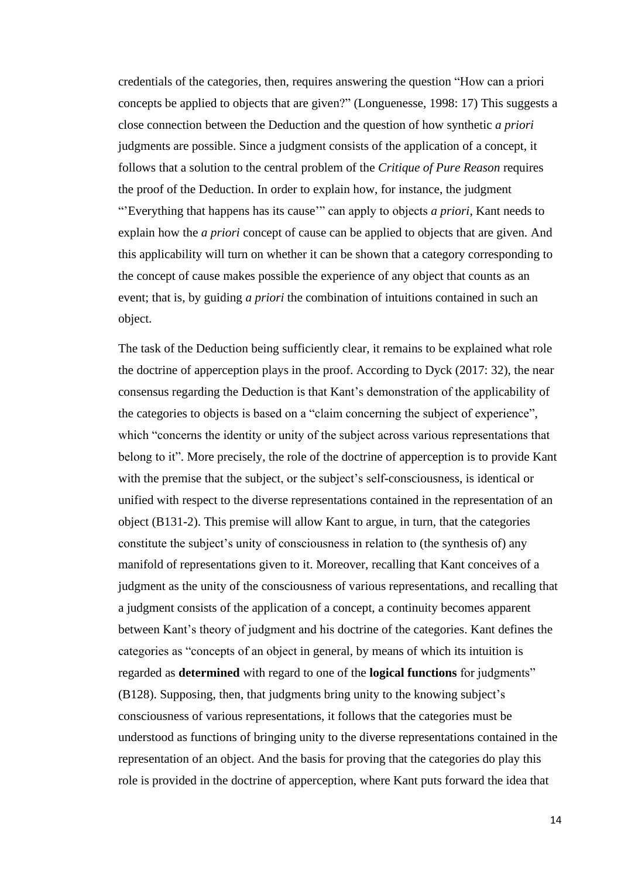credentials of the categories, then, requires answering the question "How can a priori concepts be applied to objects that are given?" (Longuenesse, 1998: 17) This suggests a close connection between the Deduction and the question of how synthetic *a priori*  judgments are possible. Since a judgment consists of the application of a concept, it follows that a solution to the central problem of the *Critique of Pure Reason* requires the proof of the Deduction. In order to explain how, for instance, the judgment "'Everything that happens has its cause'" can apply to objects *a priori*, Kant needs to explain how the *a priori* concept of cause can be applied to objects that are given. And this applicability will turn on whether it can be shown that a category corresponding to the concept of cause makes possible the experience of any object that counts as an event; that is, by guiding *a priori* the combination of intuitions contained in such an object.

The task of the Deduction being sufficiently clear, it remains to be explained what role the doctrine of apperception plays in the proof. According to Dyck (2017: 32), the near consensus regarding the Deduction is that Kant's demonstration of the applicability of the categories to objects is based on a "claim concerning the subject of experience", which "concerns the identity or unity of the subject across various representations that belong to it". More precisely, the role of the doctrine of apperception is to provide Kant with the premise that the subject, or the subject's self-consciousness, is identical or unified with respect to the diverse representations contained in the representation of an object (B131-2). This premise will allow Kant to argue, in turn, that the categories constitute the subject's unity of consciousness in relation to (the synthesis of) any manifold of representations given to it. Moreover, recalling that Kant conceives of a judgment as the unity of the consciousness of various representations, and recalling that a judgment consists of the application of a concept, a continuity becomes apparent between Kant's theory of judgment and his doctrine of the categories. Kant defines the categories as "concepts of an object in general, by means of which its intuition is regarded as **determined** with regard to one of the **logical functions** for judgments" (B128). Supposing, then, that judgments bring unity to the knowing subject's consciousness of various representations, it follows that the categories must be understood as functions of bringing unity to the diverse representations contained in the representation of an object. And the basis for proving that the categories do play this role is provided in the doctrine of apperception, where Kant puts forward the idea that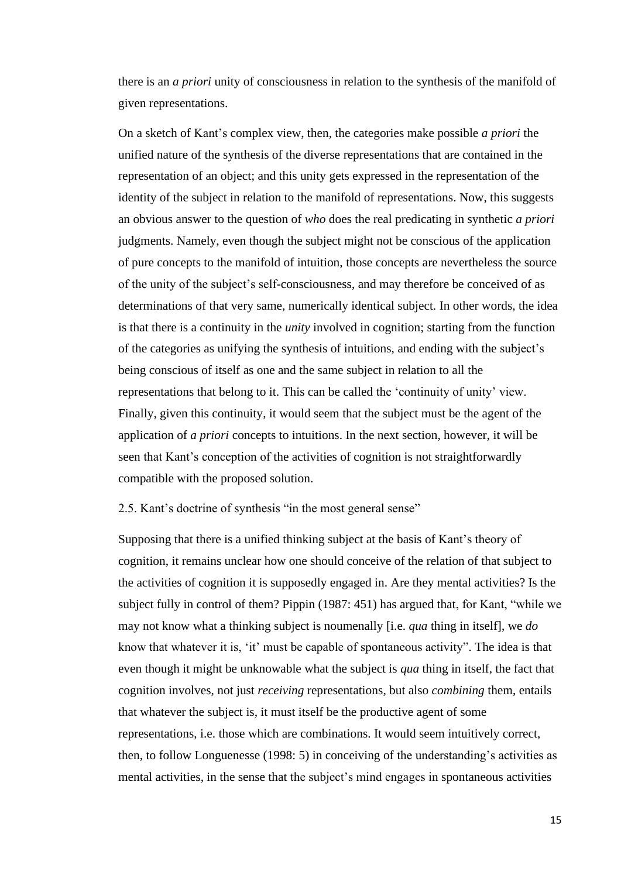there is an *a priori* unity of consciousness in relation to the synthesis of the manifold of given representations.

On a sketch of Kant's complex view, then, the categories make possible *a priori* the unified nature of the synthesis of the diverse representations that are contained in the representation of an object; and this unity gets expressed in the representation of the identity of the subject in relation to the manifold of representations. Now, this suggests an obvious answer to the question of *who* does the real predicating in synthetic *a priori*  judgments. Namely, even though the subject might not be conscious of the application of pure concepts to the manifold of intuition, those concepts are nevertheless the source of the unity of the subject's self-consciousness, and may therefore be conceived of as determinations of that very same, numerically identical subject. In other words, the idea is that there is a continuity in the *unity* involved in cognition; starting from the function of the categories as unifying the synthesis of intuitions, and ending with the subject's being conscious of itself as one and the same subject in relation to all the representations that belong to it. This can be called the 'continuity of unity' view. Finally, given this continuity, it would seem that the subject must be the agent of the application of *a priori* concepts to intuitions. In the next section, however, it will be seen that Kant's conception of the activities of cognition is not straightforwardly compatible with the proposed solution.

<span id="page-18-0"></span>2.5. Kant's doctrine of synthesis "in the most general sense"

Supposing that there is a unified thinking subject at the basis of Kant's theory of cognition, it remains unclear how one should conceive of the relation of that subject to the activities of cognition it is supposedly engaged in. Are they mental activities? Is the subject fully in control of them? Pippin (1987: 451) has argued that, for Kant, "while we may not know what a thinking subject is noumenally [i.e. *qua* thing in itself], we *do*  know that whatever it is, 'it' must be capable of spontaneous activity". The idea is that even though it might be unknowable what the subject is *qua* thing in itself, the fact that cognition involves, not just *receiving* representations, but also *combining* them, entails that whatever the subject is, it must itself be the productive agent of some representations, i.e. those which are combinations. It would seem intuitively correct, then, to follow Longuenesse (1998: 5) in conceiving of the understanding's activities as mental activities, in the sense that the subject's mind engages in spontaneous activities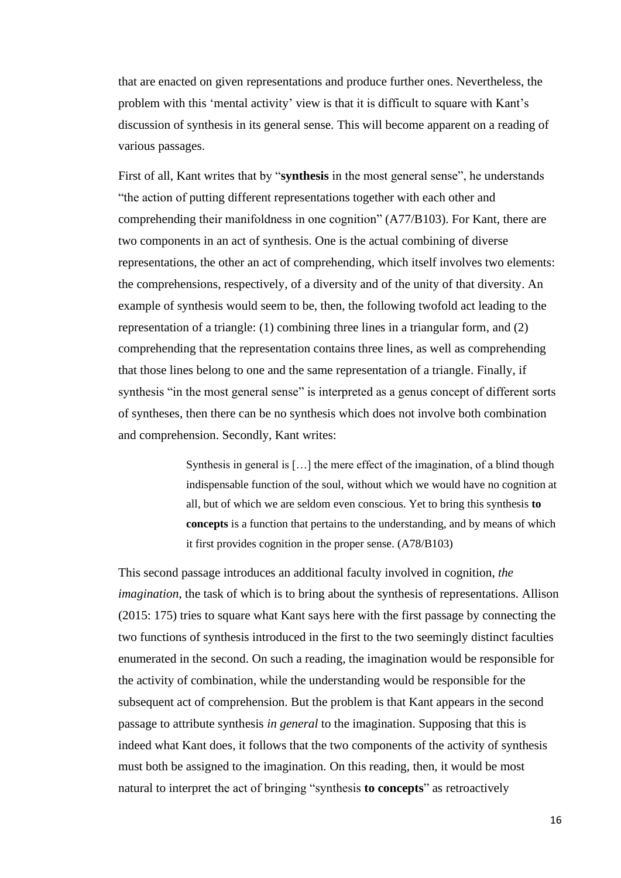that are enacted on given representations and produce further ones. Nevertheless, the problem with this 'mental activity' view is that it is difficult to square with Kant's discussion of synthesis in its general sense. This will become apparent on a reading of various passages.

First of all, Kant writes that by "**synthesis** in the most general sense", he understands "the action of putting different representations together with each other and comprehending their manifoldness in one cognition" (A77/B103). For Kant, there are two components in an act of synthesis. One is the actual combining of diverse representations, the other an act of comprehending, which itself involves two elements: the comprehensions, respectively, of a diversity and of the unity of that diversity. An example of synthesis would seem to be, then, the following twofold act leading to the representation of a triangle: (1) combining three lines in a triangular form, and (2) comprehending that the representation contains three lines, as well as comprehending that those lines belong to one and the same representation of a triangle. Finally, if synthesis "in the most general sense" is interpreted as a genus concept of different sorts of syntheses, then there can be no synthesis which does not involve both combination and comprehension. Secondly, Kant writes:

> Synthesis in general is […] the mere effect of the imagination, of a blind though indispensable function of the soul, without which we would have no cognition at all, but of which we are seldom even conscious. Yet to bring this synthesis **to concepts** is a function that pertains to the understanding, and by means of which it first provides cognition in the proper sense. (A78/B103)

This second passage introduces an additional faculty involved in cognition, *the imagination*, the task of which is to bring about the synthesis of representations. Allison (2015: 175) tries to square what Kant says here with the first passage by connecting the two functions of synthesis introduced in the first to the two seemingly distinct faculties enumerated in the second. On such a reading, the imagination would be responsible for the activity of combination, while the understanding would be responsible for the subsequent act of comprehension. But the problem is that Kant appears in the second passage to attribute synthesis *in general* to the imagination. Supposing that this is indeed what Kant does, it follows that the two components of the activity of synthesis must both be assigned to the imagination. On this reading, then, it would be most natural to interpret the act of bringing "synthesis **to concepts**" as retroactively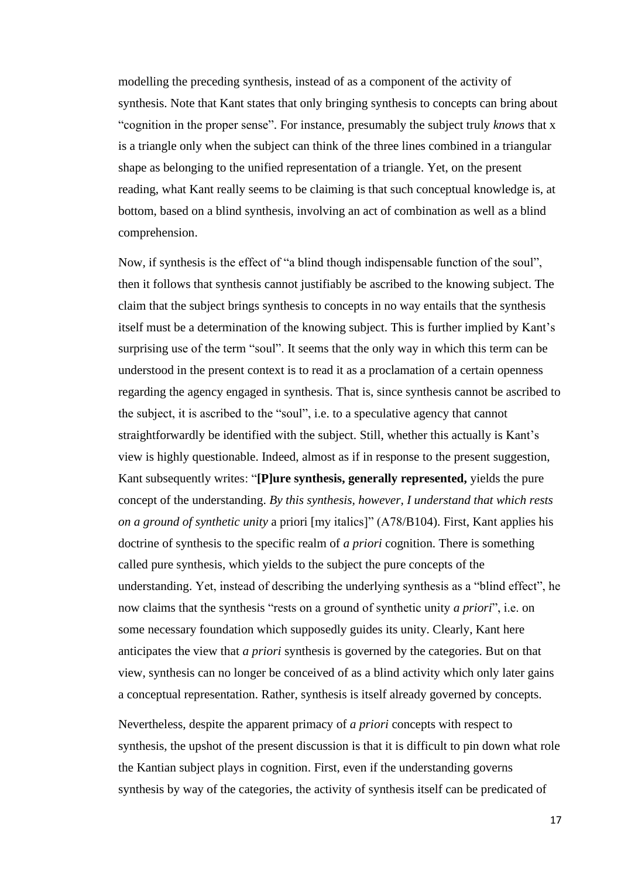modelling the preceding synthesis, instead of as a component of the activity of synthesis. Note that Kant states that only bringing synthesis to concepts can bring about "cognition in the proper sense". For instance, presumably the subject truly *knows* that x is a triangle only when the subject can think of the three lines combined in a triangular shape as belonging to the unified representation of a triangle. Yet, on the present reading, what Kant really seems to be claiming is that such conceptual knowledge is, at bottom, based on a blind synthesis, involving an act of combination as well as a blind comprehension.

Now, if synthesis is the effect of "a blind though indispensable function of the soul", then it follows that synthesis cannot justifiably be ascribed to the knowing subject. The claim that the subject brings synthesis to concepts in no way entails that the synthesis itself must be a determination of the knowing subject. This is further implied by Kant's surprising use of the term "soul". It seems that the only way in which this term can be understood in the present context is to read it as a proclamation of a certain openness regarding the agency engaged in synthesis. That is, since synthesis cannot be ascribed to the subject, it is ascribed to the "soul", i.e. to a speculative agency that cannot straightforwardly be identified with the subject. Still, whether this actually is Kant's view is highly questionable. Indeed, almost as if in response to the present suggestion, Kant subsequently writes: "**[P]ure synthesis, generally represented,** yields the pure concept of the understanding. *By this synthesis, however, I understand that which rests on a ground of synthetic unity* a priori [my italics]" (A78/B104). First, Kant applies his doctrine of synthesis to the specific realm of *a priori* cognition. There is something called pure synthesis, which yields to the subject the pure concepts of the understanding. Yet, instead of describing the underlying synthesis as a "blind effect", he now claims that the synthesis "rests on a ground of synthetic unity *a priori*", i.e. on some necessary foundation which supposedly guides its unity. Clearly, Kant here anticipates the view that *a priori* synthesis is governed by the categories. But on that view, synthesis can no longer be conceived of as a blind activity which only later gains a conceptual representation. Rather, synthesis is itself already governed by concepts.

Nevertheless, despite the apparent primacy of *a priori* concepts with respect to synthesis, the upshot of the present discussion is that it is difficult to pin down what role the Kantian subject plays in cognition. First, even if the understanding governs synthesis by way of the categories, the activity of synthesis itself can be predicated of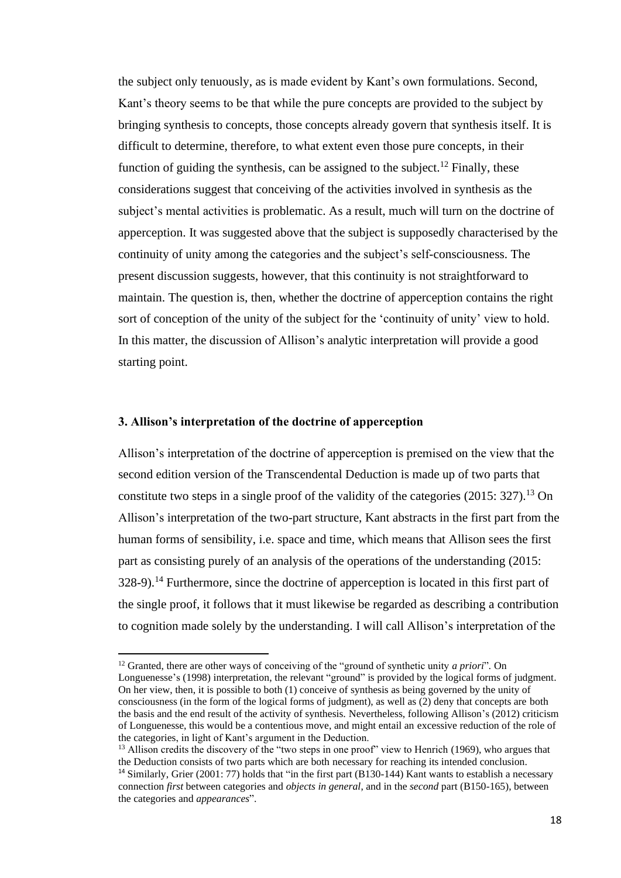the subject only tenuously, as is made evident by Kant's own formulations. Second, Kant's theory seems to be that while the pure concepts are provided to the subject by bringing synthesis to concepts, those concepts already govern that synthesis itself. It is difficult to determine, therefore, to what extent even those pure concepts, in their function of guiding the synthesis, can be assigned to the subject.<sup>12</sup> Finally, these considerations suggest that conceiving of the activities involved in synthesis as the subject's mental activities is problematic. As a result, much will turn on the doctrine of apperception. It was suggested above that the subject is supposedly characterised by the continuity of unity among the categories and the subject's self-consciousness. The present discussion suggests, however, that this continuity is not straightforward to maintain. The question is, then, whether the doctrine of apperception contains the right sort of conception of the unity of the subject for the 'continuity of unity' view to hold. In this matter, the discussion of Allison's analytic interpretation will provide a good starting point.

#### <span id="page-21-0"></span>**3. Allison's interpretation of the doctrine of apperception**

Allison's interpretation of the doctrine of apperception is premised on the view that the second edition version of the Transcendental Deduction is made up of two parts that constitute two steps in a single proof of the validity of the categories (2015: 327).<sup>13</sup> On Allison's interpretation of the two-part structure, Kant abstracts in the first part from the human forms of sensibility, i.e. space and time, which means that Allison sees the first part as consisting purely of an analysis of the operations of the understanding (2015: 328-9).<sup>14</sup> Furthermore, since the doctrine of apperception is located in this first part of the single proof, it follows that it must likewise be regarded as describing a contribution to cognition made solely by the understanding. I will call Allison's interpretation of the

<sup>12</sup> Granted, there are other ways of conceiving of the "ground of synthetic unity *a priori*"*.* On Longuenesse's (1998) interpretation, the relevant "ground" is provided by the logical forms of judgment. On her view, then, it is possible to both (1) conceive of synthesis as being governed by the unity of consciousness (in the form of the logical forms of judgment), as well as (2) deny that concepts are both the basis and the end result of the activity of synthesis. Nevertheless, following Allison's (2012) criticism of Longuenesse, this would be a contentious move, and might entail an excessive reduction of the role of the categories, in light of Kant's argument in the Deduction.

<sup>&</sup>lt;sup>13</sup> Allison credits the discovery of the "two steps in one proof" view to Henrich (1969), who argues that the Deduction consists of two parts which are both necessary for reaching its intended conclusion. <sup>14</sup> Similarly, Grier (2001: 77) holds that "in the first part (B130-144) Kant wants to establish a necessary connection *first* between categories and *objects in general*, and in the *second* part (B150-165), between the categories and *appearances*".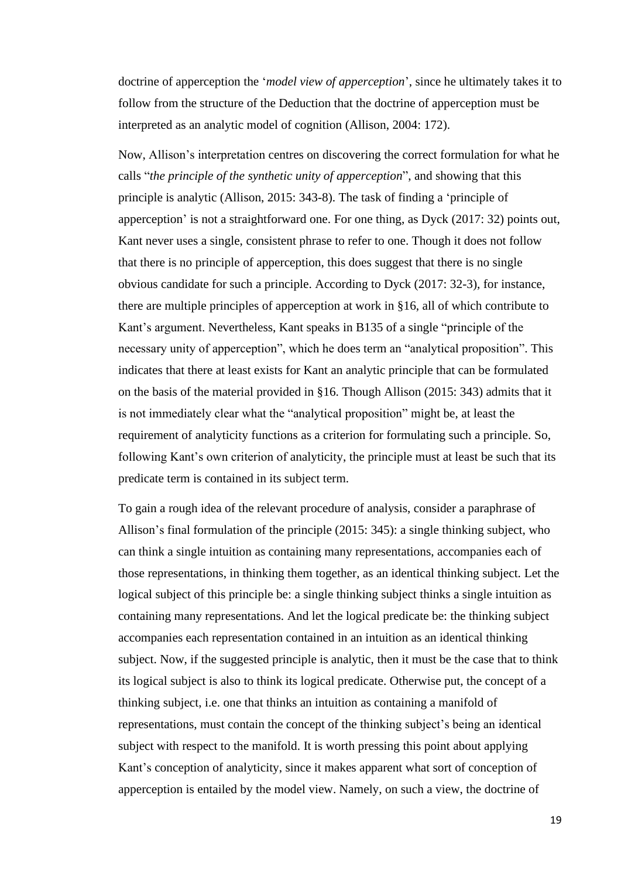doctrine of apperception the '*model view of apperception*', since he ultimately takes it to follow from the structure of the Deduction that the doctrine of apperception must be interpreted as an analytic model of cognition (Allison, 2004: 172).

Now, Allison's interpretation centres on discovering the correct formulation for what he calls "*the principle of the synthetic unity of apperception*", and showing that this principle is analytic (Allison, 2015: 343-8). The task of finding a 'principle of apperception' is not a straightforward one. For one thing, as Dyck (2017: 32) points out, Kant never uses a single, consistent phrase to refer to one. Though it does not follow that there is no principle of apperception, this does suggest that there is no single obvious candidate for such a principle. According to Dyck (2017: 32-3), for instance, there are multiple principles of apperception at work in §16, all of which contribute to Kant's argument. Nevertheless, Kant speaks in B135 of a single "principle of the necessary unity of apperception", which he does term an "analytical proposition". This indicates that there at least exists for Kant an analytic principle that can be formulated on the basis of the material provided in §16. Though Allison (2015: 343) admits that it is not immediately clear what the "analytical proposition" might be, at least the requirement of analyticity functions as a criterion for formulating such a principle. So, following Kant's own criterion of analyticity, the principle must at least be such that its predicate term is contained in its subject term.

To gain a rough idea of the relevant procedure of analysis, consider a paraphrase of Allison's final formulation of the principle (2015: 345): a single thinking subject, who can think a single intuition as containing many representations, accompanies each of those representations, in thinking them together, as an identical thinking subject. Let the logical subject of this principle be: a single thinking subject thinks a single intuition as containing many representations. And let the logical predicate be: the thinking subject accompanies each representation contained in an intuition as an identical thinking subject. Now, if the suggested principle is analytic, then it must be the case that to think its logical subject is also to think its logical predicate. Otherwise put, the concept of a thinking subject, i.e. one that thinks an intuition as containing a manifold of representations, must contain the concept of the thinking subject's being an identical subject with respect to the manifold. It is worth pressing this point about applying Kant's conception of analyticity, since it makes apparent what sort of conception of apperception is entailed by the model view. Namely, on such a view, the doctrine of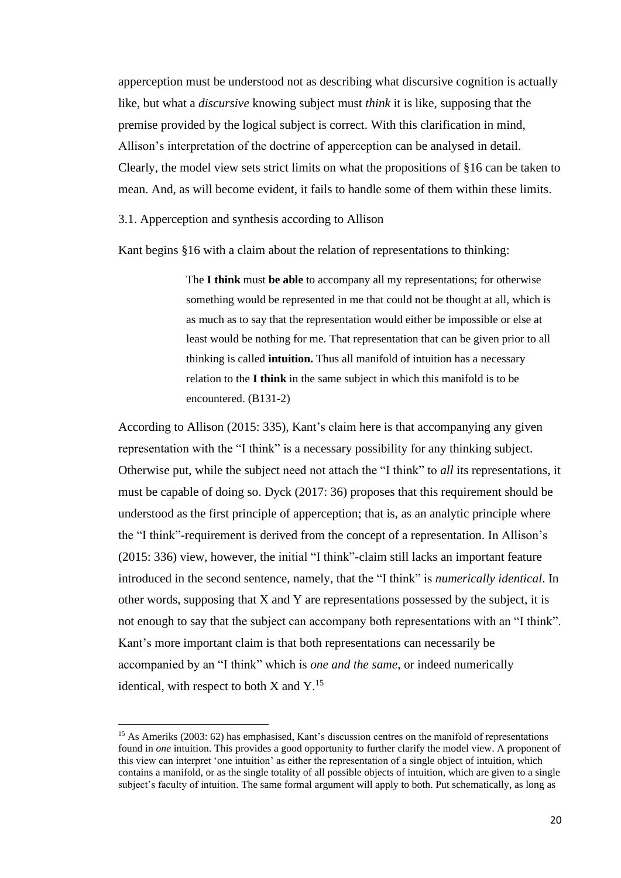apperception must be understood not as describing what discursive cognition is actually like, but what a *discursive* knowing subject must *think* it is like, supposing that the premise provided by the logical subject is correct. With this clarification in mind, Allison's interpretation of the doctrine of apperception can be analysed in detail. Clearly, the model view sets strict limits on what the propositions of §16 can be taken to mean. And, as will become evident, it fails to handle some of them within these limits.

<span id="page-23-0"></span>3.1. Apperception and synthesis according to Allison

Kant begins §16 with a claim about the relation of representations to thinking:

The **I think** must **be able** to accompany all my representations; for otherwise something would be represented in me that could not be thought at all, which is as much as to say that the representation would either be impossible or else at least would be nothing for me. That representation that can be given prior to all thinking is called **intuition.** Thus all manifold of intuition has a necessary relation to the **I think** in the same subject in which this manifold is to be encountered. (B131-2)

According to Allison (2015: 335), Kant's claim here is that accompanying any given representation with the "I think" is a necessary possibility for any thinking subject. Otherwise put, while the subject need not attach the "I think" to *all* its representations, it must be capable of doing so. Dyck (2017: 36) proposes that this requirement should be understood as the first principle of apperception; that is, as an analytic principle where the "I think"-requirement is derived from the concept of a representation. In Allison's (2015: 336) view, however, the initial "I think"-claim still lacks an important feature introduced in the second sentence, namely, that the "I think" is *numerically identical*. In other words, supposing that X and Y are representations possessed by the subject, it is not enough to say that the subject can accompany both representations with an "I think". Kant's more important claim is that both representations can necessarily be accompanied by an "I think" which is *one and the same*, or indeed numerically identical, with respect to both  $X$  and  $Y$ .<sup>15</sup>

<sup>&</sup>lt;sup>15</sup> As Ameriks (2003: 62) has emphasised, Kant's discussion centres on the manifold of representations found in *one* intuition. This provides a good opportunity to further clarify the model view. A proponent of this view can interpret 'one intuition' as either the representation of a single object of intuition, which contains a manifold, or as the single totality of all possible objects of intuition, which are given to a single subject's faculty of intuition. The same formal argument will apply to both. Put schematically, as long as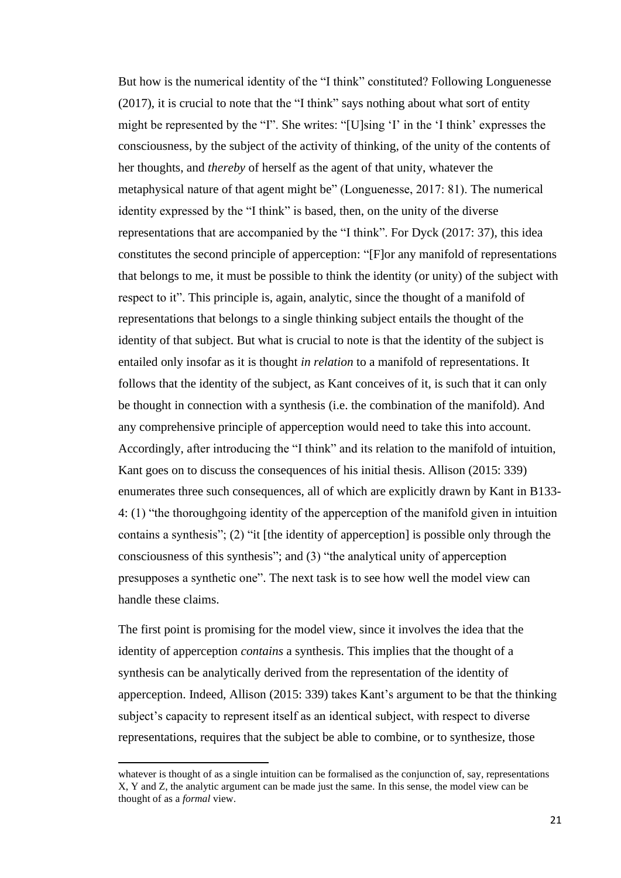But how is the numerical identity of the "I think" constituted? Following Longuenesse (2017), it is crucial to note that the "I think" says nothing about what sort of entity might be represented by the "I". She writes: "[U]sing 'I' in the 'I think' expresses the consciousness, by the subject of the activity of thinking, of the unity of the contents of her thoughts, and *thereby* of herself as the agent of that unity, whatever the metaphysical nature of that agent might be" (Longuenesse, 2017: 81). The numerical identity expressed by the "I think" is based, then, on the unity of the diverse representations that are accompanied by the "I think". For Dyck (2017: 37), this idea constitutes the second principle of apperception: "[F]or any manifold of representations that belongs to me, it must be possible to think the identity (or unity) of the subject with respect to it". This principle is, again, analytic, since the thought of a manifold of representations that belongs to a single thinking subject entails the thought of the identity of that subject. But what is crucial to note is that the identity of the subject is entailed only insofar as it is thought *in relation* to a manifold of representations. It follows that the identity of the subject, as Kant conceives of it, is such that it can only be thought in connection with a synthesis (i.e. the combination of the manifold). And any comprehensive principle of apperception would need to take this into account. Accordingly, after introducing the "I think" and its relation to the manifold of intuition, Kant goes on to discuss the consequences of his initial thesis. Allison (2015: 339) enumerates three such consequences, all of which are explicitly drawn by Kant in B133- 4: (1) "the thoroughgoing identity of the apperception of the manifold given in intuition contains a synthesis"; (2) "it [the identity of apperception] is possible only through the consciousness of this synthesis"; and (3) "the analytical unity of apperception presupposes a synthetic one". The next task is to see how well the model view can handle these claims.

The first point is promising for the model view, since it involves the idea that the identity of apperception *contains* a synthesis. This implies that the thought of a synthesis can be analytically derived from the representation of the identity of apperception. Indeed, Allison (2015: 339) takes Kant's argument to be that the thinking subject's capacity to represent itself as an identical subject, with respect to diverse representations, requires that the subject be able to combine, or to synthesize, those

whatever is thought of as a single intuition can be formalised as the conjunction of, say, representations X, Y and Z, the analytic argument can be made just the same. In this sense, the model view can be thought of as a *formal* view.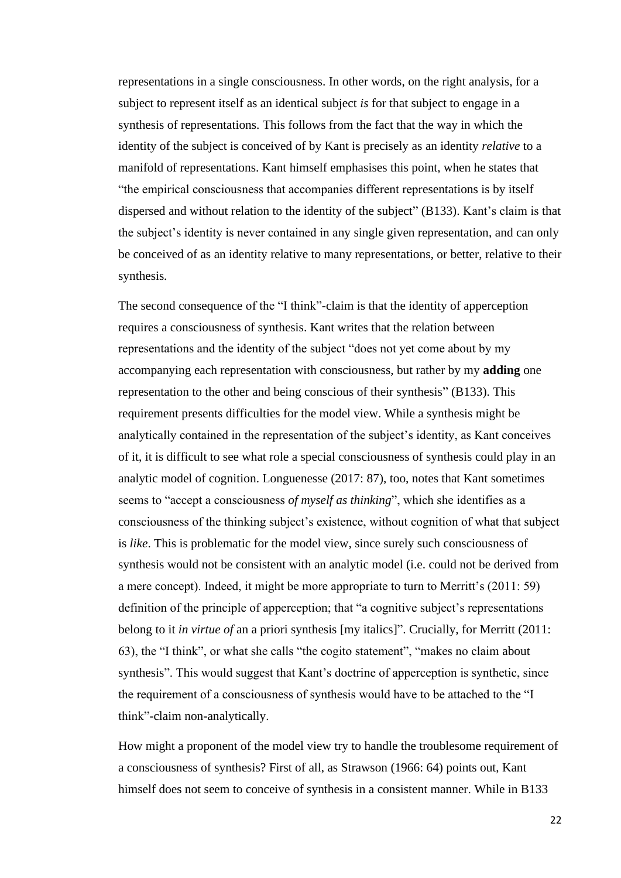representations in a single consciousness. In other words, on the right analysis, for a subject to represent itself as an identical subject *is* for that subject to engage in a synthesis of representations. This follows from the fact that the way in which the identity of the subject is conceived of by Kant is precisely as an identity *relative* to a manifold of representations. Kant himself emphasises this point, when he states that "the empirical consciousness that accompanies different representations is by itself dispersed and without relation to the identity of the subject" (B133). Kant's claim is that the subject's identity is never contained in any single given representation, and can only be conceived of as an identity relative to many representations, or better, relative to their synthesis*.*

The second consequence of the "I think"-claim is that the identity of apperception requires a consciousness of synthesis. Kant writes that the relation between representations and the identity of the subject "does not yet come about by my accompanying each representation with consciousness, but rather by my **adding** one representation to the other and being conscious of their synthesis" (B133). This requirement presents difficulties for the model view. While a synthesis might be analytically contained in the representation of the subject's identity, as Kant conceives of it, it is difficult to see what role a special consciousness of synthesis could play in an analytic model of cognition. Longuenesse (2017: 87), too, notes that Kant sometimes seems to "accept a consciousness *of myself as thinking*", which she identifies as a consciousness of the thinking subject's existence, without cognition of what that subject is *like*. This is problematic for the model view, since surely such consciousness of synthesis would not be consistent with an analytic model (i.e. could not be derived from a mere concept). Indeed, it might be more appropriate to turn to Merritt's (2011: 59) definition of the principle of apperception; that "a cognitive subject's representations belong to it *in virtue of* an a priori synthesis [my italics]". Crucially, for Merritt (2011: 63), the "I think", or what she calls "the cogito statement", "makes no claim about synthesis". This would suggest that Kant's doctrine of apperception is synthetic, since the requirement of a consciousness of synthesis would have to be attached to the "I think"-claim non-analytically.

How might a proponent of the model view try to handle the troublesome requirement of a consciousness of synthesis? First of all, as Strawson (1966: 64) points out, Kant himself does not seem to conceive of synthesis in a consistent manner. While in B133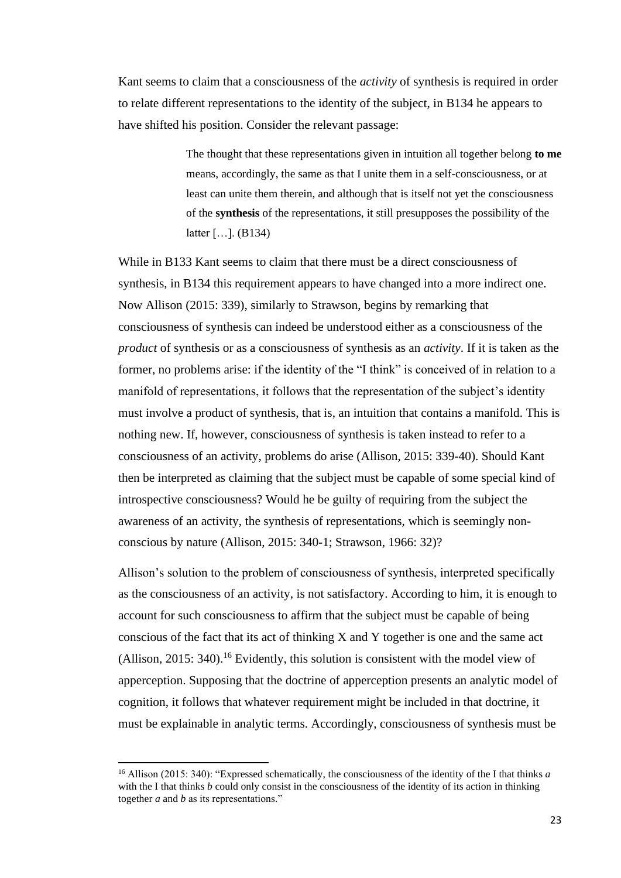Kant seems to claim that a consciousness of the *activity* of synthesis is required in order to relate different representations to the identity of the subject, in B134 he appears to have shifted his position. Consider the relevant passage:

> The thought that these representations given in intuition all together belong **to me**  means, accordingly, the same as that I unite them in a self-consciousness, or at least can unite them therein, and although that is itself not yet the consciousness of the **synthesis** of the representations, it still presupposes the possibility of the latter […]. (B134)

While in B133 Kant seems to claim that there must be a direct consciousness of synthesis, in B134 this requirement appears to have changed into a more indirect one. Now Allison (2015: 339), similarly to Strawson, begins by remarking that consciousness of synthesis can indeed be understood either as a consciousness of the *product* of synthesis or as a consciousness of synthesis as an *activity*. If it is taken as the former, no problems arise: if the identity of the "I think" is conceived of in relation to a manifold of representations, it follows that the representation of the subject's identity must involve a product of synthesis, that is, an intuition that contains a manifold. This is nothing new. If, however, consciousness of synthesis is taken instead to refer to a consciousness of an activity, problems do arise (Allison, 2015: 339-40). Should Kant then be interpreted as claiming that the subject must be capable of some special kind of introspective consciousness? Would he be guilty of requiring from the subject the awareness of an activity, the synthesis of representations, which is seemingly nonconscious by nature (Allison, 2015: 340-1; Strawson, 1966: 32)?

Allison's solution to the problem of consciousness of synthesis, interpreted specifically as the consciousness of an activity, is not satisfactory. According to him, it is enough to account for such consciousness to affirm that the subject must be capable of being conscious of the fact that its act of thinking X and Y together is one and the same act (Allison, 2015: 340). <sup>16</sup> Evidently, this solution is consistent with the model view of apperception. Supposing that the doctrine of apperception presents an analytic model of cognition, it follows that whatever requirement might be included in that doctrine, it must be explainable in analytic terms. Accordingly, consciousness of synthesis must be

<sup>16</sup> Allison (2015: 340): "Expressed schematically, the consciousness of the identity of the I that thinks *a*  with the I that thinks *b* could only consist in the consciousness of the identity of its action in thinking together *a* and *b* as its representations."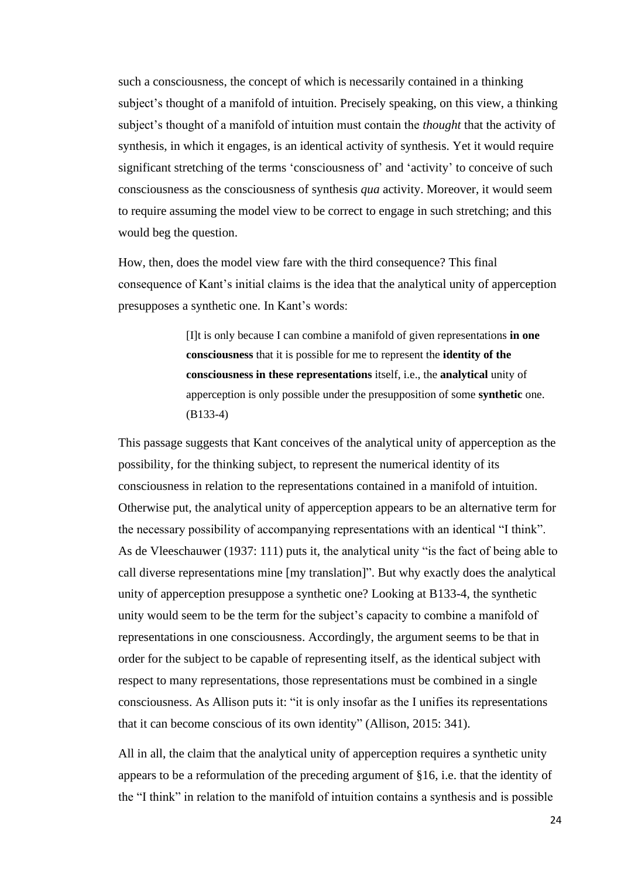such a consciousness, the concept of which is necessarily contained in a thinking subject's thought of a manifold of intuition. Precisely speaking, on this view, a thinking subject's thought of a manifold of intuition must contain the *thought* that the activity of synthesis, in which it engages, is an identical activity of synthesis. Yet it would require significant stretching of the terms 'consciousness of' and 'activity' to conceive of such consciousness as the consciousness of synthesis *qua* activity. Moreover, it would seem to require assuming the model view to be correct to engage in such stretching; and this would beg the question.

How, then, does the model view fare with the third consequence? This final consequence of Kant's initial claims is the idea that the analytical unity of apperception presupposes a synthetic one. In Kant's words:

> [I]t is only because I can combine a manifold of given representations **in one consciousness** that it is possible for me to represent the **identity of the consciousness in these representations** itself, i.e., the **analytical** unity of apperception is only possible under the presupposition of some **synthetic** one. (B133-4)

This passage suggests that Kant conceives of the analytical unity of apperception as the possibility, for the thinking subject, to represent the numerical identity of its consciousness in relation to the representations contained in a manifold of intuition. Otherwise put, the analytical unity of apperception appears to be an alternative term for the necessary possibility of accompanying representations with an identical "I think". As de Vleeschauwer (1937: 111) puts it, the analytical unity "is the fact of being able to call diverse representations mine [my translation]". But why exactly does the analytical unity of apperception presuppose a synthetic one? Looking at B133-4, the synthetic unity would seem to be the term for the subject's capacity to combine a manifold of representations in one consciousness. Accordingly, the argument seems to be that in order for the subject to be capable of representing itself, as the identical subject with respect to many representations, those representations must be combined in a single consciousness. As Allison puts it: "it is only insofar as the I unifies its representations that it can become conscious of its own identity" (Allison, 2015: 341).

All in all, the claim that the analytical unity of apperception requires a synthetic unity appears to be a reformulation of the preceding argument of §16, i.e. that the identity of the "I think" in relation to the manifold of intuition contains a synthesis and is possible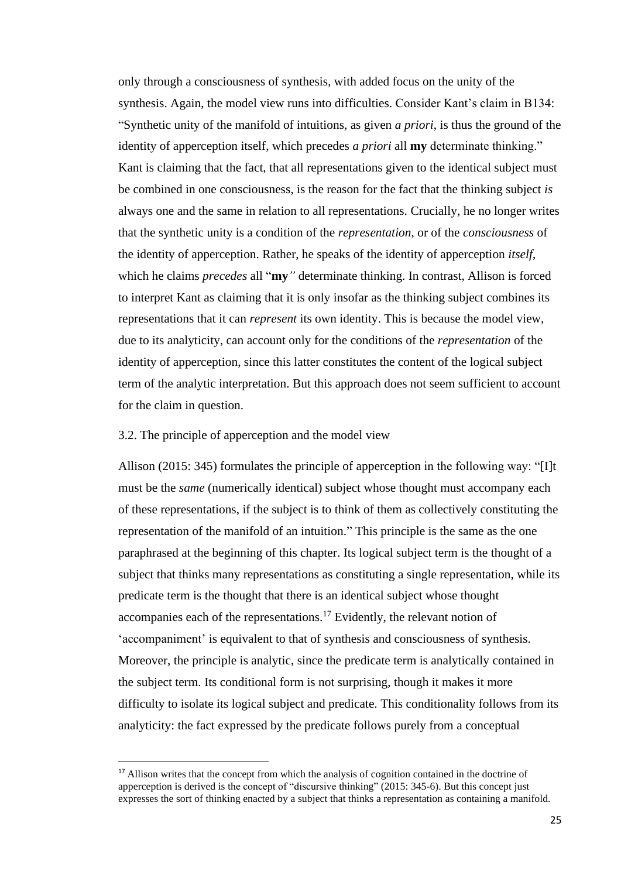only through a consciousness of synthesis, with added focus on the unity of the synthesis. Again, the model view runs into difficulties. Consider Kant's claim in B134: "Synthetic unity of the manifold of intuitions, as given *a priori*, is thus the ground of the identity of apperception itself, which precedes *a priori* all **my** determinate thinking." Kant is claiming that the fact, that all representations given to the identical subject must be combined in one consciousness, is the reason for the fact that the thinking subject *is* always one and the same in relation to all representations. Crucially, he no longer writes that the synthetic unity is a condition of the *representation*, or of the *consciousness* of the identity of apperception. Rather, he speaks of the identity of apperception *itself*, which he claims *precedes* all "**my***"* determinate thinking. In contrast, Allison is forced to interpret Kant as claiming that it is only insofar as the thinking subject combines its representations that it can *represent* its own identity. This is because the model view, due to its analyticity, can account only for the conditions of the *representation* of the identity of apperception, since this latter constitutes the content of the logical subject term of the analytic interpretation. But this approach does not seem sufficient to account for the claim in question.

## <span id="page-28-0"></span>3.2. The principle of apperception and the model view

Allison (2015: 345) formulates the principle of apperception in the following way: "[I]t must be the *same* (numerically identical) subject whose thought must accompany each of these representations, if the subject is to think of them as collectively constituting the representation of the manifold of an intuition." This principle is the same as the one paraphrased at the beginning of this chapter. Its logical subject term is the thought of a subject that thinks many representations as constituting a single representation, while its predicate term is the thought that there is an identical subject whose thought accompanies each of the representations.<sup>17</sup> Evidently, the relevant notion of 'accompaniment' is equivalent to that of synthesis and consciousness of synthesis. Moreover, the principle is analytic, since the predicate term is analytically contained in the subject term. Its conditional form is not surprising, though it makes it more difficulty to isolate its logical subject and predicate. This conditionality follows from its analyticity: the fact expressed by the predicate follows purely from a conceptual

<sup>&</sup>lt;sup>17</sup> Allison writes that the concept from which the analysis of cognition contained in the doctrine of apperception is derived is the concept of "discursive thinking" (2015: 345-6). But this concept just expresses the sort of thinking enacted by a subject that thinks a representation as containing a manifold.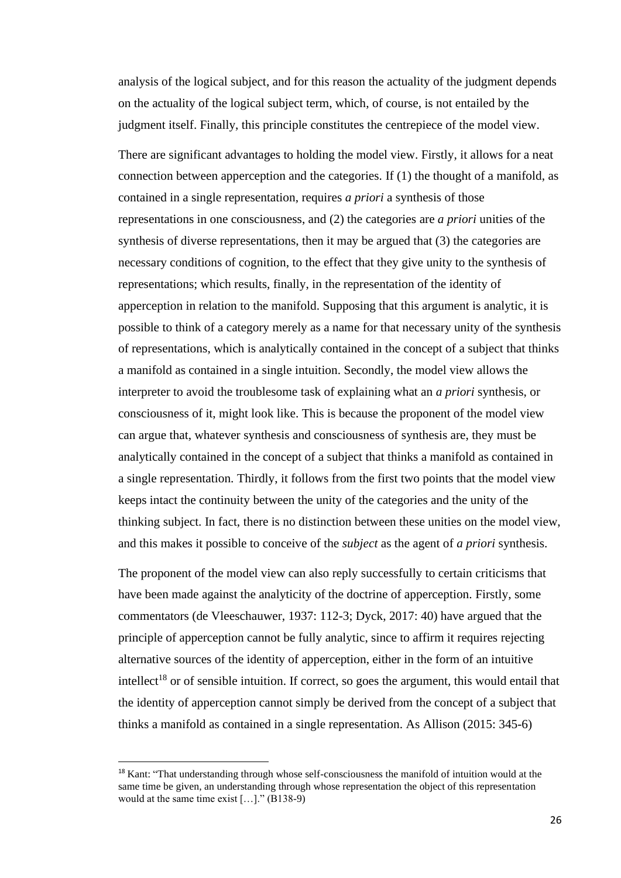analysis of the logical subject, and for this reason the actuality of the judgment depends on the actuality of the logical subject term, which, of course, is not entailed by the judgment itself. Finally, this principle constitutes the centrepiece of the model view.

There are significant advantages to holding the model view. Firstly, it allows for a neat connection between apperception and the categories. If (1) the thought of a manifold, as contained in a single representation, requires *a priori* a synthesis of those representations in one consciousness, and (2) the categories are *a priori* unities of the synthesis of diverse representations, then it may be argued that (3) the categories are necessary conditions of cognition, to the effect that they give unity to the synthesis of representations; which results, finally, in the representation of the identity of apperception in relation to the manifold. Supposing that this argument is analytic, it is possible to think of a category merely as a name for that necessary unity of the synthesis of representations, which is analytically contained in the concept of a subject that thinks a manifold as contained in a single intuition. Secondly, the model view allows the interpreter to avoid the troublesome task of explaining what an *a priori* synthesis, or consciousness of it, might look like. This is because the proponent of the model view can argue that, whatever synthesis and consciousness of synthesis are, they must be analytically contained in the concept of a subject that thinks a manifold as contained in a single representation. Thirdly, it follows from the first two points that the model view keeps intact the continuity between the unity of the categories and the unity of the thinking subject. In fact, there is no distinction between these unities on the model view, and this makes it possible to conceive of the *subject* as the agent of *a priori* synthesis.

The proponent of the model view can also reply successfully to certain criticisms that have been made against the analyticity of the doctrine of apperception. Firstly, some commentators (de Vleeschauwer, 1937: 112-3; Dyck, 2017: 40) have argued that the principle of apperception cannot be fully analytic, since to affirm it requires rejecting alternative sources of the identity of apperception, either in the form of an intuitive intellect<sup>18</sup> or of sensible intuition. If correct, so goes the argument, this would entail that the identity of apperception cannot simply be derived from the concept of a subject that thinks a manifold as contained in a single representation. As Allison (2015: 345-6)

<sup>&</sup>lt;sup>18</sup> Kant: "That understanding through whose self-consciousness the manifold of intuition would at the same time be given, an understanding through whose representation the object of this representation would at the same time exist […]." (B138-9)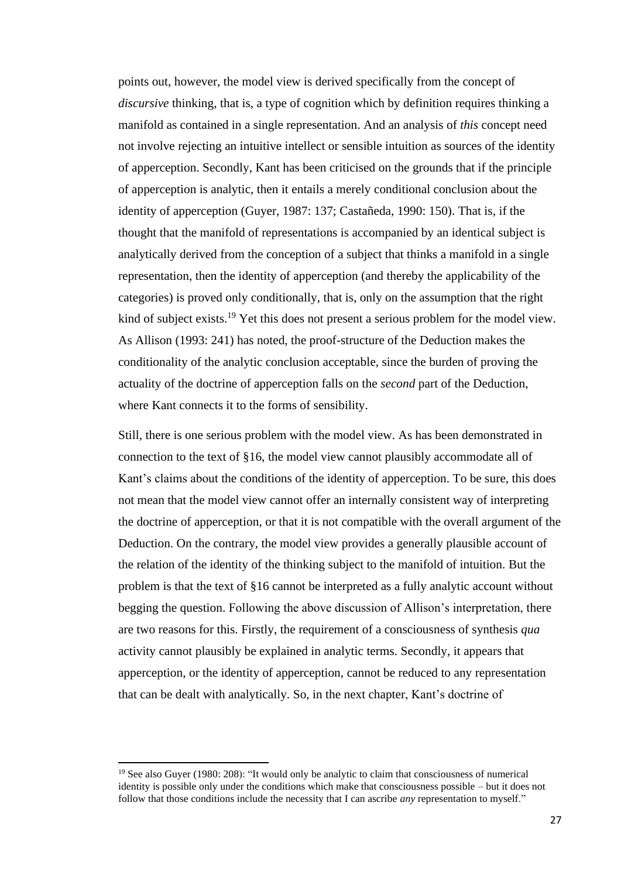points out, however, the model view is derived specifically from the concept of *discursive* thinking, that is, a type of cognition which by definition requires thinking a manifold as contained in a single representation. And an analysis of *this* concept need not involve rejecting an intuitive intellect or sensible intuition as sources of the identity of apperception. Secondly, Kant has been criticised on the grounds that if the principle of apperception is analytic, then it entails a merely conditional conclusion about the identity of apperception (Guyer, 1987: 137; Castañeda, 1990: 150). That is, if the thought that the manifold of representations is accompanied by an identical subject is analytically derived from the conception of a subject that thinks a manifold in a single representation, then the identity of apperception (and thereby the applicability of the categories) is proved only conditionally, that is, only on the assumption that the right kind of subject exists.<sup>19</sup> Yet this does not present a serious problem for the model view. As Allison (1993: 241) has noted, the proof-structure of the Deduction makes the conditionality of the analytic conclusion acceptable, since the burden of proving the actuality of the doctrine of apperception falls on the *second* part of the Deduction, where Kant connects it to the forms of sensibility.

Still, there is one serious problem with the model view. As has been demonstrated in connection to the text of §16, the model view cannot plausibly accommodate all of Kant's claims about the conditions of the identity of apperception. To be sure, this does not mean that the model view cannot offer an internally consistent way of interpreting the doctrine of apperception, or that it is not compatible with the overall argument of the Deduction. On the contrary, the model view provides a generally plausible account of the relation of the identity of the thinking subject to the manifold of intuition. But the problem is that the text of §16 cannot be interpreted as a fully analytic account without begging the question. Following the above discussion of Allison's interpretation, there are two reasons for this. Firstly, the requirement of a consciousness of synthesis *qua*  activity cannot plausibly be explained in analytic terms. Secondly, it appears that apperception, or the identity of apperception, cannot be reduced to any representation that can be dealt with analytically. So, in the next chapter, Kant's doctrine of

<sup>&</sup>lt;sup>19</sup> See also Guyer (1980: 208): "It would only be analytic to claim that consciousness of numerical identity is possible only under the conditions which make that consciousness possible – but it does not follow that those conditions include the necessity that I can ascribe *any* representation to myself."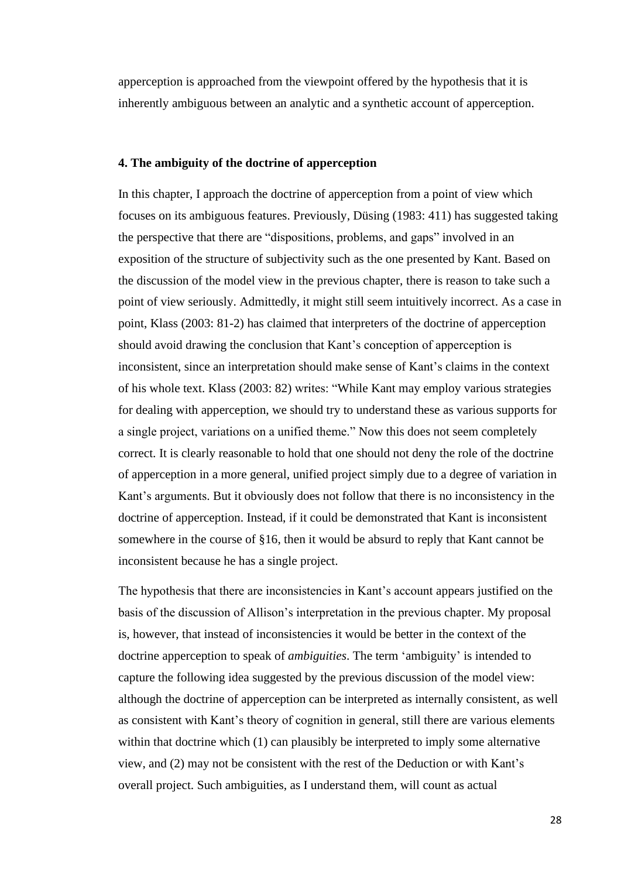apperception is approached from the viewpoint offered by the hypothesis that it is inherently ambiguous between an analytic and a synthetic account of apperception.

#### <span id="page-31-0"></span>**4. The ambiguity of the doctrine of apperception**

In this chapter, I approach the doctrine of apperception from a point of view which focuses on its ambiguous features. Previously, Düsing (1983: 411) has suggested taking the perspective that there are "dispositions, problems, and gaps" involved in an exposition of the structure of subjectivity such as the one presented by Kant. Based on the discussion of the model view in the previous chapter, there is reason to take such a point of view seriously. Admittedly, it might still seem intuitively incorrect. As a case in point, Klass (2003: 81-2) has claimed that interpreters of the doctrine of apperception should avoid drawing the conclusion that Kant's conception of apperception is inconsistent, since an interpretation should make sense of Kant's claims in the context of his whole text. Klass (2003: 82) writes: "While Kant may employ various strategies for dealing with apperception, we should try to understand these as various supports for a single project, variations on a unified theme." Now this does not seem completely correct. It is clearly reasonable to hold that one should not deny the role of the doctrine of apperception in a more general, unified project simply due to a degree of variation in Kant's arguments. But it obviously does not follow that there is no inconsistency in the doctrine of apperception. Instead, if it could be demonstrated that Kant is inconsistent somewhere in the course of §16, then it would be absurd to reply that Kant cannot be inconsistent because he has a single project.

The hypothesis that there are inconsistencies in Kant's account appears justified on the basis of the discussion of Allison's interpretation in the previous chapter. My proposal is, however, that instead of inconsistencies it would be better in the context of the doctrine apperception to speak of *ambiguities*. The term 'ambiguity' is intended to capture the following idea suggested by the previous discussion of the model view: although the doctrine of apperception can be interpreted as internally consistent, as well as consistent with Kant's theory of cognition in general, still there are various elements within that doctrine which (1) can plausibly be interpreted to imply some alternative view, and (2) may not be consistent with the rest of the Deduction or with Kant's overall project. Such ambiguities, as I understand them, will count as actual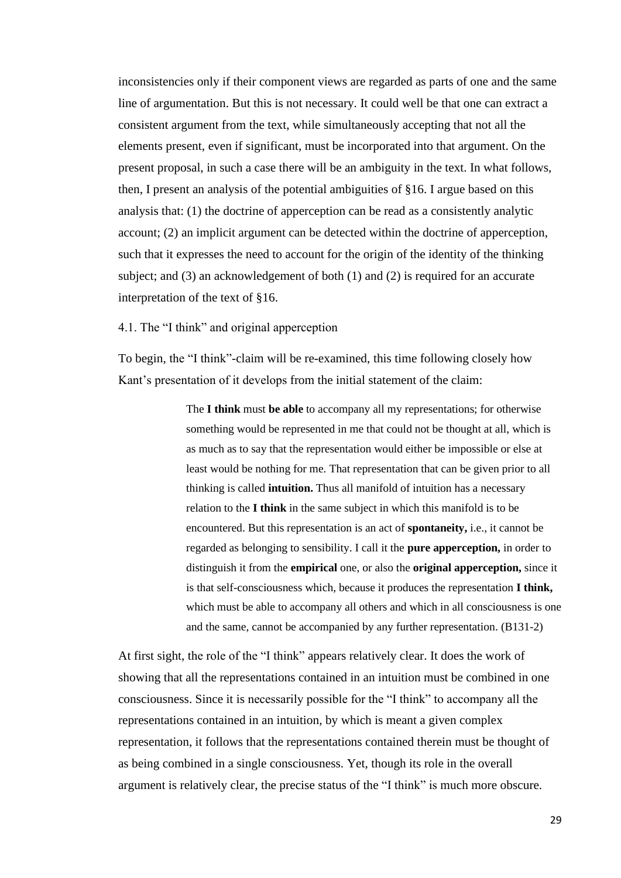inconsistencies only if their component views are regarded as parts of one and the same line of argumentation. But this is not necessary. It could well be that one can extract a consistent argument from the text, while simultaneously accepting that not all the elements present, even if significant, must be incorporated into that argument. On the present proposal, in such a case there will be an ambiguity in the text. In what follows, then, I present an analysis of the potential ambiguities of §16. I argue based on this analysis that: (1) the doctrine of apperception can be read as a consistently analytic account; (2) an implicit argument can be detected within the doctrine of apperception, such that it expresses the need to account for the origin of the identity of the thinking subject; and (3) an acknowledgement of both (1) and (2) is required for an accurate interpretation of the text of §16.

<span id="page-32-0"></span>4.1. The "I think" and original apperception

To begin, the "I think"-claim will be re-examined, this time following closely how Kant's presentation of it develops from the initial statement of the claim:

> The **I think** must **be able** to accompany all my representations; for otherwise something would be represented in me that could not be thought at all, which is as much as to say that the representation would either be impossible or else at least would be nothing for me. That representation that can be given prior to all thinking is called **intuition.** Thus all manifold of intuition has a necessary relation to the **I think** in the same subject in which this manifold is to be encountered. But this representation is an act of **spontaneity,** i.e., it cannot be regarded as belonging to sensibility. I call it the **pure apperception,** in order to distinguish it from the **empirical** one, or also the **original apperception,** since it is that self-consciousness which, because it produces the representation **I think,**  which must be able to accompany all others and which in all consciousness is one and the same, cannot be accompanied by any further representation. (B131-2)

At first sight, the role of the "I think" appears relatively clear. It does the work of showing that all the representations contained in an intuition must be combined in one consciousness. Since it is necessarily possible for the "I think" to accompany all the representations contained in an intuition, by which is meant a given complex representation, it follows that the representations contained therein must be thought of as being combined in a single consciousness. Yet, though its role in the overall argument is relatively clear, the precise status of the "I think" is much more obscure.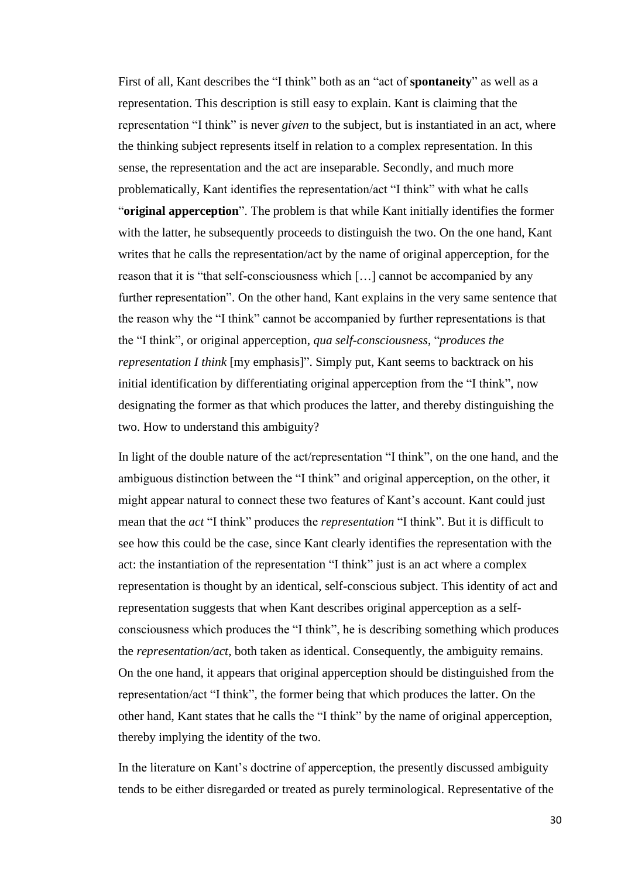First of all, Kant describes the "I think" both as an "act of **spontaneity**" as well as a representation. This description is still easy to explain. Kant is claiming that the representation "I think" is never *given* to the subject, but is instantiated in an act, where the thinking subject represents itself in relation to a complex representation. In this sense, the representation and the act are inseparable. Secondly, and much more problematically, Kant identifies the representation/act "I think" with what he calls "**original apperception**". The problem is that while Kant initially identifies the former with the latter, he subsequently proceeds to distinguish the two. On the one hand, Kant writes that he calls the representation/act by the name of original apperception, for the reason that it is "that self-consciousness which […] cannot be accompanied by any further representation". On the other hand, Kant explains in the very same sentence that the reason why the "I think" cannot be accompanied by further representations is that the "I think", or original apperception, *qua self-consciousness*, "*produces the representation I think* [my emphasis]". Simply put, Kant seems to backtrack on his initial identification by differentiating original apperception from the "I think", now designating the former as that which produces the latter, and thereby distinguishing the two. How to understand this ambiguity?

In light of the double nature of the act/representation "I think", on the one hand, and the ambiguous distinction between the "I think" and original apperception, on the other, it might appear natural to connect these two features of Kant's account. Kant could just mean that the *act* "I think" produces the *representation* "I think". But it is difficult to see how this could be the case, since Kant clearly identifies the representation with the act: the instantiation of the representation "I think" just is an act where a complex representation is thought by an identical, self-conscious subject. This identity of act and representation suggests that when Kant describes original apperception as a selfconsciousness which produces the "I think", he is describing something which produces the *representation/act*, both taken as identical. Consequently, the ambiguity remains. On the one hand, it appears that original apperception should be distinguished from the representation/act "I think", the former being that which produces the latter. On the other hand, Kant states that he calls the "I think" by the name of original apperception, thereby implying the identity of the two.

In the literature on Kant's doctrine of apperception, the presently discussed ambiguity tends to be either disregarded or treated as purely terminological. Representative of the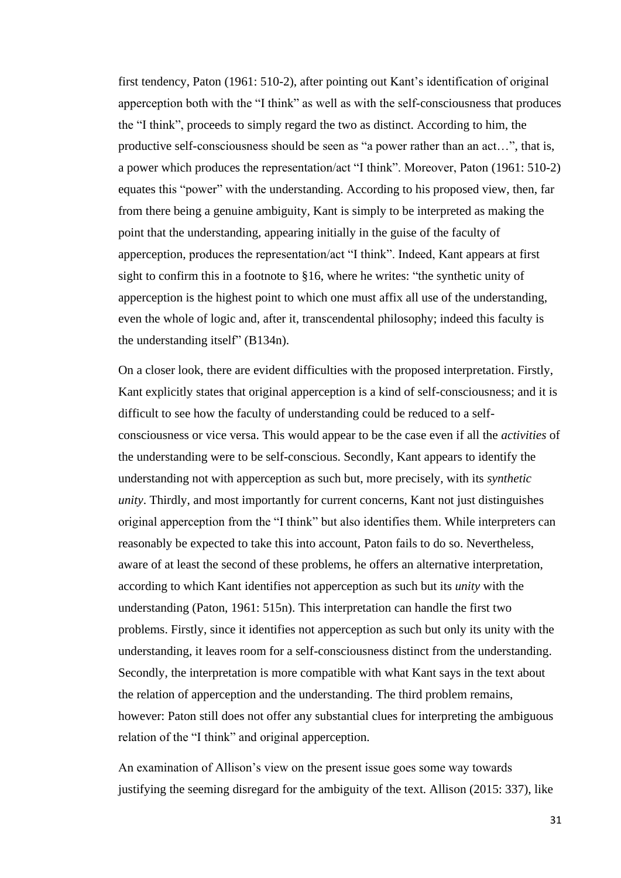first tendency, Paton (1961: 510-2), after pointing out Kant's identification of original apperception both with the "I think" as well as with the self-consciousness that produces the "I think", proceeds to simply regard the two as distinct. According to him, the productive self-consciousness should be seen as "a power rather than an act…", that is, a power which produces the representation/act "I think". Moreover, Paton (1961: 510-2) equates this "power" with the understanding. According to his proposed view, then, far from there being a genuine ambiguity, Kant is simply to be interpreted as making the point that the understanding, appearing initially in the guise of the faculty of apperception, produces the representation/act "I think". Indeed, Kant appears at first sight to confirm this in a footnote to §16, where he writes: "the synthetic unity of apperception is the highest point to which one must affix all use of the understanding, even the whole of logic and, after it, transcendental philosophy; indeed this faculty is the understanding itself" (B134n).

On a closer look, there are evident difficulties with the proposed interpretation. Firstly, Kant explicitly states that original apperception is a kind of self-consciousness; and it is difficult to see how the faculty of understanding could be reduced to a selfconsciousness or vice versa. This would appear to be the case even if all the *activities* of the understanding were to be self-conscious. Secondly, Kant appears to identify the understanding not with apperception as such but, more precisely, with its *synthetic unity*. Thirdly, and most importantly for current concerns, Kant not just distinguishes original apperception from the "I think" but also identifies them. While interpreters can reasonably be expected to take this into account, Paton fails to do so. Nevertheless, aware of at least the second of these problems, he offers an alternative interpretation, according to which Kant identifies not apperception as such but its *unity* with the understanding (Paton, 1961: 515n). This interpretation can handle the first two problems. Firstly, since it identifies not apperception as such but only its unity with the understanding, it leaves room for a self-consciousness distinct from the understanding. Secondly, the interpretation is more compatible with what Kant says in the text about the relation of apperception and the understanding. The third problem remains, however: Paton still does not offer any substantial clues for interpreting the ambiguous relation of the "I think" and original apperception.

An examination of Allison's view on the present issue goes some way towards justifying the seeming disregard for the ambiguity of the text. Allison (2015: 337), like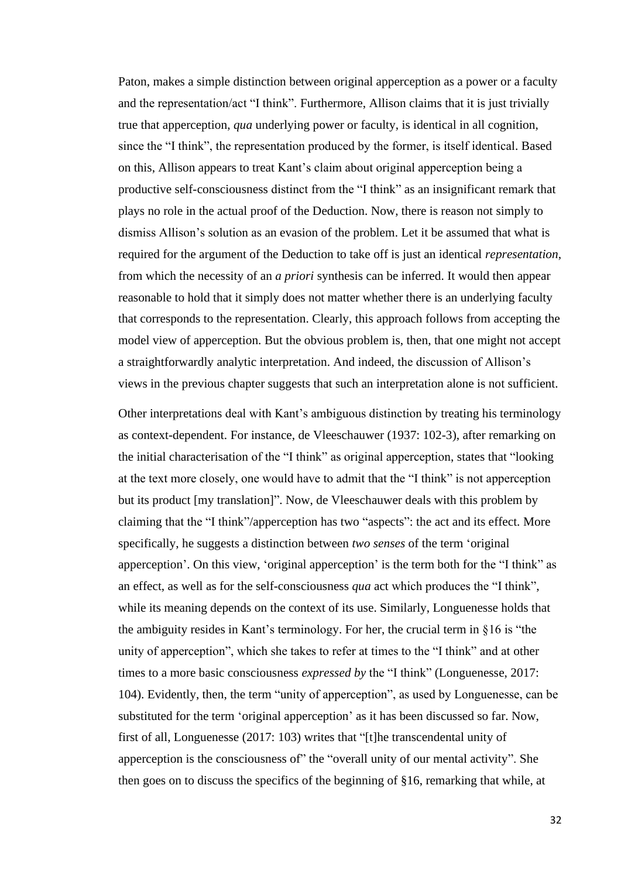Paton, makes a simple distinction between original apperception as a power or a faculty and the representation/act "I think". Furthermore, Allison claims that it is just trivially true that apperception, *qua* underlying power or faculty, is identical in all cognition, since the "I think", the representation produced by the former, is itself identical. Based on this, Allison appears to treat Kant's claim about original apperception being a productive self-consciousness distinct from the "I think" as an insignificant remark that plays no role in the actual proof of the Deduction. Now, there is reason not simply to dismiss Allison's solution as an evasion of the problem. Let it be assumed that what is required for the argument of the Deduction to take off is just an identical *representation*, from which the necessity of an *a priori* synthesis can be inferred. It would then appear reasonable to hold that it simply does not matter whether there is an underlying faculty that corresponds to the representation. Clearly, this approach follows from accepting the model view of apperception. But the obvious problem is, then, that one might not accept a straightforwardly analytic interpretation. And indeed, the discussion of Allison's views in the previous chapter suggests that such an interpretation alone is not sufficient.

Other interpretations deal with Kant's ambiguous distinction by treating his terminology as context-dependent. For instance, de Vleeschauwer (1937: 102-3), after remarking on the initial characterisation of the "I think" as original apperception, states that "looking at the text more closely, one would have to admit that the "I think" is not apperception but its product [my translation]". Now, de Vleeschauwer deals with this problem by claiming that the "I think"/apperception has two "aspects": the act and its effect. More specifically, he suggests a distinction between *two senses* of the term 'original apperception'. On this view, 'original apperception' is the term both for the "I think" as an effect, as well as for the self-consciousness *qua* act which produces the "I think", while its meaning depends on the context of its use. Similarly, Longuenesse holds that the ambiguity resides in Kant's terminology. For her, the crucial term in §16 is "the unity of apperception", which she takes to refer at times to the "I think" and at other times to a more basic consciousness *expressed by* the "I think" (Longuenesse, 2017: 104). Evidently, then, the term "unity of apperception", as used by Longuenesse, can be substituted for the term 'original apperception' as it has been discussed so far. Now, first of all, Longuenesse (2017: 103) writes that "[t]he transcendental unity of apperception is the consciousness of" the "overall unity of our mental activity". She then goes on to discuss the specifics of the beginning of §16, remarking that while, at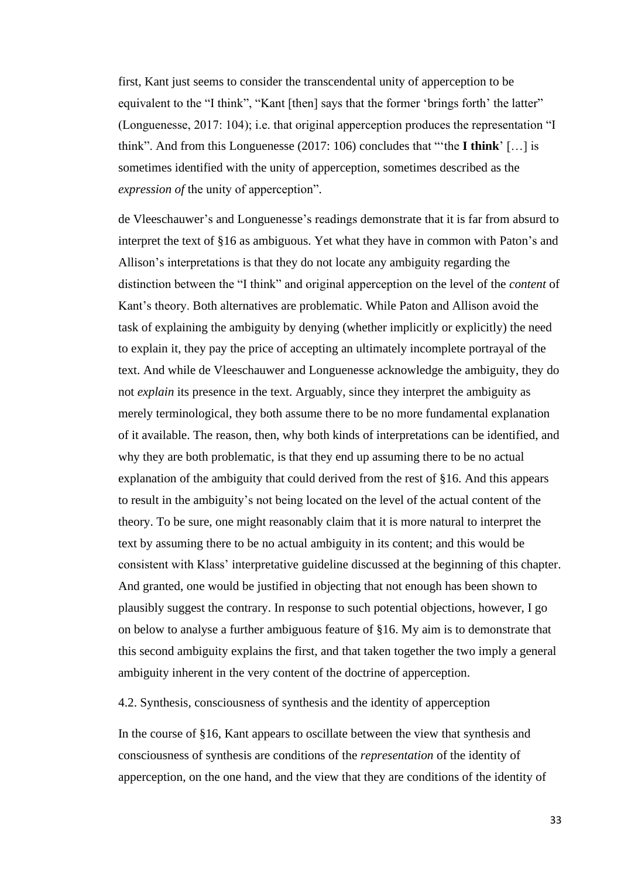first, Kant just seems to consider the transcendental unity of apperception to be equivalent to the "I think", "Kant [then] says that the former 'brings forth' the latter" (Longuenesse, 2017: 104); i.e. that original apperception produces the representation "I think". And from this Longuenesse (2017: 106) concludes that "'the **I think**' […] is sometimes identified with the unity of apperception, sometimes described as the *expression of* the unity of apperception".

de Vleeschauwer's and Longuenesse's readings demonstrate that it is far from absurd to interpret the text of §16 as ambiguous. Yet what they have in common with Paton's and Allison's interpretations is that they do not locate any ambiguity regarding the distinction between the "I think" and original apperception on the level of the *content* of Kant's theory. Both alternatives are problematic. While Paton and Allison avoid the task of explaining the ambiguity by denying (whether implicitly or explicitly) the need to explain it, they pay the price of accepting an ultimately incomplete portrayal of the text. And while de Vleeschauwer and Longuenesse acknowledge the ambiguity, they do not *explain* its presence in the text. Arguably, since they interpret the ambiguity as merely terminological, they both assume there to be no more fundamental explanation of it available. The reason, then, why both kinds of interpretations can be identified, and why they are both problematic, is that they end up assuming there to be no actual explanation of the ambiguity that could derived from the rest of §16. And this appears to result in the ambiguity's not being located on the level of the actual content of the theory. To be sure, one might reasonably claim that it is more natural to interpret the text by assuming there to be no actual ambiguity in its content; and this would be consistent with Klass' interpretative guideline discussed at the beginning of this chapter. And granted, one would be justified in objecting that not enough has been shown to plausibly suggest the contrary. In response to such potential objections, however, I go on below to analyse a further ambiguous feature of §16. My aim is to demonstrate that this second ambiguity explains the first, and that taken together the two imply a general ambiguity inherent in the very content of the doctrine of apperception.

4.2. Synthesis, consciousness of synthesis and the identity of apperception

In the course of §16, Kant appears to oscillate between the view that synthesis and consciousness of synthesis are conditions of the *representation* of the identity of apperception, on the one hand, and the view that they are conditions of the identity of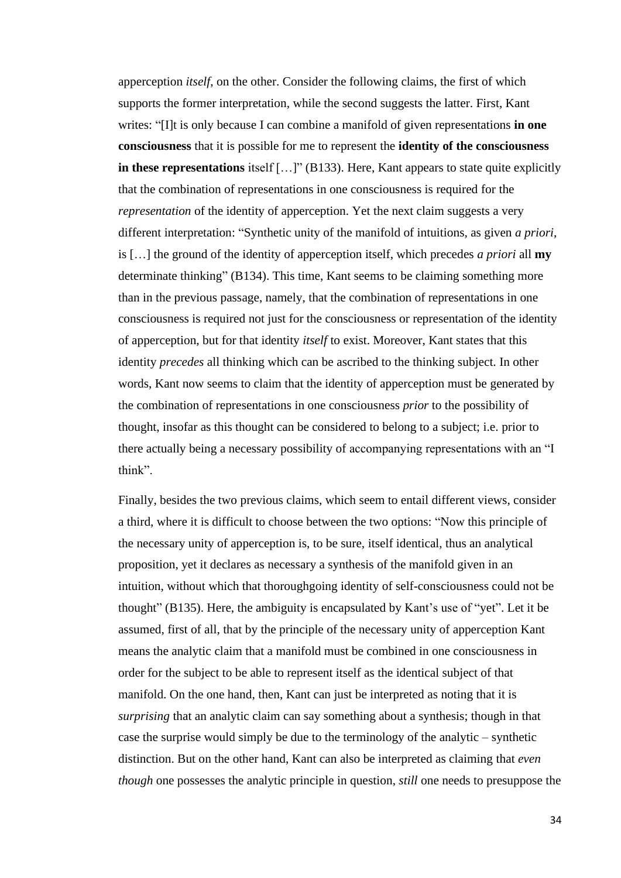apperception *itself*, on the other. Consider the following claims, the first of which supports the former interpretation, while the second suggests the latter. First, Kant writes: "[I]t is only because I can combine a manifold of given representations **in one consciousness** that it is possible for me to represent the **identity of the consciousness in these representations** itself [...]" (B133). Here, Kant appears to state quite explicitly that the combination of representations in one consciousness is required for the *representation* of the identity of apperception. Yet the next claim suggests a very different interpretation: "Synthetic unity of the manifold of intuitions, as given *a priori*, is […] the ground of the identity of apperception itself, which precedes *a priori* all **my**  determinate thinking" (B134). This time, Kant seems to be claiming something more than in the previous passage, namely, that the combination of representations in one consciousness is required not just for the consciousness or representation of the identity of apperception, but for that identity *itself* to exist. Moreover, Kant states that this identity *precedes* all thinking which can be ascribed to the thinking subject. In other words, Kant now seems to claim that the identity of apperception must be generated by the combination of representations in one consciousness *prior* to the possibility of thought, insofar as this thought can be considered to belong to a subject; i.e. prior to there actually being a necessary possibility of accompanying representations with an "I think".

Finally, besides the two previous claims, which seem to entail different views, consider a third, where it is difficult to choose between the two options: "Now this principle of the necessary unity of apperception is, to be sure, itself identical, thus an analytical proposition, yet it declares as necessary a synthesis of the manifold given in an intuition, without which that thoroughgoing identity of self-consciousness could not be thought" (B135). Here, the ambiguity is encapsulated by Kant's use of "yet". Let it be assumed, first of all, that by the principle of the necessary unity of apperception Kant means the analytic claim that a manifold must be combined in one consciousness in order for the subject to be able to represent itself as the identical subject of that manifold. On the one hand, then, Kant can just be interpreted as noting that it is *surprising* that an analytic claim can say something about a synthesis; though in that case the surprise would simply be due to the terminology of the analytic – synthetic distinction. But on the other hand, Kant can also be interpreted as claiming that *even though* one possesses the analytic principle in question, *still* one needs to presuppose the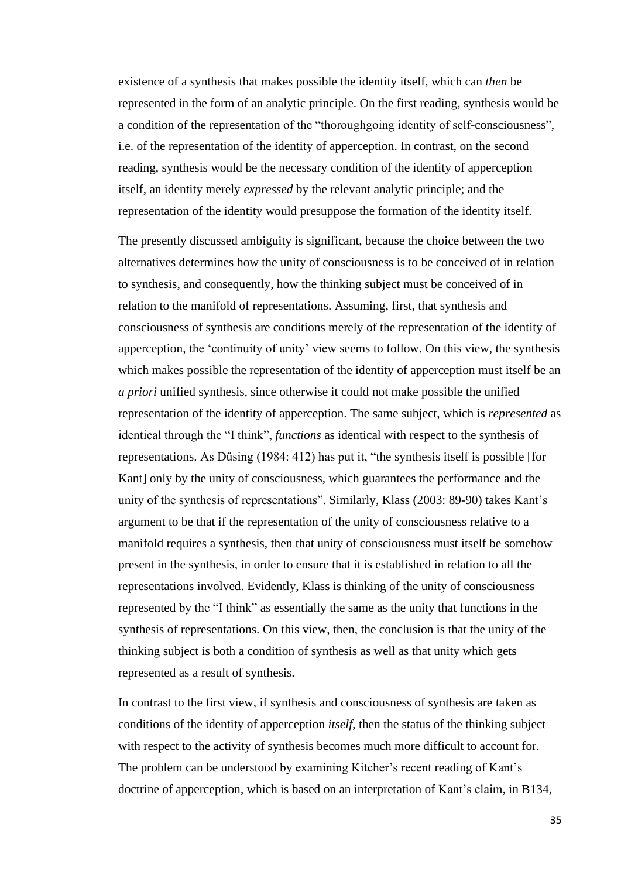existence of a synthesis that makes possible the identity itself, which can *then* be represented in the form of an analytic principle. On the first reading, synthesis would be a condition of the representation of the "thoroughgoing identity of self-consciousness", i.e. of the representation of the identity of apperception. In contrast, on the second reading, synthesis would be the necessary condition of the identity of apperception itself, an identity merely *expressed* by the relevant analytic principle; and the representation of the identity would presuppose the formation of the identity itself.

The presently discussed ambiguity is significant, because the choice between the two alternatives determines how the unity of consciousness is to be conceived of in relation to synthesis, and consequently, how the thinking subject must be conceived of in relation to the manifold of representations. Assuming, first, that synthesis and consciousness of synthesis are conditions merely of the representation of the identity of apperception, the 'continuity of unity' view seems to follow. On this view, the synthesis which makes possible the representation of the identity of apperception must itself be an *a priori* unified synthesis, since otherwise it could not make possible the unified representation of the identity of apperception. The same subject, which is *represented* as identical through the "I think", *functions* as identical with respect to the synthesis of representations. As Düsing (1984: 412) has put it, "the synthesis itself is possible [for Kant] only by the unity of consciousness, which guarantees the performance and the unity of the synthesis of representations". Similarly, Klass (2003: 89-90) takes Kant's argument to be that if the representation of the unity of consciousness relative to a manifold requires a synthesis, then that unity of consciousness must itself be somehow present in the synthesis, in order to ensure that it is established in relation to all the representations involved. Evidently, Klass is thinking of the unity of consciousness represented by the "I think" as essentially the same as the unity that functions in the synthesis of representations. On this view, then, the conclusion is that the unity of the thinking subject is both a condition of synthesis as well as that unity which gets represented as a result of synthesis.

In contrast to the first view, if synthesis and consciousness of synthesis are taken as conditions of the identity of apperception *itself*, then the status of the thinking subject with respect to the activity of synthesis becomes much more difficult to account for. The problem can be understood by examining Kitcher's recent reading of Kant's doctrine of apperception, which is based on an interpretation of Kant's claim, in B134,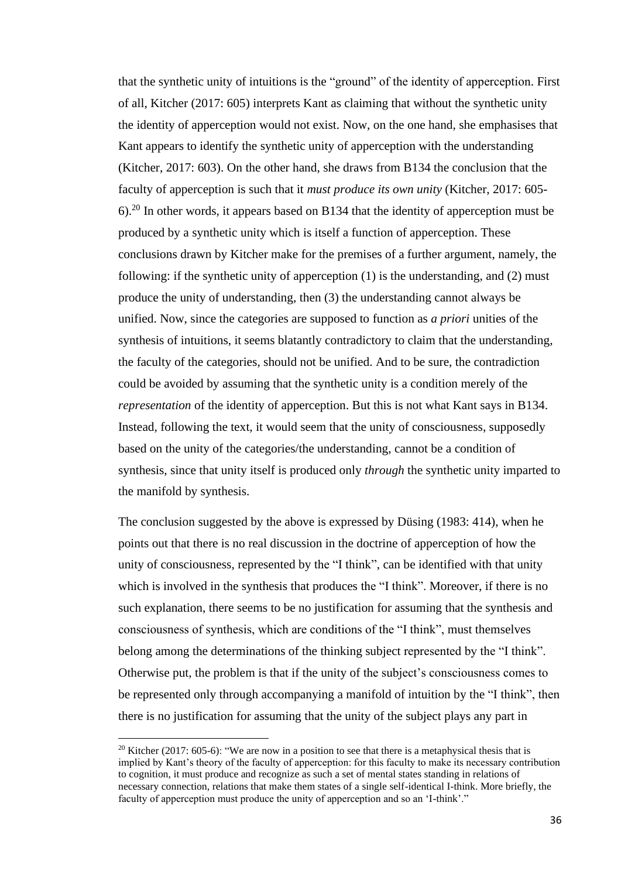that the synthetic unity of intuitions is the "ground" of the identity of apperception. First of all, Kitcher (2017: 605) interprets Kant as claiming that without the synthetic unity the identity of apperception would not exist. Now, on the one hand, she emphasises that Kant appears to identify the synthetic unity of apperception with the understanding (Kitcher, 2017: 603). On the other hand, she draws from B134 the conclusion that the faculty of apperception is such that it *must produce its own unity* (Kitcher, 2017: 605-  $6$ .<sup>20</sup> In other words, it appears based on B134 that the identity of apperception must be produced by a synthetic unity which is itself a function of apperception. These conclusions drawn by Kitcher make for the premises of a further argument, namely, the following: if the synthetic unity of apperception (1) is the understanding, and (2) must produce the unity of understanding, then (3) the understanding cannot always be unified. Now, since the categories are supposed to function as *a priori* unities of the synthesis of intuitions, it seems blatantly contradictory to claim that the understanding, the faculty of the categories, should not be unified. And to be sure, the contradiction could be avoided by assuming that the synthetic unity is a condition merely of the *representation* of the identity of apperception. But this is not what Kant says in B134. Instead, following the text, it would seem that the unity of consciousness, supposedly based on the unity of the categories/the understanding, cannot be a condition of synthesis, since that unity itself is produced only *through* the synthetic unity imparted to the manifold by synthesis.

The conclusion suggested by the above is expressed by Düsing (1983: 414), when he points out that there is no real discussion in the doctrine of apperception of how the unity of consciousness, represented by the "I think", can be identified with that unity which is involved in the synthesis that produces the "I think". Moreover, if there is no such explanation, there seems to be no justification for assuming that the synthesis and consciousness of synthesis, which are conditions of the "I think", must themselves belong among the determinations of the thinking subject represented by the "I think". Otherwise put, the problem is that if the unity of the subject's consciousness comes to be represented only through accompanying a manifold of intuition by the "I think", then there is no justification for assuming that the unity of the subject plays any part in

<sup>&</sup>lt;sup>20</sup> Kitcher (2017: 605-6): "We are now in a position to see that there is a metaphysical thesis that is implied by Kant's theory of the faculty of apperception: for this faculty to make its necessary contribution to cognition, it must produce and recognize as such a set of mental states standing in relations of necessary connection, relations that make them states of a single self-identical I-think. More briefly, the faculty of apperception must produce the unity of apperception and so an 'I-think'."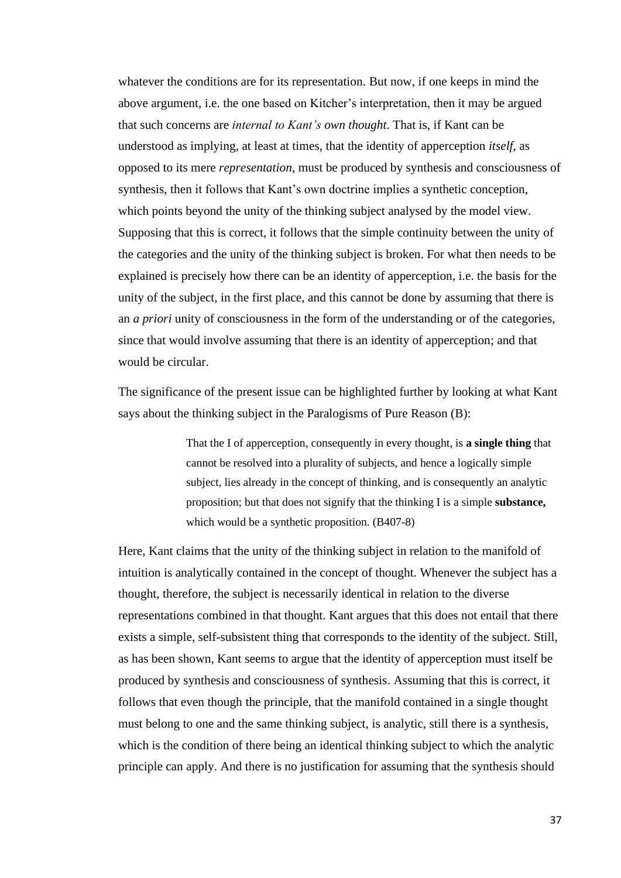whatever the conditions are for its representation. But now, if one keeps in mind the above argument, i.e. the one based on Kitcher's interpretation, then it may be argued that such concerns are *internal to Kant's own thought*. That is, if Kant can be understood as implying, at least at times, that the identity of apperception *itself*, as opposed to its mere *representation*, must be produced by synthesis and consciousness of synthesis, then it follows that Kant's own doctrine implies a synthetic conception, which points beyond the unity of the thinking subject analysed by the model view. Supposing that this is correct, it follows that the simple continuity between the unity of the categories and the unity of the thinking subject is broken. For what then needs to be explained is precisely how there can be an identity of apperception, i.e. the basis for the unity of the subject, in the first place, and this cannot be done by assuming that there is an *a priori* unity of consciousness in the form of the understanding or of the categories, since that would involve assuming that there is an identity of apperception; and that would be circular.

The significance of the present issue can be highlighted further by looking at what Kant says about the thinking subject in the Paralogisms of Pure Reason (B):

> That the I of apperception, consequently in every thought, is **a single thing** that cannot be resolved into a plurality of subjects, and hence a logically simple subject, lies already in the concept of thinking, and is consequently an analytic proposition; but that does not signify that the thinking I is a simple **substance,**  which would be a synthetic proposition. (B407-8)

Here, Kant claims that the unity of the thinking subject in relation to the manifold of intuition is analytically contained in the concept of thought. Whenever the subject has a thought, therefore, the subject is necessarily identical in relation to the diverse representations combined in that thought. Kant argues that this does not entail that there exists a simple, self-subsistent thing that corresponds to the identity of the subject. Still, as has been shown, Kant seems to argue that the identity of apperception must itself be produced by synthesis and consciousness of synthesis. Assuming that this is correct, it follows that even though the principle, that the manifold contained in a single thought must belong to one and the same thinking subject, is analytic, still there is a synthesis, which is the condition of there being an identical thinking subject to which the analytic principle can apply. And there is no justification for assuming that the synthesis should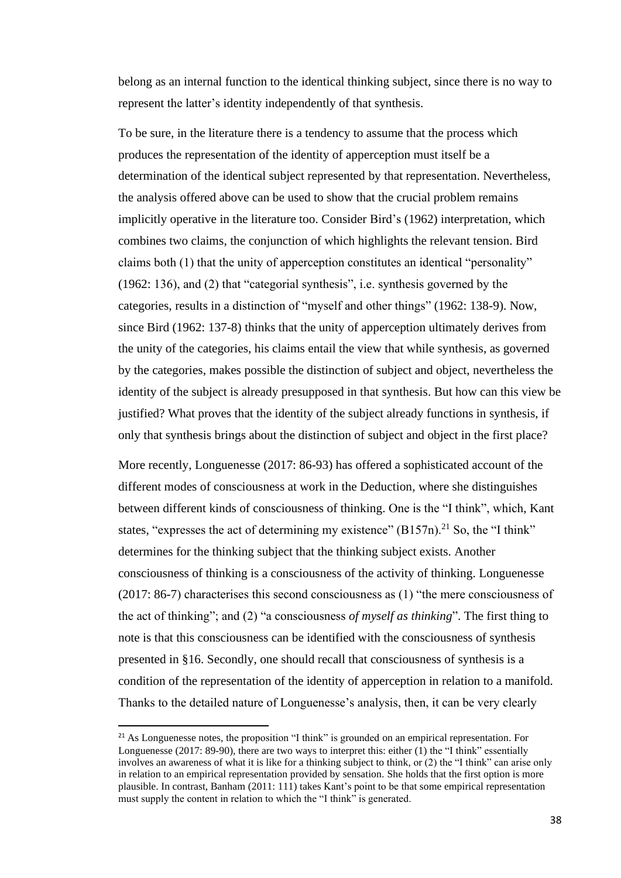belong as an internal function to the identical thinking subject, since there is no way to represent the latter's identity independently of that synthesis.

To be sure, in the literature there is a tendency to assume that the process which produces the representation of the identity of apperception must itself be a determination of the identical subject represented by that representation. Nevertheless, the analysis offered above can be used to show that the crucial problem remains implicitly operative in the literature too. Consider Bird's (1962) interpretation, which combines two claims, the conjunction of which highlights the relevant tension. Bird claims both (1) that the unity of apperception constitutes an identical "personality" (1962: 136), and (2) that "categorial synthesis", i.e. synthesis governed by the categories, results in a distinction of "myself and other things" (1962: 138-9). Now, since Bird (1962: 137-8) thinks that the unity of apperception ultimately derives from the unity of the categories, his claims entail the view that while synthesis, as governed by the categories, makes possible the distinction of subject and object, nevertheless the identity of the subject is already presupposed in that synthesis. But how can this view be justified? What proves that the identity of the subject already functions in synthesis, if only that synthesis brings about the distinction of subject and object in the first place?

More recently, Longuenesse (2017: 86-93) has offered a sophisticated account of the different modes of consciousness at work in the Deduction, where she distinguishes between different kinds of consciousness of thinking. One is the "I think", which, Kant states, "expresses the act of determining my existence"  $(B157n)^{21}$  So, the "I think" determines for the thinking subject that the thinking subject exists. Another consciousness of thinking is a consciousness of the activity of thinking. Longuenesse (2017: 86-7) characterises this second consciousness as (1) "the mere consciousness of the act of thinking"; and (2) "a consciousness *of myself as thinking*". The first thing to note is that this consciousness can be identified with the consciousness of synthesis presented in §16. Secondly, one should recall that consciousness of synthesis is a condition of the representation of the identity of apperception in relation to a manifold. Thanks to the detailed nature of Longuenesse's analysis, then, it can be very clearly

<sup>&</sup>lt;sup>21</sup> As Longuenesse notes, the proposition "I think" is grounded on an empirical representation. For Longuenesse (2017: 89-90), there are two ways to interpret this: either (1) the "I think" essentially involves an awareness of what it is like for a thinking subject to think, or (2) the "I think" can arise only in relation to an empirical representation provided by sensation. She holds that the first option is more plausible. In contrast, Banham (2011: 111) takes Kant's point to be that some empirical representation must supply the content in relation to which the "I think" is generated.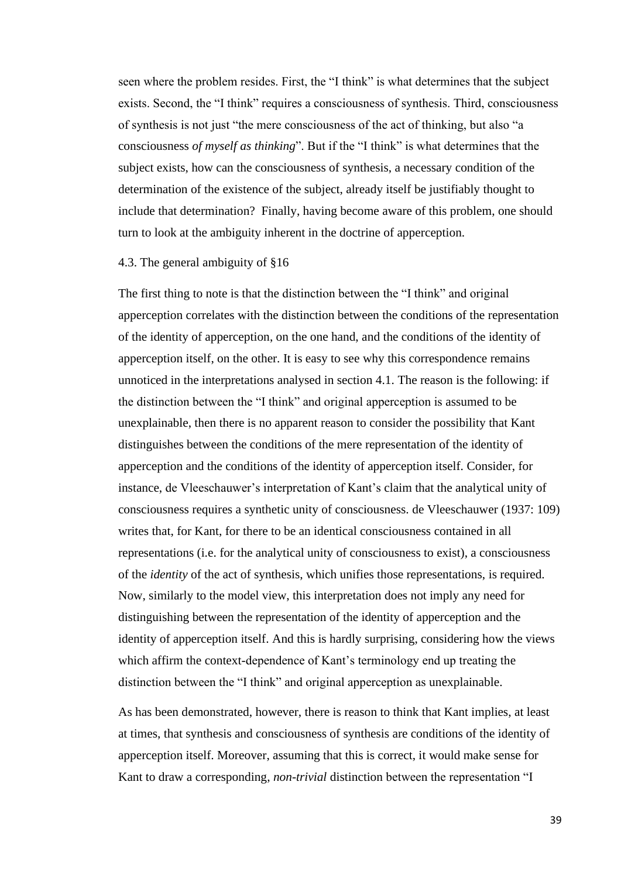seen where the problem resides. First, the "I think" is what determines that the subject exists. Second, the "I think" requires a consciousness of synthesis. Third, consciousness of synthesis is not just "the mere consciousness of the act of thinking, but also "a consciousness *of myself as thinking*". But if the "I think" is what determines that the subject exists, how can the consciousness of synthesis, a necessary condition of the determination of the existence of the subject, already itself be justifiably thought to include that determination? Finally, having become aware of this problem, one should turn to look at the ambiguity inherent in the doctrine of apperception.

#### 4.3. The general ambiguity of §16

The first thing to note is that the distinction between the "I think" and original apperception correlates with the distinction between the conditions of the representation of the identity of apperception, on the one hand, and the conditions of the identity of apperception itself, on the other. It is easy to see why this correspondence remains unnoticed in the interpretations analysed in section 4.1. The reason is the following: if the distinction between the "I think" and original apperception is assumed to be unexplainable, then there is no apparent reason to consider the possibility that Kant distinguishes between the conditions of the mere representation of the identity of apperception and the conditions of the identity of apperception itself. Consider, for instance, de Vleeschauwer's interpretation of Kant's claim that the analytical unity of consciousness requires a synthetic unity of consciousness. de Vleeschauwer (1937: 109) writes that, for Kant, for there to be an identical consciousness contained in all representations (i.e. for the analytical unity of consciousness to exist), a consciousness of the *identity* of the act of synthesis, which unifies those representations, is required. Now, similarly to the model view, this interpretation does not imply any need for distinguishing between the representation of the identity of apperception and the identity of apperception itself. And this is hardly surprising, considering how the views which affirm the context-dependence of Kant's terminology end up treating the distinction between the "I think" and original apperception as unexplainable.

As has been demonstrated, however, there is reason to think that Kant implies, at least at times, that synthesis and consciousness of synthesis are conditions of the identity of apperception itself. Moreover, assuming that this is correct, it would make sense for Kant to draw a corresponding, *non-trivial* distinction between the representation "I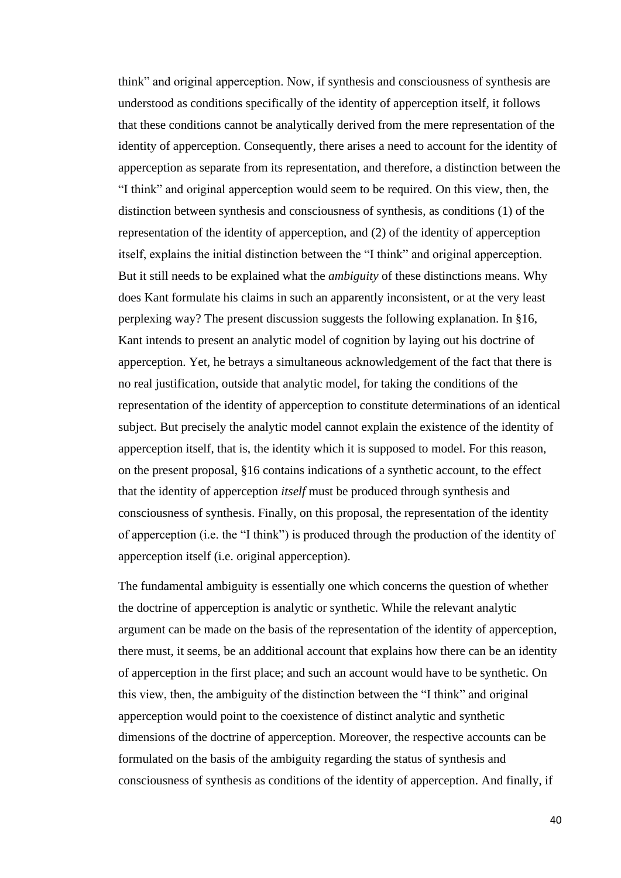think" and original apperception. Now, if synthesis and consciousness of synthesis are understood as conditions specifically of the identity of apperception itself, it follows that these conditions cannot be analytically derived from the mere representation of the identity of apperception. Consequently, there arises a need to account for the identity of apperception as separate from its representation, and therefore, a distinction between the "I think" and original apperception would seem to be required. On this view, then, the distinction between synthesis and consciousness of synthesis, as conditions (1) of the representation of the identity of apperception, and (2) of the identity of apperception itself, explains the initial distinction between the "I think" and original apperception. But it still needs to be explained what the *ambiguity* of these distinctions means. Why does Kant formulate his claims in such an apparently inconsistent, or at the very least perplexing way? The present discussion suggests the following explanation. In §16, Kant intends to present an analytic model of cognition by laying out his doctrine of apperception. Yet, he betrays a simultaneous acknowledgement of the fact that there is no real justification, outside that analytic model, for taking the conditions of the representation of the identity of apperception to constitute determinations of an identical subject. But precisely the analytic model cannot explain the existence of the identity of apperception itself, that is, the identity which it is supposed to model. For this reason, on the present proposal, §16 contains indications of a synthetic account, to the effect that the identity of apperception *itself* must be produced through synthesis and consciousness of synthesis. Finally, on this proposal, the representation of the identity of apperception (i.e. the "I think") is produced through the production of the identity of apperception itself (i.e. original apperception).

The fundamental ambiguity is essentially one which concerns the question of whether the doctrine of apperception is analytic or synthetic. While the relevant analytic argument can be made on the basis of the representation of the identity of apperception, there must, it seems, be an additional account that explains how there can be an identity of apperception in the first place; and such an account would have to be synthetic. On this view, then, the ambiguity of the distinction between the "I think" and original apperception would point to the coexistence of distinct analytic and synthetic dimensions of the doctrine of apperception. Moreover, the respective accounts can be formulated on the basis of the ambiguity regarding the status of synthesis and consciousness of synthesis as conditions of the identity of apperception. And finally, if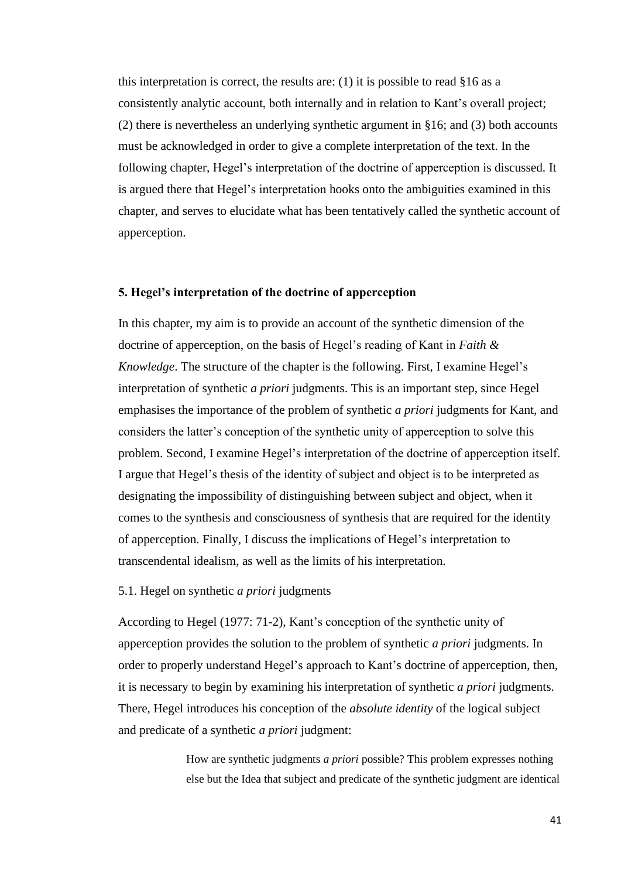this interpretation is correct, the results are:  $(1)$  it is possible to read §16 as a consistently analytic account, both internally and in relation to Kant's overall project; (2) there is nevertheless an underlying synthetic argument in §16; and (3) both accounts must be acknowledged in order to give a complete interpretation of the text. In the following chapter, Hegel's interpretation of the doctrine of apperception is discussed. It is argued there that Hegel's interpretation hooks onto the ambiguities examined in this chapter, and serves to elucidate what has been tentatively called the synthetic account of apperception.

# **5. Hegel's interpretation of the doctrine of apperception**

In this chapter, my aim is to provide an account of the synthetic dimension of the doctrine of apperception, on the basis of Hegel's reading of Kant in *Faith & Knowledge*. The structure of the chapter is the following. First, I examine Hegel's interpretation of synthetic *a priori* judgments. This is an important step, since Hegel emphasises the importance of the problem of synthetic *a priori* judgments for Kant, and considers the latter's conception of the synthetic unity of apperception to solve this problem. Second, I examine Hegel's interpretation of the doctrine of apperception itself. I argue that Hegel's thesis of the identity of subject and object is to be interpreted as designating the impossibility of distinguishing between subject and object, when it comes to the synthesis and consciousness of synthesis that are required for the identity of apperception. Finally, I discuss the implications of Hegel's interpretation to transcendental idealism, as well as the limits of his interpretation.

### 5.1. Hegel on synthetic *a priori* judgments

According to Hegel (1977: 71-2), Kant's conception of the synthetic unity of apperception provides the solution to the problem of synthetic *a priori* judgments. In order to properly understand Hegel's approach to Kant's doctrine of apperception, then, it is necessary to begin by examining his interpretation of synthetic *a priori* judgments. There, Hegel introduces his conception of the *absolute identity* of the logical subject and predicate of a synthetic *a priori* judgment:

> How are synthetic judgments *a priori* possible? This problem expresses nothing else but the Idea that subject and predicate of the synthetic judgment are identical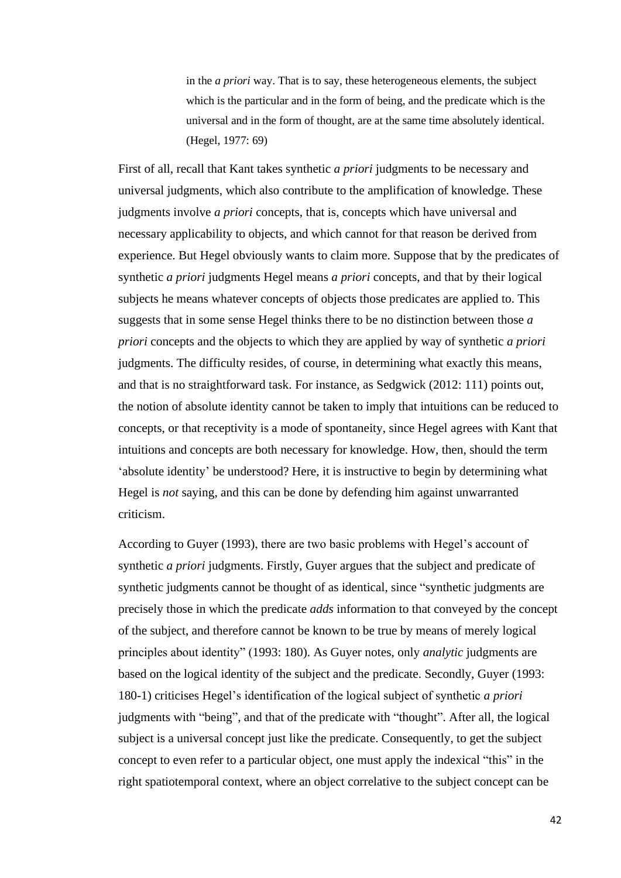in the *a priori* way. That is to say, these heterogeneous elements, the subject which is the particular and in the form of being, and the predicate which is the universal and in the form of thought, are at the same time absolutely identical. (Hegel, 1977: 69)

First of all, recall that Kant takes synthetic *a priori* judgments to be necessary and universal judgments, which also contribute to the amplification of knowledge. These judgments involve *a priori* concepts, that is, concepts which have universal and necessary applicability to objects, and which cannot for that reason be derived from experience. But Hegel obviously wants to claim more. Suppose that by the predicates of synthetic *a priori* judgments Hegel means *a priori* concepts, and that by their logical subjects he means whatever concepts of objects those predicates are applied to. This suggests that in some sense Hegel thinks there to be no distinction between those *a priori* concepts and the objects to which they are applied by way of synthetic *a priori*  judgments. The difficulty resides, of course, in determining what exactly this means, and that is no straightforward task. For instance, as Sedgwick (2012: 111) points out, the notion of absolute identity cannot be taken to imply that intuitions can be reduced to concepts, or that receptivity is a mode of spontaneity, since Hegel agrees with Kant that intuitions and concepts are both necessary for knowledge. How, then, should the term 'absolute identity' be understood? Here, it is instructive to begin by determining what Hegel is *not* saying, and this can be done by defending him against unwarranted criticism.

According to Guyer (1993), there are two basic problems with Hegel's account of synthetic *a priori* judgments. Firstly, Guyer argues that the subject and predicate of synthetic judgments cannot be thought of as identical, since "synthetic judgments are precisely those in which the predicate *adds* information to that conveyed by the concept of the subject, and therefore cannot be known to be true by means of merely logical principles about identity" (1993: 180). As Guyer notes, only *analytic* judgments are based on the logical identity of the subject and the predicate. Secondly, Guyer (1993: 180-1) criticises Hegel's identification of the logical subject of synthetic *a priori*  judgments with "being", and that of the predicate with "thought". After all, the logical subject is a universal concept just like the predicate. Consequently, to get the subject concept to even refer to a particular object, one must apply the indexical "this" in the right spatiotemporal context, where an object correlative to the subject concept can be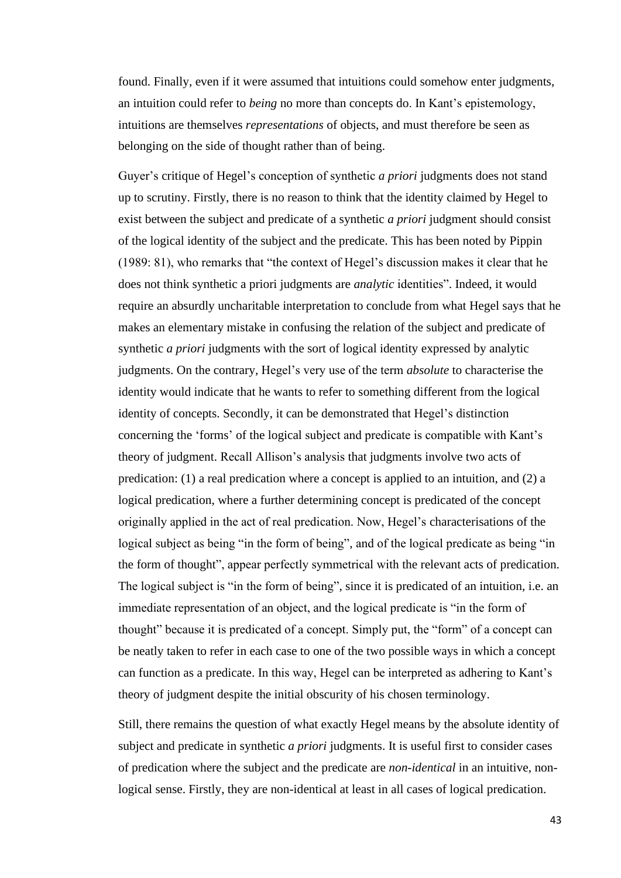found. Finally, even if it were assumed that intuitions could somehow enter judgments, an intuition could refer to *being* no more than concepts do. In Kant's epistemology, intuitions are themselves *representations* of objects, and must therefore be seen as belonging on the side of thought rather than of being.

Guyer's critique of Hegel's conception of synthetic *a priori* judgments does not stand up to scrutiny. Firstly, there is no reason to think that the identity claimed by Hegel to exist between the subject and predicate of a synthetic *a priori* judgment should consist of the logical identity of the subject and the predicate. This has been noted by Pippin (1989: 81), who remarks that "the context of Hegel's discussion makes it clear that he does not think synthetic a priori judgments are *analytic* identities". Indeed, it would require an absurdly uncharitable interpretation to conclude from what Hegel says that he makes an elementary mistake in confusing the relation of the subject and predicate of synthetic *a priori* judgments with the sort of logical identity expressed by analytic judgments. On the contrary, Hegel's very use of the term *absolute* to characterise the identity would indicate that he wants to refer to something different from the logical identity of concepts. Secondly, it can be demonstrated that Hegel's distinction concerning the 'forms' of the logical subject and predicate is compatible with Kant's theory of judgment. Recall Allison's analysis that judgments involve two acts of predication: (1) a real predication where a concept is applied to an intuition, and (2) a logical predication, where a further determining concept is predicated of the concept originally applied in the act of real predication. Now, Hegel's characterisations of the logical subject as being "in the form of being", and of the logical predicate as being "in the form of thought", appear perfectly symmetrical with the relevant acts of predication. The logical subject is "in the form of being", since it is predicated of an intuition, i.e. an immediate representation of an object, and the logical predicate is "in the form of thought" because it is predicated of a concept. Simply put, the "form" of a concept can be neatly taken to refer in each case to one of the two possible ways in which a concept can function as a predicate. In this way, Hegel can be interpreted as adhering to Kant's theory of judgment despite the initial obscurity of his chosen terminology.

Still, there remains the question of what exactly Hegel means by the absolute identity of subject and predicate in synthetic *a priori* judgments. It is useful first to consider cases of predication where the subject and the predicate are *non-identical* in an intuitive, nonlogical sense. Firstly, they are non-identical at least in all cases of logical predication.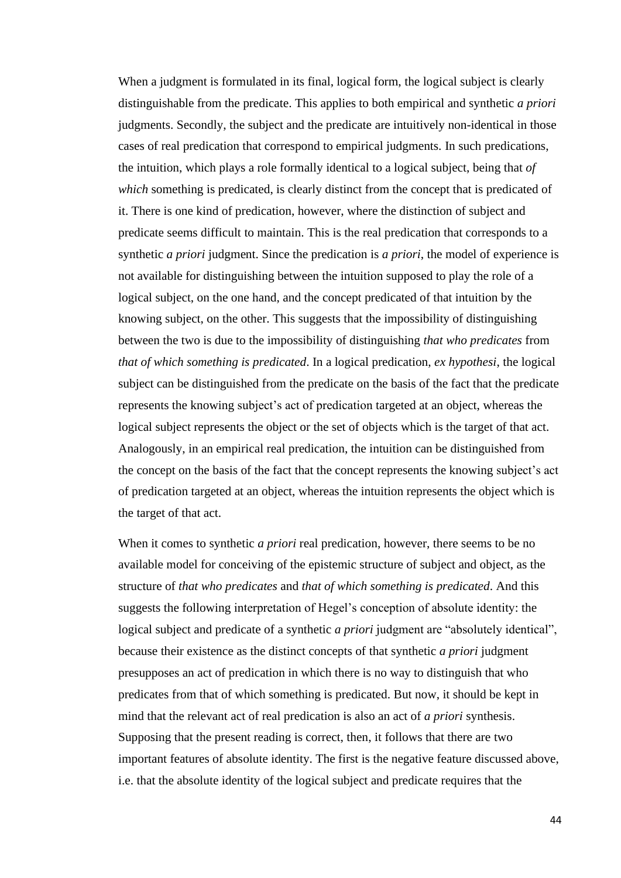When a judgment is formulated in its final, logical form, the logical subject is clearly distinguishable from the predicate. This applies to both empirical and synthetic *a priori*  judgments. Secondly, the subject and the predicate are intuitively non-identical in those cases of real predication that correspond to empirical judgments. In such predications, the intuition, which plays a role formally identical to a logical subject, being that *of which* something is predicated, is clearly distinct from the concept that is predicated of it. There is one kind of predication, however, where the distinction of subject and predicate seems difficult to maintain. This is the real predication that corresponds to a synthetic *a priori* judgment. Since the predication is *a priori*, the model of experience is not available for distinguishing between the intuition supposed to play the role of a logical subject, on the one hand, and the concept predicated of that intuition by the knowing subject, on the other. This suggests that the impossibility of distinguishing between the two is due to the impossibility of distinguishing *that who predicates* from *that of which something is predicated*. In a logical predication, *ex hypothesi*, the logical subject can be distinguished from the predicate on the basis of the fact that the predicate represents the knowing subject's act of predication targeted at an object, whereas the logical subject represents the object or the set of objects which is the target of that act. Analogously, in an empirical real predication, the intuition can be distinguished from the concept on the basis of the fact that the concept represents the knowing subject's act of predication targeted at an object, whereas the intuition represents the object which is the target of that act.

When it comes to synthetic *a priori* real predication, however, there seems to be no available model for conceiving of the epistemic structure of subject and object, as the structure of *that who predicates* and *that of which something is predicated*. And this suggests the following interpretation of Hegel's conception of absolute identity: the logical subject and predicate of a synthetic *a priori* judgment are "absolutely identical", because their existence as the distinct concepts of that synthetic *a priori* judgment presupposes an act of predication in which there is no way to distinguish that who predicates from that of which something is predicated. But now, it should be kept in mind that the relevant act of real predication is also an act of *a priori* synthesis. Supposing that the present reading is correct, then, it follows that there are two important features of absolute identity. The first is the negative feature discussed above, i.e. that the absolute identity of the logical subject and predicate requires that the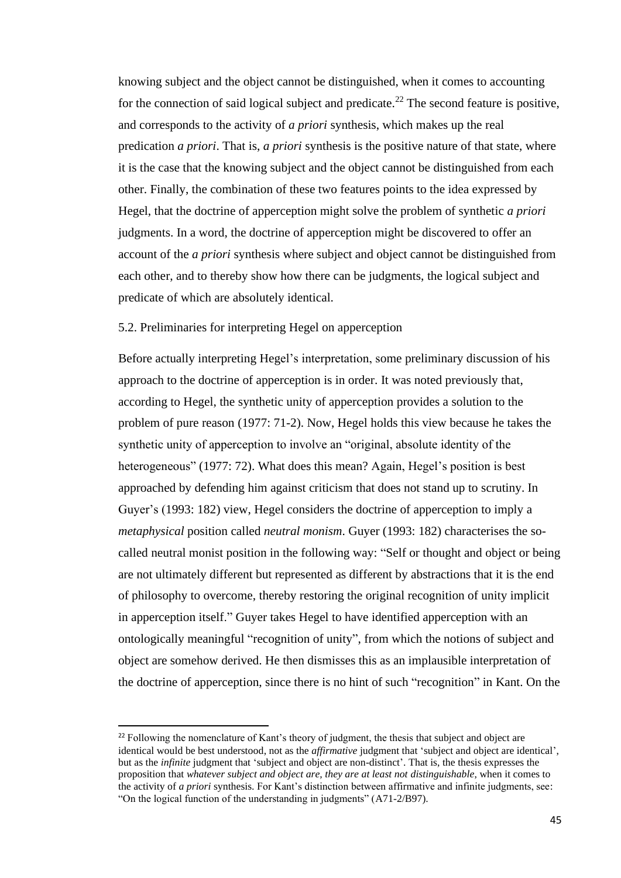knowing subject and the object cannot be distinguished, when it comes to accounting for the connection of said logical subject and predicate.<sup>22</sup> The second feature is positive, and corresponds to the activity of *a priori* synthesis, which makes up the real predication *a priori*. That is, *a priori* synthesis is the positive nature of that state, where it is the case that the knowing subject and the object cannot be distinguished from each other. Finally, the combination of these two features points to the idea expressed by Hegel, that the doctrine of apperception might solve the problem of synthetic *a priori*  judgments. In a word, the doctrine of apperception might be discovered to offer an account of the *a priori* synthesis where subject and object cannot be distinguished from each other, and to thereby show how there can be judgments, the logical subject and predicate of which are absolutely identical.

# 5.2. Preliminaries for interpreting Hegel on apperception

Before actually interpreting Hegel's interpretation, some preliminary discussion of his approach to the doctrine of apperception is in order. It was noted previously that, according to Hegel, the synthetic unity of apperception provides a solution to the problem of pure reason (1977: 71-2). Now, Hegel holds this view because he takes the synthetic unity of apperception to involve an "original, absolute identity of the heterogeneous" (1977: 72). What does this mean? Again, Hegel's position is best approached by defending him against criticism that does not stand up to scrutiny. In Guyer's (1993: 182) view, Hegel considers the doctrine of apperception to imply a *metaphysical* position called *neutral monism*. Guyer (1993: 182) characterises the socalled neutral monist position in the following way: "Self or thought and object or being are not ultimately different but represented as different by abstractions that it is the end of philosophy to overcome, thereby restoring the original recognition of unity implicit in apperception itself." Guyer takes Hegel to have identified apperception with an ontologically meaningful "recognition of unity", from which the notions of subject and object are somehow derived. He then dismisses this as an implausible interpretation of the doctrine of apperception, since there is no hint of such "recognition" in Kant. On the

 $^{22}$  Following the nomenclature of Kant's theory of judgment, the thesis that subject and object are identical would be best understood, not as the *affirmative* judgment that 'subject and object are identical', but as the *infinite* judgment that 'subject and object are non-distinct'. That is, the thesis expresses the proposition that *whatever subject and object are, they are at least not distinguishable*, when it comes to the activity of *a priori* synthesis. For Kant's distinction between affirmative and infinite judgments, see: "On the logical function of the understanding in judgments" (A71-2/B97).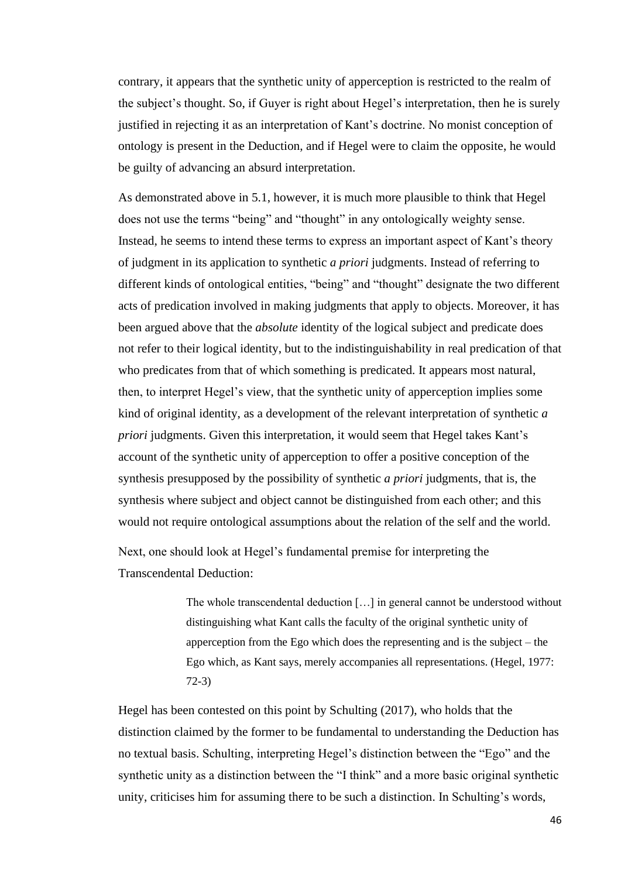contrary, it appears that the synthetic unity of apperception is restricted to the realm of the subject's thought. So, if Guyer is right about Hegel's interpretation, then he is surely justified in rejecting it as an interpretation of Kant's doctrine. No monist conception of ontology is present in the Deduction, and if Hegel were to claim the opposite, he would be guilty of advancing an absurd interpretation.

As demonstrated above in 5.1, however, it is much more plausible to think that Hegel does not use the terms "being" and "thought" in any ontologically weighty sense. Instead, he seems to intend these terms to express an important aspect of Kant's theory of judgment in its application to synthetic *a priori* judgments. Instead of referring to different kinds of ontological entities, "being" and "thought" designate the two different acts of predication involved in making judgments that apply to objects. Moreover, it has been argued above that the *absolute* identity of the logical subject and predicate does not refer to their logical identity, but to the indistinguishability in real predication of that who predicates from that of which something is predicated. It appears most natural, then, to interpret Hegel's view, that the synthetic unity of apperception implies some kind of original identity, as a development of the relevant interpretation of synthetic *a priori* judgments. Given this interpretation, it would seem that Hegel takes Kant's account of the synthetic unity of apperception to offer a positive conception of the synthesis presupposed by the possibility of synthetic *a priori* judgments, that is, the synthesis where subject and object cannot be distinguished from each other; and this would not require ontological assumptions about the relation of the self and the world.

Next, one should look at Hegel's fundamental premise for interpreting the Transcendental Deduction:

> The whole transcendental deduction […] in general cannot be understood without distinguishing what Kant calls the faculty of the original synthetic unity of apperception from the Ego which does the representing and is the subject – the Ego which, as Kant says, merely accompanies all representations. (Hegel, 1977: 72-3)

Hegel has been contested on this point by Schulting (2017), who holds that the distinction claimed by the former to be fundamental to understanding the Deduction has no textual basis. Schulting, interpreting Hegel's distinction between the "Ego" and the synthetic unity as a distinction between the "I think" and a more basic original synthetic unity, criticises him for assuming there to be such a distinction. In Schulting's words,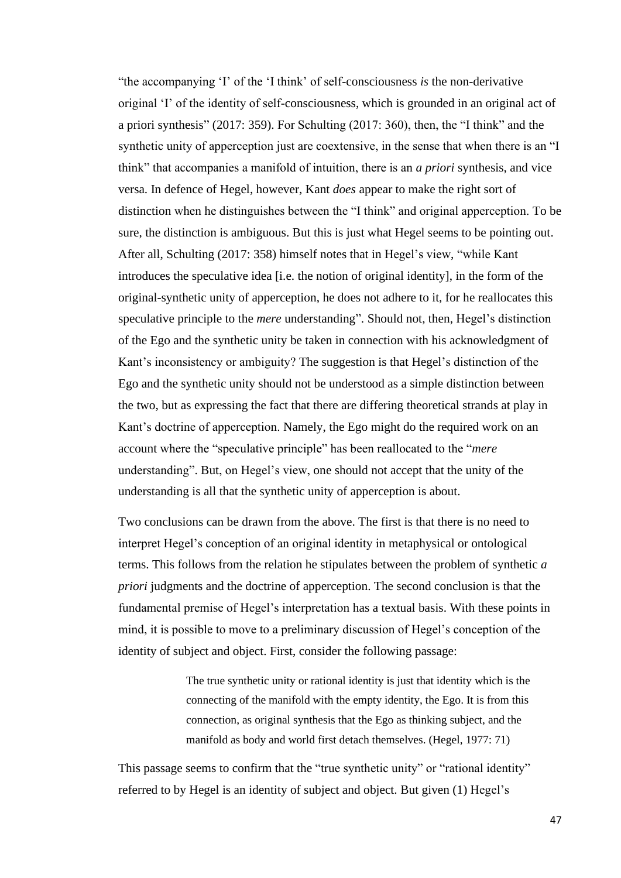"the accompanying 'I' of the 'I think' of self-consciousness *is* the non-derivative original 'I' of the identity of self-consciousness, which is grounded in an original act of a priori synthesis" (2017: 359). For Schulting (2017: 360), then, the "I think" and the synthetic unity of apperception just are coextensive, in the sense that when there is an "I think" that accompanies a manifold of intuition, there is an *a priori* synthesis, and vice versa. In defence of Hegel, however, Kant *does* appear to make the right sort of distinction when he distinguishes between the "I think" and original apperception. To be sure, the distinction is ambiguous. But this is just what Hegel seems to be pointing out. After all, Schulting (2017: 358) himself notes that in Hegel's view, "while Kant introduces the speculative idea [i.e. the notion of original identity], in the form of the original-synthetic unity of apperception, he does not adhere to it, for he reallocates this speculative principle to the *mere* understanding". Should not, then, Hegel's distinction of the Ego and the synthetic unity be taken in connection with his acknowledgment of Kant's inconsistency or ambiguity? The suggestion is that Hegel's distinction of the Ego and the synthetic unity should not be understood as a simple distinction between the two, but as expressing the fact that there are differing theoretical strands at play in Kant's doctrine of apperception. Namely, the Ego might do the required work on an account where the "speculative principle" has been reallocated to the "*mere*  understanding". But, on Hegel's view, one should not accept that the unity of the understanding is all that the synthetic unity of apperception is about.

Two conclusions can be drawn from the above. The first is that there is no need to interpret Hegel's conception of an original identity in metaphysical or ontological terms. This follows from the relation he stipulates between the problem of synthetic *a priori* judgments and the doctrine of apperception. The second conclusion is that the fundamental premise of Hegel's interpretation has a textual basis. With these points in mind, it is possible to move to a preliminary discussion of Hegel's conception of the identity of subject and object. First, consider the following passage:

> The true synthetic unity or rational identity is just that identity which is the connecting of the manifold with the empty identity, the Ego. It is from this connection, as original synthesis that the Ego as thinking subject, and the manifold as body and world first detach themselves. (Hegel, 1977: 71)

This passage seems to confirm that the "true synthetic unity" or "rational identity" referred to by Hegel is an identity of subject and object. But given (1) Hegel's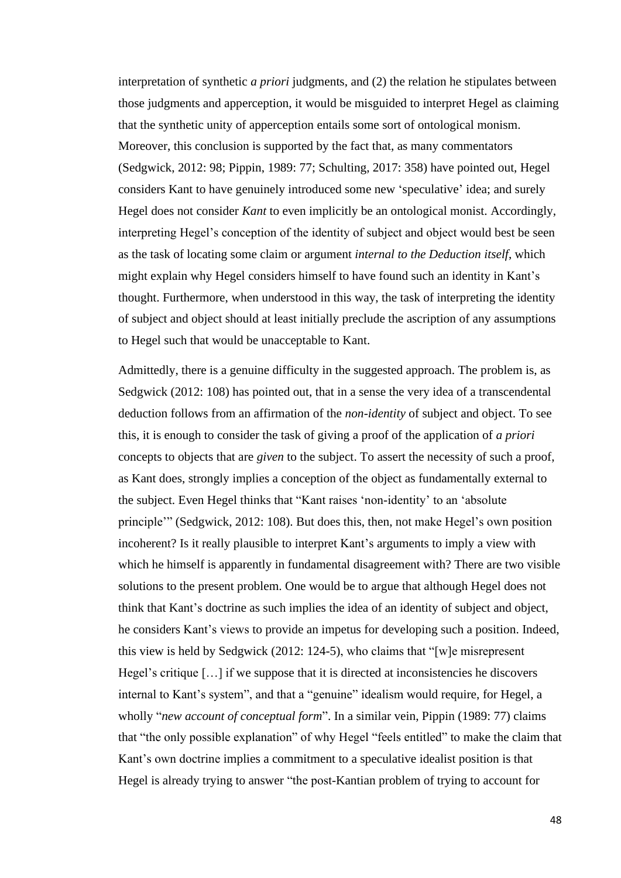interpretation of synthetic *a priori* judgments, and (2) the relation he stipulates between those judgments and apperception, it would be misguided to interpret Hegel as claiming that the synthetic unity of apperception entails some sort of ontological monism. Moreover, this conclusion is supported by the fact that, as many commentators (Sedgwick, 2012: 98; Pippin, 1989: 77; Schulting, 2017: 358) have pointed out, Hegel considers Kant to have genuinely introduced some new 'speculative' idea; and surely Hegel does not consider *Kant* to even implicitly be an ontological monist. Accordingly, interpreting Hegel's conception of the identity of subject and object would best be seen as the task of locating some claim or argument *internal to the Deduction itself*, which might explain why Hegel considers himself to have found such an identity in Kant's thought. Furthermore, when understood in this way, the task of interpreting the identity of subject and object should at least initially preclude the ascription of any assumptions to Hegel such that would be unacceptable to Kant.

Admittedly, there is a genuine difficulty in the suggested approach. The problem is, as Sedgwick (2012: 108) has pointed out, that in a sense the very idea of a transcendental deduction follows from an affirmation of the *non-identity* of subject and object. To see this, it is enough to consider the task of giving a proof of the application of *a priori*  concepts to objects that are *given* to the subject. To assert the necessity of such a proof, as Kant does, strongly implies a conception of the object as fundamentally external to the subject. Even Hegel thinks that "Kant raises 'non-identity' to an 'absolute principle'" (Sedgwick, 2012: 108). But does this, then, not make Hegel's own position incoherent? Is it really plausible to interpret Kant's arguments to imply a view with which he himself is apparently in fundamental disagreement with? There are two visible solutions to the present problem. One would be to argue that although Hegel does not think that Kant's doctrine as such implies the idea of an identity of subject and object, he considers Kant's views to provide an impetus for developing such a position. Indeed, this view is held by Sedgwick (2012: 124-5), who claims that "[w]e misrepresent Hegel's critique [...] if we suppose that it is directed at inconsistencies he discovers internal to Kant's system", and that a "genuine" idealism would require, for Hegel, a wholly "*new account of conceptual form*". In a similar vein, Pippin (1989: 77) claims that "the only possible explanation" of why Hegel "feels entitled" to make the claim that Kant's own doctrine implies a commitment to a speculative idealist position is that Hegel is already trying to answer "the post-Kantian problem of trying to account for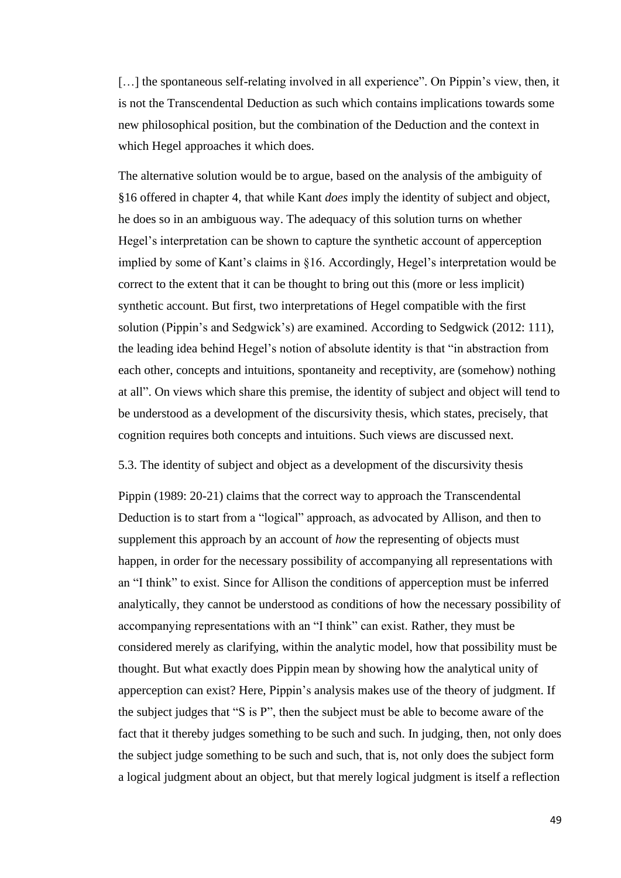[...] the spontaneous self-relating involved in all experience". On Pippin's view, then, it is not the Transcendental Deduction as such which contains implications towards some new philosophical position, but the combination of the Deduction and the context in which Hegel approaches it which does.

The alternative solution would be to argue, based on the analysis of the ambiguity of §16 offered in chapter 4, that while Kant *does* imply the identity of subject and object, he does so in an ambiguous way. The adequacy of this solution turns on whether Hegel's interpretation can be shown to capture the synthetic account of apperception implied by some of Kant's claims in §16. Accordingly, Hegel's interpretation would be correct to the extent that it can be thought to bring out this (more or less implicit) synthetic account. But first, two interpretations of Hegel compatible with the first solution (Pippin's and Sedgwick's) are examined. According to Sedgwick (2012: 111), the leading idea behind Hegel's notion of absolute identity is that "in abstraction from each other, concepts and intuitions, spontaneity and receptivity, are (somehow) nothing at all". On views which share this premise, the identity of subject and object will tend to be understood as a development of the discursivity thesis, which states, precisely, that cognition requires both concepts and intuitions. Such views are discussed next.

#### 5.3. The identity of subject and object as a development of the discursivity thesis

Pippin (1989: 20-21) claims that the correct way to approach the Transcendental Deduction is to start from a "logical" approach, as advocated by Allison, and then to supplement this approach by an account of *how* the representing of objects must happen, in order for the necessary possibility of accompanying all representations with an "I think" to exist. Since for Allison the conditions of apperception must be inferred analytically, they cannot be understood as conditions of how the necessary possibility of accompanying representations with an "I think" can exist. Rather, they must be considered merely as clarifying, within the analytic model, how that possibility must be thought. But what exactly does Pippin mean by showing how the analytical unity of apperception can exist? Here, Pippin's analysis makes use of the theory of judgment. If the subject judges that "S is P", then the subject must be able to become aware of the fact that it thereby judges something to be such and such. In judging, then, not only does the subject judge something to be such and such, that is, not only does the subject form a logical judgment about an object, but that merely logical judgment is itself a reflection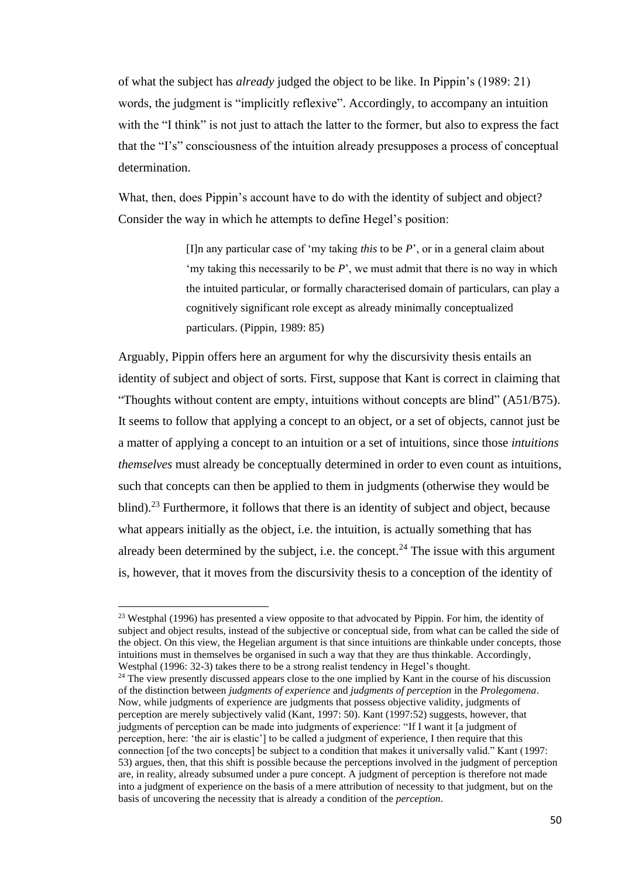of what the subject has *already* judged the object to be like. In Pippin's (1989: 21) words, the judgment is "implicitly reflexive". Accordingly, to accompany an intuition with the "I think" is not just to attach the latter to the former, but also to express the fact that the "I's" consciousness of the intuition already presupposes a process of conceptual determination.

What, then, does Pippin's account have to do with the identity of subject and object? Consider the way in which he attempts to define Hegel's position:

> [I]n any particular case of 'my taking *this* to be *P*', or in a general claim about 'my taking this necessarily to be *P*', we must admit that there is no way in which the intuited particular, or formally characterised domain of particulars, can play a cognitively significant role except as already minimally conceptualized particulars. (Pippin, 1989: 85)

Arguably, Pippin offers here an argument for why the discursivity thesis entails an identity of subject and object of sorts. First, suppose that Kant is correct in claiming that "Thoughts without content are empty, intuitions without concepts are blind" (A51/B75). It seems to follow that applying a concept to an object, or a set of objects, cannot just be a matter of applying a concept to an intuition or a set of intuitions, since those *intuitions themselves* must already be conceptually determined in order to even count as intuitions, such that concepts can then be applied to them in judgments (otherwise they would be blind).<sup>23</sup> Furthermore, it follows that there is an identity of subject and object, because what appears initially as the object, i.e. the intuition, is actually something that has already been determined by the subject, i.e. the concept.<sup>24</sup> The issue with this argument is, however, that it moves from the discursivity thesis to a conception of the identity of

<sup>&</sup>lt;sup>23</sup> Westphal (1996) has presented a view opposite to that advocated by Pippin. For him, the identity of subject and object results, instead of the subjective or conceptual side, from what can be called the side of the object. On this view, the Hegelian argument is that since intuitions are thinkable under concepts, those intuitions must in themselves be organised in such a way that they are thus thinkable. Accordingly, Westphal (1996: 32-3) takes there to be a strong realist tendency in Hegel's thought.

<sup>&</sup>lt;sup>24</sup> The view presently discussed appears close to the one implied by Kant in the course of his discussion of the distinction between *judgments of experience* and *judgments of perception* in the *Prolegomena*. Now, while judgments of experience are judgments that possess objective validity, judgments of perception are merely subjectively valid (Kant, 1997: 50). Kant (1997:52) suggests, however, that judgments of perception can be made into judgments of experience: "If I want it [a judgment of perception, here: 'the air is elastic'] to be called a judgment of experience, I then require that this connection [of the two concepts] be subject to a condition that makes it universally valid." Kant (1997: 53) argues, then, that this shift is possible because the perceptions involved in the judgment of perception are, in reality, already subsumed under a pure concept. A judgment of perception is therefore not made into a judgment of experience on the basis of a mere attribution of necessity to that judgment, but on the basis of uncovering the necessity that is already a condition of the *perception*.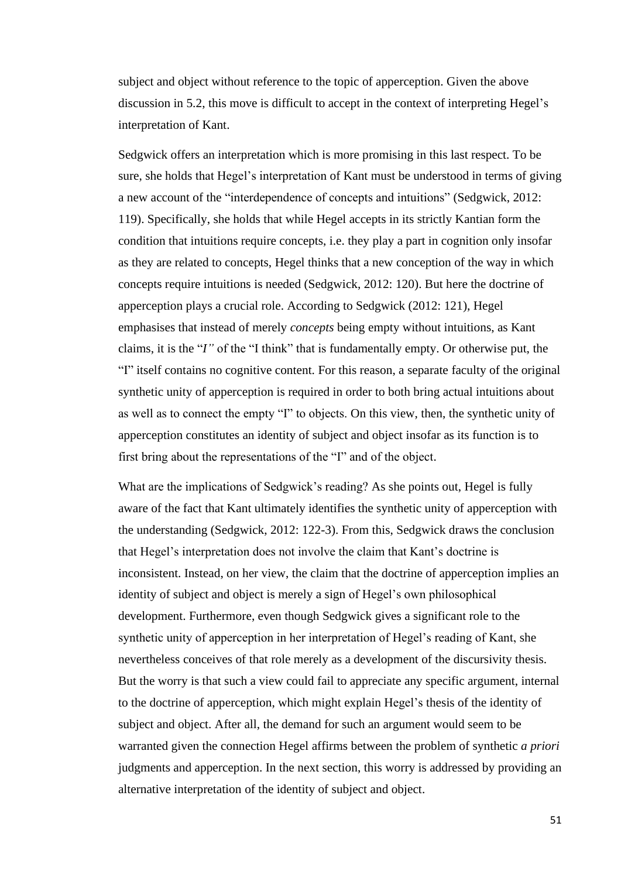subject and object without reference to the topic of apperception. Given the above discussion in 5.2, this move is difficult to accept in the context of interpreting Hegel's interpretation of Kant.

Sedgwick offers an interpretation which is more promising in this last respect. To be sure, she holds that Hegel's interpretation of Kant must be understood in terms of giving a new account of the "interdependence of concepts and intuitions" (Sedgwick, 2012: 119). Specifically, she holds that while Hegel accepts in its strictly Kantian form the condition that intuitions require concepts, i.e. they play a part in cognition only insofar as they are related to concepts, Hegel thinks that a new conception of the way in which concepts require intuitions is needed (Sedgwick, 2012: 120). But here the doctrine of apperception plays a crucial role. According to Sedgwick (2012: 121), Hegel emphasises that instead of merely *concepts* being empty without intuitions, as Kant claims, it is the "*I"* of the "I think" that is fundamentally empty. Or otherwise put, the "I" itself contains no cognitive content. For this reason, a separate faculty of the original synthetic unity of apperception is required in order to both bring actual intuitions about as well as to connect the empty "I" to objects. On this view, then, the synthetic unity of apperception constitutes an identity of subject and object insofar as its function is to first bring about the representations of the "I" and of the object.

What are the implications of Sedgwick's reading? As she points out, Hegel is fully aware of the fact that Kant ultimately identifies the synthetic unity of apperception with the understanding (Sedgwick, 2012: 122-3). From this, Sedgwick draws the conclusion that Hegel's interpretation does not involve the claim that Kant's doctrine is inconsistent. Instead, on her view, the claim that the doctrine of apperception implies an identity of subject and object is merely a sign of Hegel's own philosophical development. Furthermore, even though Sedgwick gives a significant role to the synthetic unity of apperception in her interpretation of Hegel's reading of Kant, she nevertheless conceives of that role merely as a development of the discursivity thesis. But the worry is that such a view could fail to appreciate any specific argument, internal to the doctrine of apperception, which might explain Hegel's thesis of the identity of subject and object. After all, the demand for such an argument would seem to be warranted given the connection Hegel affirms between the problem of synthetic *a priori*  judgments and apperception. In the next section, this worry is addressed by providing an alternative interpretation of the identity of subject and object.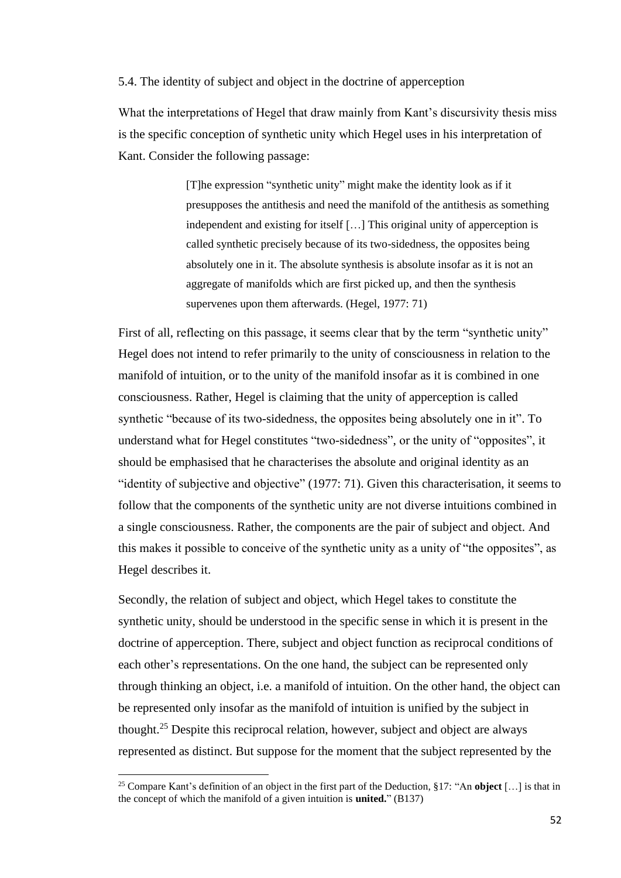5.4. The identity of subject and object in the doctrine of apperception

What the interpretations of Hegel that draw mainly from Kant's discursivity thesis miss is the specific conception of synthetic unity which Hegel uses in his interpretation of Kant. Consider the following passage:

> [T]he expression "synthetic unity" might make the identity look as if it presupposes the antithesis and need the manifold of the antithesis as something independent and existing for itself […] This original unity of apperception is called synthetic precisely because of its two-sidedness, the opposites being absolutely one in it. The absolute synthesis is absolute insofar as it is not an aggregate of manifolds which are first picked up, and then the synthesis supervenes upon them afterwards. (Hegel, 1977: 71)

First of all, reflecting on this passage, it seems clear that by the term "synthetic unity" Hegel does not intend to refer primarily to the unity of consciousness in relation to the manifold of intuition, or to the unity of the manifold insofar as it is combined in one consciousness. Rather, Hegel is claiming that the unity of apperception is called synthetic "because of its two-sidedness, the opposites being absolutely one in it". To understand what for Hegel constitutes "two-sidedness", or the unity of "opposites", it should be emphasised that he characterises the absolute and original identity as an "identity of subjective and objective" (1977: 71). Given this characterisation, it seems to follow that the components of the synthetic unity are not diverse intuitions combined in a single consciousness. Rather, the components are the pair of subject and object. And this makes it possible to conceive of the synthetic unity as a unity of "the opposites", as Hegel describes it.

Secondly, the relation of subject and object, which Hegel takes to constitute the synthetic unity, should be understood in the specific sense in which it is present in the doctrine of apperception. There, subject and object function as reciprocal conditions of each other's representations. On the one hand, the subject can be represented only through thinking an object, i.e. a manifold of intuition. On the other hand, the object can be represented only insofar as the manifold of intuition is unified by the subject in thought. <sup>25</sup> Despite this reciprocal relation, however, subject and object are always represented as distinct. But suppose for the moment that the subject represented by the

<sup>25</sup> Compare Kant's definition of an object in the first part of the Deduction, §17: "An **object** […] is that in the concept of which the manifold of a given intuition is **united.**" (B137)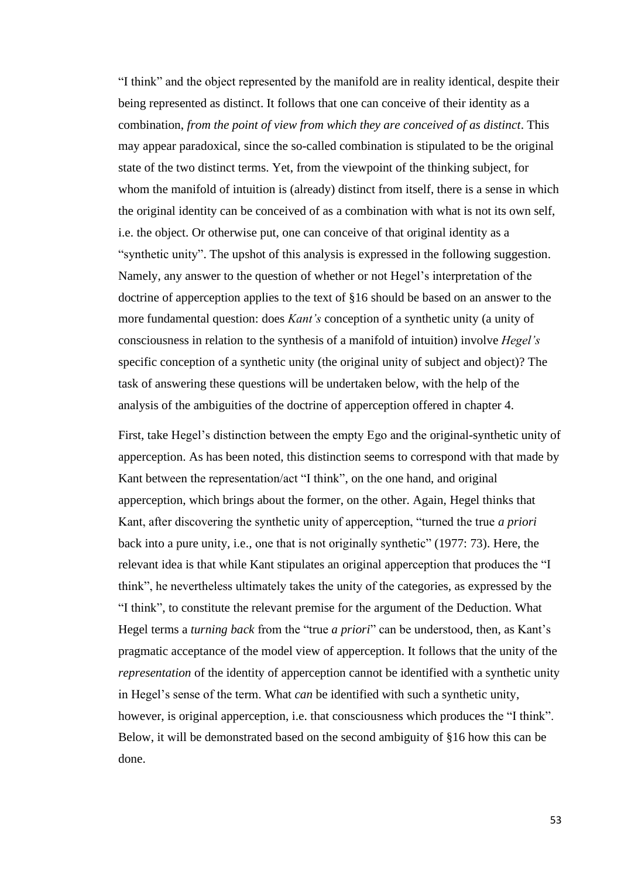"I think" and the object represented by the manifold are in reality identical, despite their being represented as distinct. It follows that one can conceive of their identity as a combination, *from the point of view from which they are conceived of as distinct*. This may appear paradoxical, since the so-called combination is stipulated to be the original state of the two distinct terms. Yet, from the viewpoint of the thinking subject, for whom the manifold of intuition is (already) distinct from itself, there is a sense in which the original identity can be conceived of as a combination with what is not its own self, i.e. the object. Or otherwise put, one can conceive of that original identity as a "synthetic unity". The upshot of this analysis is expressed in the following suggestion. Namely, any answer to the question of whether or not Hegel's interpretation of the doctrine of apperception applies to the text of §16 should be based on an answer to the more fundamental question: does *Kant's* conception of a synthetic unity (a unity of consciousness in relation to the synthesis of a manifold of intuition) involve *Hegel's* specific conception of a synthetic unity (the original unity of subject and object)? The task of answering these questions will be undertaken below, with the help of the analysis of the ambiguities of the doctrine of apperception offered in chapter 4.

First, take Hegel's distinction between the empty Ego and the original-synthetic unity of apperception. As has been noted, this distinction seems to correspond with that made by Kant between the representation/act "I think", on the one hand, and original apperception, which brings about the former, on the other. Again, Hegel thinks that Kant, after discovering the synthetic unity of apperception, "turned the true *a priori*  back into a pure unity, i.e., one that is not originally synthetic" (1977: 73). Here, the relevant idea is that while Kant stipulates an original apperception that produces the "I think", he nevertheless ultimately takes the unity of the categories, as expressed by the "I think", to constitute the relevant premise for the argument of the Deduction. What Hegel terms a *turning back* from the "true *a priori*" can be understood, then, as Kant's pragmatic acceptance of the model view of apperception. It follows that the unity of the *representation* of the identity of apperception cannot be identified with a synthetic unity in Hegel's sense of the term. What *can* be identified with such a synthetic unity, however, is original apperception, i.e. that consciousness which produces the "I think". Below, it will be demonstrated based on the second ambiguity of §16 how this can be done.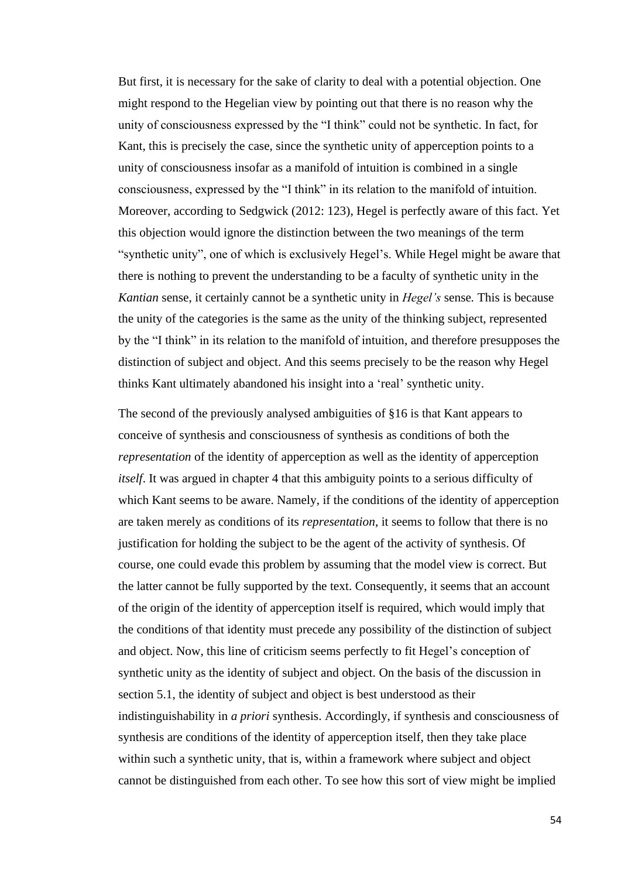But first, it is necessary for the sake of clarity to deal with a potential objection. One might respond to the Hegelian view by pointing out that there is no reason why the unity of consciousness expressed by the "I think" could not be synthetic. In fact, for Kant, this is precisely the case, since the synthetic unity of apperception points to a unity of consciousness insofar as a manifold of intuition is combined in a single consciousness, expressed by the "I think" in its relation to the manifold of intuition. Moreover, according to Sedgwick (2012: 123), Hegel is perfectly aware of this fact. Yet this objection would ignore the distinction between the two meanings of the term "synthetic unity", one of which is exclusively Hegel's. While Hegel might be aware that there is nothing to prevent the understanding to be a faculty of synthetic unity in the *Kantian* sense, it certainly cannot be a synthetic unity in *Hegel's* sense*.* This is because the unity of the categories is the same as the unity of the thinking subject, represented by the "I think" in its relation to the manifold of intuition, and therefore presupposes the distinction of subject and object. And this seems precisely to be the reason why Hegel thinks Kant ultimately abandoned his insight into a 'real' synthetic unity.

The second of the previously analysed ambiguities of §16 is that Kant appears to conceive of synthesis and consciousness of synthesis as conditions of both the *representation* of the identity of apperception as well as the identity of apperception *itself*. It was argued in chapter 4 that this ambiguity points to a serious difficulty of which Kant seems to be aware. Namely, if the conditions of the identity of apperception are taken merely as conditions of its *representation*, it seems to follow that there is no justification for holding the subject to be the agent of the activity of synthesis. Of course, one could evade this problem by assuming that the model view is correct. But the latter cannot be fully supported by the text. Consequently, it seems that an account of the origin of the identity of apperception itself is required, which would imply that the conditions of that identity must precede any possibility of the distinction of subject and object. Now, this line of criticism seems perfectly to fit Hegel's conception of synthetic unity as the identity of subject and object. On the basis of the discussion in section 5.1, the identity of subject and object is best understood as their indistinguishability in *a priori* synthesis. Accordingly, if synthesis and consciousness of synthesis are conditions of the identity of apperception itself, then they take place within such a synthetic unity, that is, within a framework where subject and object cannot be distinguished from each other. To see how this sort of view might be implied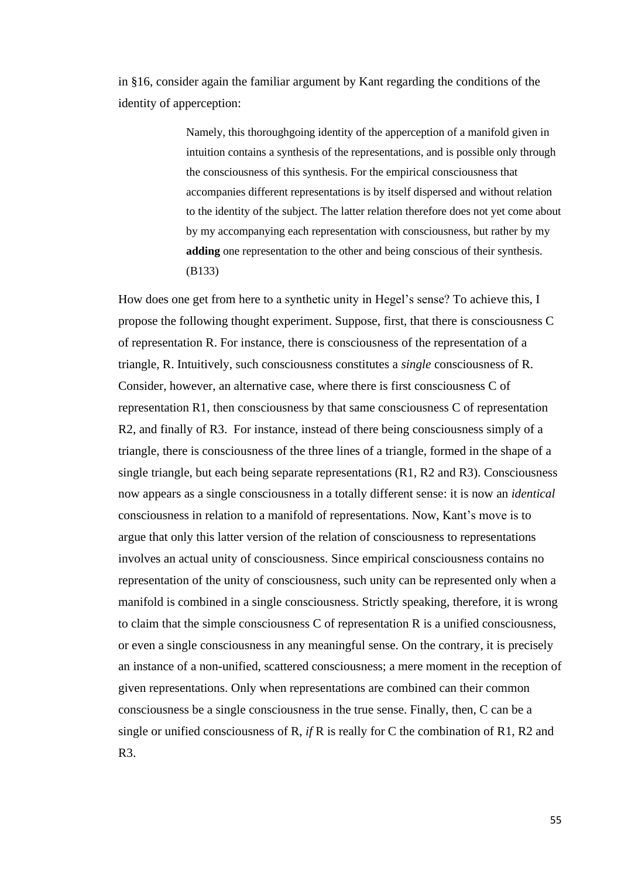in §16, consider again the familiar argument by Kant regarding the conditions of the identity of apperception:

> Namely, this thoroughgoing identity of the apperception of a manifold given in intuition contains a synthesis of the representations, and is possible only through the consciousness of this synthesis. For the empirical consciousness that accompanies different representations is by itself dispersed and without relation to the identity of the subject. The latter relation therefore does not yet come about by my accompanying each representation with consciousness, but rather by my **adding** one representation to the other and being conscious of their synthesis. (B133)

How does one get from here to a synthetic unity in Hegel's sense? To achieve this, I propose the following thought experiment. Suppose, first, that there is consciousness C of representation R. For instance, there is consciousness of the representation of a triangle, R. Intuitively, such consciousness constitutes a *single* consciousness of R. Consider, however, an alternative case, where there is first consciousness C of representation R1, then consciousness by that same consciousness C of representation R2, and finally of R3. For instance, instead of there being consciousness simply of a triangle, there is consciousness of the three lines of a triangle, formed in the shape of a single triangle, but each being separate representations (R1, R2 and R3). Consciousness now appears as a single consciousness in a totally different sense: it is now an *identical*  consciousness in relation to a manifold of representations. Now, Kant's move is to argue that only this latter version of the relation of consciousness to representations involves an actual unity of consciousness. Since empirical consciousness contains no representation of the unity of consciousness, such unity can be represented only when a manifold is combined in a single consciousness. Strictly speaking, therefore, it is wrong to claim that the simple consciousness C of representation R is a unified consciousness, or even a single consciousness in any meaningful sense. On the contrary, it is precisely an instance of a non-unified, scattered consciousness; a mere moment in the reception of given representations. Only when representations are combined can their common consciousness be a single consciousness in the true sense. Finally, then, C can be a single or unified consciousness of R, *if* R is really for C the combination of R1, R2 and R3.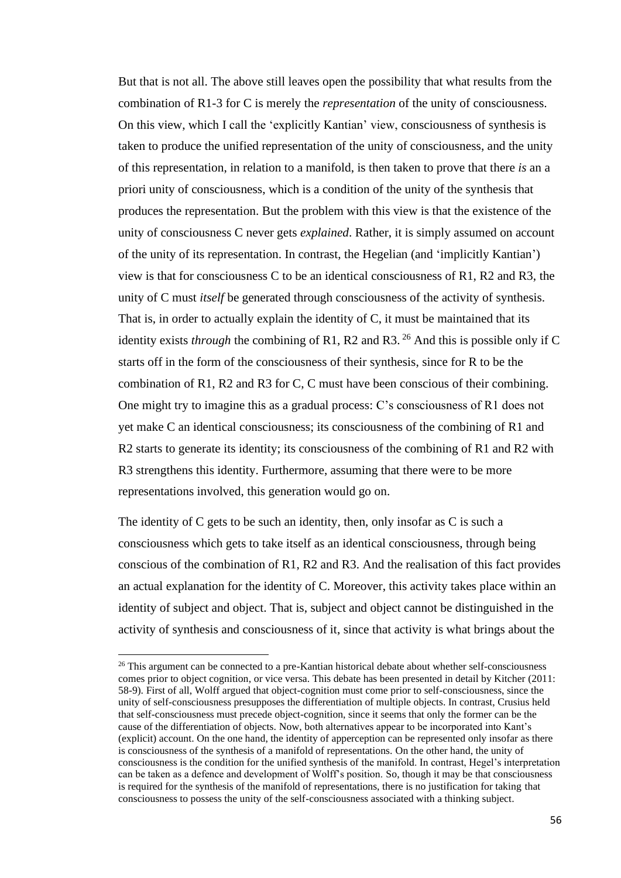But that is not all. The above still leaves open the possibility that what results from the combination of R1-3 for C is merely the *representation* of the unity of consciousness. On this view, which I call the 'explicitly Kantian' view, consciousness of synthesis is taken to produce the unified representation of the unity of consciousness, and the unity of this representation, in relation to a manifold, is then taken to prove that there *is* an a priori unity of consciousness, which is a condition of the unity of the synthesis that produces the representation. But the problem with this view is that the existence of the unity of consciousness C never gets *explained*. Rather, it is simply assumed on account of the unity of its representation. In contrast, the Hegelian (and 'implicitly Kantian') view is that for consciousness C to be an identical consciousness of R1, R2 and R3, the unity of C must *itself* be generated through consciousness of the activity of synthesis. That is, in order to actually explain the identity of C, it must be maintained that its identity exists *through* the combining of R1, R2 and R3.<sup>26</sup> And this is possible only if C starts off in the form of the consciousness of their synthesis, since for R to be the combination of R1, R2 and R3 for C, C must have been conscious of their combining. One might try to imagine this as a gradual process: C's consciousness of R1 does not yet make C an identical consciousness; its consciousness of the combining of R1 and R2 starts to generate its identity; its consciousness of the combining of R1 and R2 with R3 strengthens this identity. Furthermore, assuming that there were to be more representations involved, this generation would go on.

The identity of C gets to be such an identity, then, only insofar as C is such a consciousness which gets to take itself as an identical consciousness, through being conscious of the combination of R1, R2 and R3. And the realisation of this fact provides an actual explanation for the identity of C. Moreover, this activity takes place within an identity of subject and object. That is, subject and object cannot be distinguished in the activity of synthesis and consciousness of it, since that activity is what brings about the

<sup>&</sup>lt;sup>26</sup> This argument can be connected to a pre-Kantian historical debate about whether self-consciousness comes prior to object cognition, or vice versa. This debate has been presented in detail by Kitcher (2011: 58-9). First of all, Wolff argued that object-cognition must come prior to self-consciousness, since the unity of self-consciousness presupposes the differentiation of multiple objects. In contrast, Crusius held that self-consciousness must precede object-cognition, since it seems that only the former can be the cause of the differentiation of objects. Now, both alternatives appear to be incorporated into Kant's (explicit) account. On the one hand, the identity of apperception can be represented only insofar as there is consciousness of the synthesis of a manifold of representations. On the other hand, the unity of consciousness is the condition for the unified synthesis of the manifold. In contrast, Hegel's interpretation can be taken as a defence and development of Wolff's position. So, though it may be that consciousness is required for the synthesis of the manifold of representations, there is no justification for taking that consciousness to possess the unity of the self-consciousness associated with a thinking subject.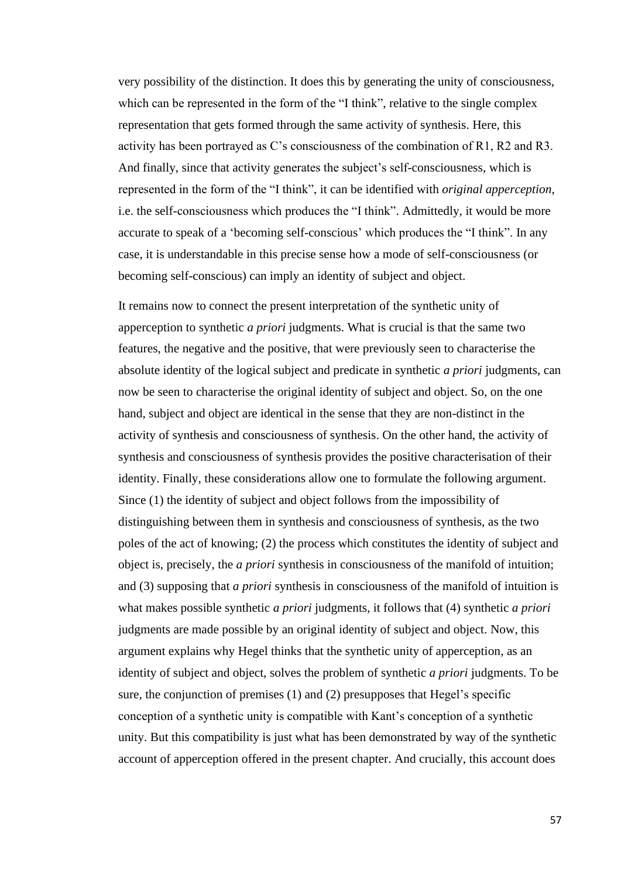very possibility of the distinction. It does this by generating the unity of consciousness, which can be represented in the form of the "I think", relative to the single complex representation that gets formed through the same activity of synthesis. Here, this activity has been portrayed as C's consciousness of the combination of R1, R2 and R3. And finally, since that activity generates the subject's self-consciousness, which is represented in the form of the "I think", it can be identified with *original apperception*, i.e. the self-consciousness which produces the "I think". Admittedly, it would be more accurate to speak of a 'becoming self-conscious' which produces the "I think". In any case, it is understandable in this precise sense how a mode of self-consciousness (or becoming self-conscious) can imply an identity of subject and object.

It remains now to connect the present interpretation of the synthetic unity of apperception to synthetic *a priori* judgments. What is crucial is that the same two features, the negative and the positive, that were previously seen to characterise the absolute identity of the logical subject and predicate in synthetic *a priori* judgments, can now be seen to characterise the original identity of subject and object. So, on the one hand, subject and object are identical in the sense that they are non-distinct in the activity of synthesis and consciousness of synthesis. On the other hand, the activity of synthesis and consciousness of synthesis provides the positive characterisation of their identity. Finally, these considerations allow one to formulate the following argument. Since (1) the identity of subject and object follows from the impossibility of distinguishing between them in synthesis and consciousness of synthesis, as the two poles of the act of knowing; (2) the process which constitutes the identity of subject and object is, precisely, the *a priori* synthesis in consciousness of the manifold of intuition; and (3) supposing that *a priori* synthesis in consciousness of the manifold of intuition is what makes possible synthetic *a priori* judgments, it follows that (4) synthetic *a priori* judgments are made possible by an original identity of subject and object. Now, this argument explains why Hegel thinks that the synthetic unity of apperception, as an identity of subject and object, solves the problem of synthetic *a priori* judgments. To be sure, the conjunction of premises (1) and (2) presupposes that Hegel's specific conception of a synthetic unity is compatible with Kant's conception of a synthetic unity. But this compatibility is just what has been demonstrated by way of the synthetic account of apperception offered in the present chapter. And crucially, this account does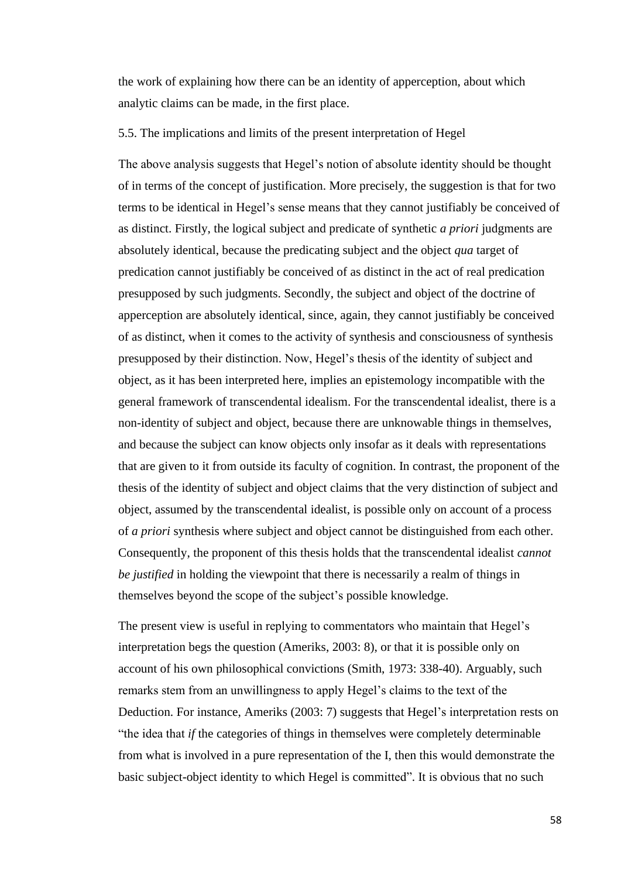the work of explaining how there can be an identity of apperception, about which analytic claims can be made, in the first place.

# 5.5. The implications and limits of the present interpretation of Hegel

The above analysis suggests that Hegel's notion of absolute identity should be thought of in terms of the concept of justification. More precisely, the suggestion is that for two terms to be identical in Hegel's sense means that they cannot justifiably be conceived of as distinct. Firstly, the logical subject and predicate of synthetic *a priori* judgments are absolutely identical, because the predicating subject and the object *qua* target of predication cannot justifiably be conceived of as distinct in the act of real predication presupposed by such judgments. Secondly, the subject and object of the doctrine of apperception are absolutely identical, since, again, they cannot justifiably be conceived of as distinct, when it comes to the activity of synthesis and consciousness of synthesis presupposed by their distinction. Now, Hegel's thesis of the identity of subject and object, as it has been interpreted here, implies an epistemology incompatible with the general framework of transcendental idealism. For the transcendental idealist, there is a non-identity of subject and object, because there are unknowable things in themselves, and because the subject can know objects only insofar as it deals with representations that are given to it from outside its faculty of cognition. In contrast, the proponent of the thesis of the identity of subject and object claims that the very distinction of subject and object, assumed by the transcendental idealist, is possible only on account of a process of *a priori* synthesis where subject and object cannot be distinguished from each other. Consequently, the proponent of this thesis holds that the transcendental idealist *cannot be justified* in holding the viewpoint that there is necessarily a realm of things in themselves beyond the scope of the subject's possible knowledge.

The present view is useful in replying to commentators who maintain that Hegel's interpretation begs the question (Ameriks, 2003: 8), or that it is possible only on account of his own philosophical convictions (Smith, 1973: 338-40). Arguably, such remarks stem from an unwillingness to apply Hegel's claims to the text of the Deduction. For instance, Ameriks (2003: 7) suggests that Hegel's interpretation rests on "the idea that *if* the categories of things in themselves were completely determinable from what is involved in a pure representation of the I, then this would demonstrate the basic subject-object identity to which Hegel is committed". It is obvious that no such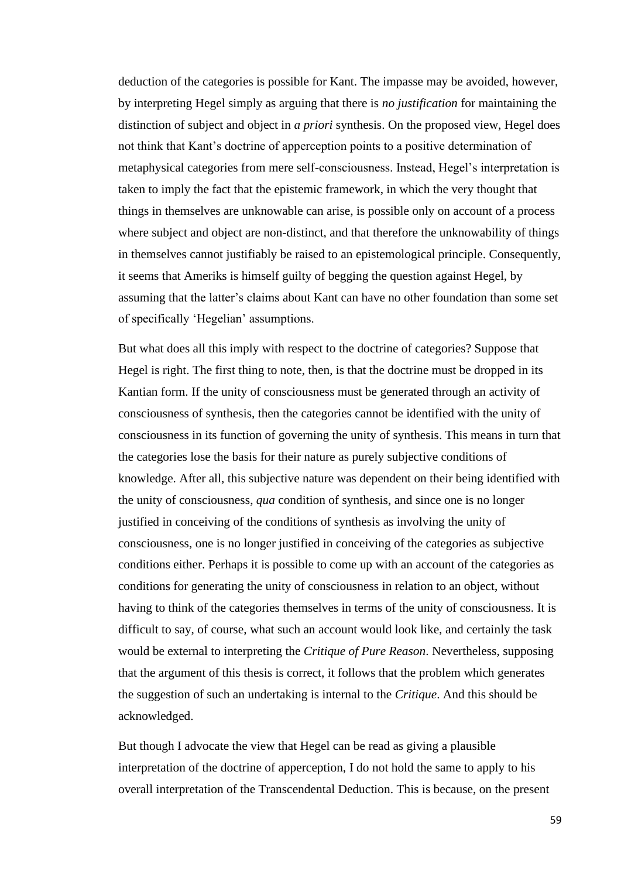deduction of the categories is possible for Kant. The impasse may be avoided, however, by interpreting Hegel simply as arguing that there is *no justification* for maintaining the distinction of subject and object in *a priori* synthesis. On the proposed view, Hegel does not think that Kant's doctrine of apperception points to a positive determination of metaphysical categories from mere self-consciousness. Instead, Hegel's interpretation is taken to imply the fact that the epistemic framework, in which the very thought that things in themselves are unknowable can arise, is possible only on account of a process where subject and object are non-distinct, and that therefore the unknowability of things in themselves cannot justifiably be raised to an epistemological principle. Consequently, it seems that Ameriks is himself guilty of begging the question against Hegel, by assuming that the latter's claims about Kant can have no other foundation than some set of specifically 'Hegelian' assumptions.

But what does all this imply with respect to the doctrine of categories? Suppose that Hegel is right. The first thing to note, then, is that the doctrine must be dropped in its Kantian form. If the unity of consciousness must be generated through an activity of consciousness of synthesis, then the categories cannot be identified with the unity of consciousness in its function of governing the unity of synthesis. This means in turn that the categories lose the basis for their nature as purely subjective conditions of knowledge. After all, this subjective nature was dependent on their being identified with the unity of consciousness, *qua* condition of synthesis, and since one is no longer justified in conceiving of the conditions of synthesis as involving the unity of consciousness, one is no longer justified in conceiving of the categories as subjective conditions either. Perhaps it is possible to come up with an account of the categories as conditions for generating the unity of consciousness in relation to an object, without having to think of the categories themselves in terms of the unity of consciousness. It is difficult to say, of course, what such an account would look like, and certainly the task would be external to interpreting the *Critique of Pure Reason*. Nevertheless, supposing that the argument of this thesis is correct, it follows that the problem which generates the suggestion of such an undertaking is internal to the *Critique*. And this should be acknowledged.

But though I advocate the view that Hegel can be read as giving a plausible interpretation of the doctrine of apperception, I do not hold the same to apply to his overall interpretation of the Transcendental Deduction. This is because, on the present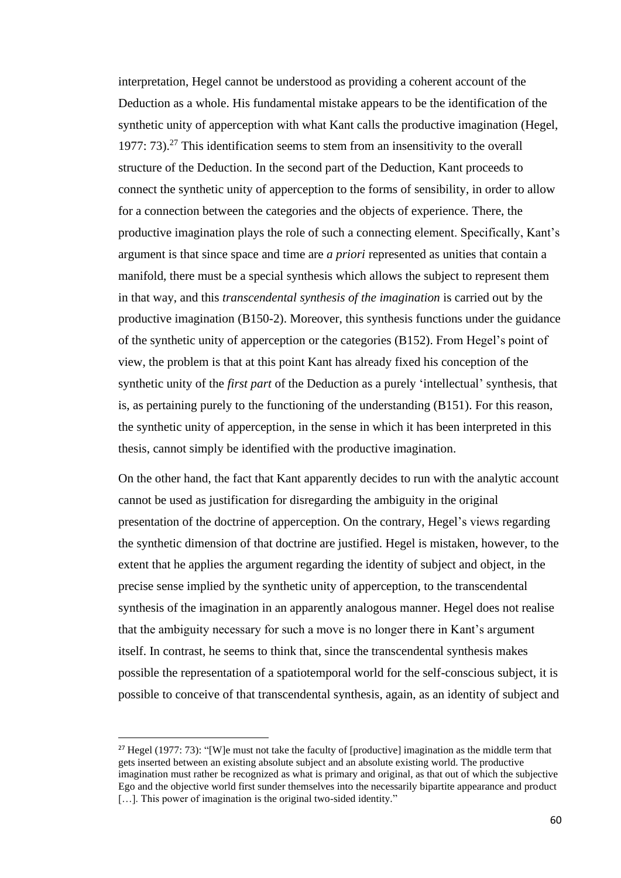interpretation, Hegel cannot be understood as providing a coherent account of the Deduction as a whole. His fundamental mistake appears to be the identification of the synthetic unity of apperception with what Kant calls the productive imagination (Hegel, 1977: 73). <sup>27</sup> This identification seems to stem from an insensitivity to the overall structure of the Deduction. In the second part of the Deduction, Kant proceeds to connect the synthetic unity of apperception to the forms of sensibility, in order to allow for a connection between the categories and the objects of experience. There, the productive imagination plays the role of such a connecting element. Specifically, Kant's argument is that since space and time are *a priori* represented as unities that contain a manifold, there must be a special synthesis which allows the subject to represent them in that way, and this *transcendental synthesis of the imagination* is carried out by the productive imagination (B150-2). Moreover, this synthesis functions under the guidance of the synthetic unity of apperception or the categories (B152). From Hegel's point of view, the problem is that at this point Kant has already fixed his conception of the synthetic unity of the *first part* of the Deduction as a purely 'intellectual' synthesis, that is, as pertaining purely to the functioning of the understanding (B151). For this reason, the synthetic unity of apperception, in the sense in which it has been interpreted in this thesis, cannot simply be identified with the productive imagination.

On the other hand, the fact that Kant apparently decides to run with the analytic account cannot be used as justification for disregarding the ambiguity in the original presentation of the doctrine of apperception. On the contrary, Hegel's views regarding the synthetic dimension of that doctrine are justified. Hegel is mistaken, however, to the extent that he applies the argument regarding the identity of subject and object, in the precise sense implied by the synthetic unity of apperception, to the transcendental synthesis of the imagination in an apparently analogous manner. Hegel does not realise that the ambiguity necessary for such a move is no longer there in Kant's argument itself. In contrast, he seems to think that, since the transcendental synthesis makes possible the representation of a spatiotemporal world for the self-conscious subject, it is possible to conceive of that transcendental synthesis, again, as an identity of subject and

<sup>&</sup>lt;sup>27</sup> Hegel (1977: 73): "[W]e must not take the faculty of [productive] imagination as the middle term that gets inserted between an existing absolute subject and an absolute existing world. The productive imagination must rather be recognized as what is primary and original, as that out of which the subjective Ego and the objective world first sunder themselves into the necessarily bipartite appearance and product [...]. This power of imagination is the original two-sided identity."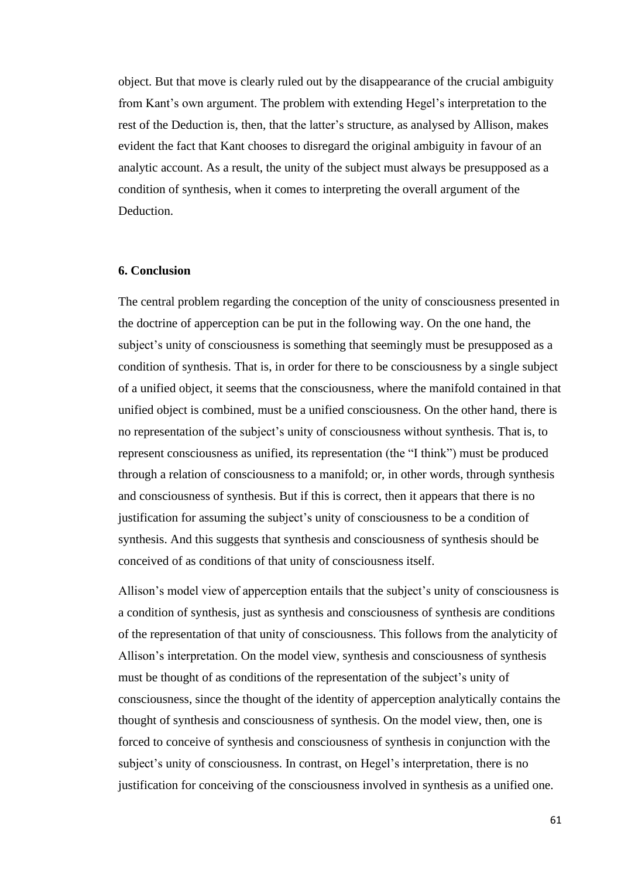object. But that move is clearly ruled out by the disappearance of the crucial ambiguity from Kant's own argument. The problem with extending Hegel's interpretation to the rest of the Deduction is, then, that the latter's structure, as analysed by Allison, makes evident the fact that Kant chooses to disregard the original ambiguity in favour of an analytic account. As a result, the unity of the subject must always be presupposed as a condition of synthesis, when it comes to interpreting the overall argument of the Deduction.

# **6. Conclusion**

The central problem regarding the conception of the unity of consciousness presented in the doctrine of apperception can be put in the following way. On the one hand, the subject's unity of consciousness is something that seemingly must be presupposed as a condition of synthesis. That is, in order for there to be consciousness by a single subject of a unified object, it seems that the consciousness, where the manifold contained in that unified object is combined, must be a unified consciousness. On the other hand, there is no representation of the subject's unity of consciousness without synthesis. That is, to represent consciousness as unified, its representation (the "I think") must be produced through a relation of consciousness to a manifold; or, in other words, through synthesis and consciousness of synthesis. But if this is correct, then it appears that there is no justification for assuming the subject's unity of consciousness to be a condition of synthesis. And this suggests that synthesis and consciousness of synthesis should be conceived of as conditions of that unity of consciousness itself.

Allison's model view of apperception entails that the subject's unity of consciousness is a condition of synthesis, just as synthesis and consciousness of synthesis are conditions of the representation of that unity of consciousness. This follows from the analyticity of Allison's interpretation. On the model view, synthesis and consciousness of synthesis must be thought of as conditions of the representation of the subject's unity of consciousness, since the thought of the identity of apperception analytically contains the thought of synthesis and consciousness of synthesis. On the model view, then, one is forced to conceive of synthesis and consciousness of synthesis in conjunction with the subject's unity of consciousness. In contrast, on Hegel's interpretation, there is no justification for conceiving of the consciousness involved in synthesis as a unified one.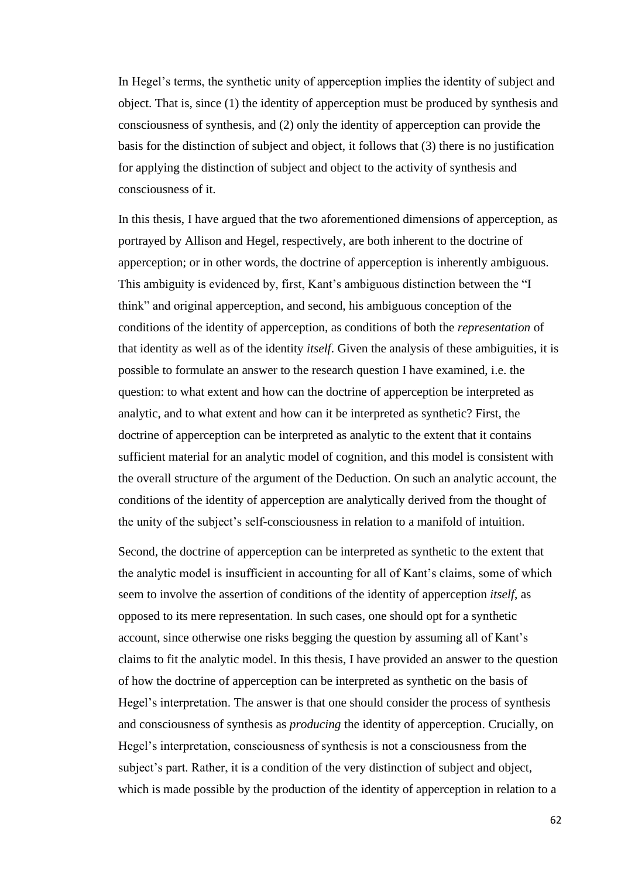In Hegel's terms, the synthetic unity of apperception implies the identity of subject and object. That is, since (1) the identity of apperception must be produced by synthesis and consciousness of synthesis, and (2) only the identity of apperception can provide the basis for the distinction of subject and object, it follows that (3) there is no justification for applying the distinction of subject and object to the activity of synthesis and consciousness of it.

In this thesis, I have argued that the two aforementioned dimensions of apperception, as portrayed by Allison and Hegel, respectively, are both inherent to the doctrine of apperception; or in other words, the doctrine of apperception is inherently ambiguous. This ambiguity is evidenced by, first, Kant's ambiguous distinction between the "I think" and original apperception, and second, his ambiguous conception of the conditions of the identity of apperception, as conditions of both the *representation* of that identity as well as of the identity *itself*. Given the analysis of these ambiguities, it is possible to formulate an answer to the research question I have examined, i.e. the question: to what extent and how can the doctrine of apperception be interpreted as analytic, and to what extent and how can it be interpreted as synthetic? First, the doctrine of apperception can be interpreted as analytic to the extent that it contains sufficient material for an analytic model of cognition, and this model is consistent with the overall structure of the argument of the Deduction. On such an analytic account, the conditions of the identity of apperception are analytically derived from the thought of the unity of the subject's self-consciousness in relation to a manifold of intuition.

Second, the doctrine of apperception can be interpreted as synthetic to the extent that the analytic model is insufficient in accounting for all of Kant's claims, some of which seem to involve the assertion of conditions of the identity of apperception *itself*, as opposed to its mere representation. In such cases, one should opt for a synthetic account, since otherwise one risks begging the question by assuming all of Kant's claims to fit the analytic model. In this thesis, I have provided an answer to the question of how the doctrine of apperception can be interpreted as synthetic on the basis of Hegel's interpretation. The answer is that one should consider the process of synthesis and consciousness of synthesis as *producing* the identity of apperception. Crucially, on Hegel's interpretation, consciousness of synthesis is not a consciousness from the subject's part. Rather, it is a condition of the very distinction of subject and object, which is made possible by the production of the identity of apperception in relation to a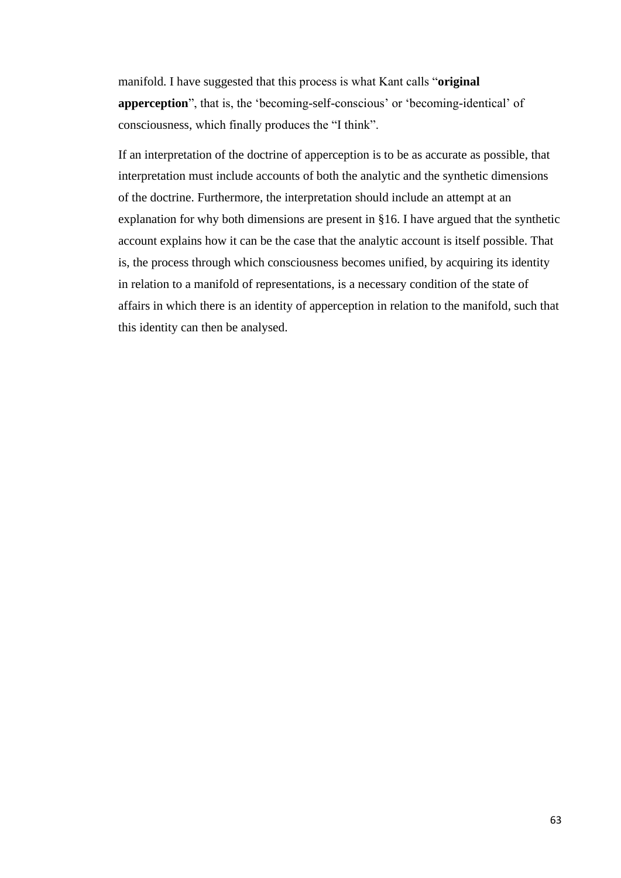manifold. I have suggested that this process is what Kant calls "**original apperception**", that is, the 'becoming-self-conscious' or 'becoming-identical' of consciousness, which finally produces the "I think".

If an interpretation of the doctrine of apperception is to be as accurate as possible, that interpretation must include accounts of both the analytic and the synthetic dimensions of the doctrine. Furthermore, the interpretation should include an attempt at an explanation for why both dimensions are present in §16. I have argued that the synthetic account explains how it can be the case that the analytic account is itself possible. That is, the process through which consciousness becomes unified, by acquiring its identity in relation to a manifold of representations, is a necessary condition of the state of affairs in which there is an identity of apperception in relation to the manifold, such that this identity can then be analysed.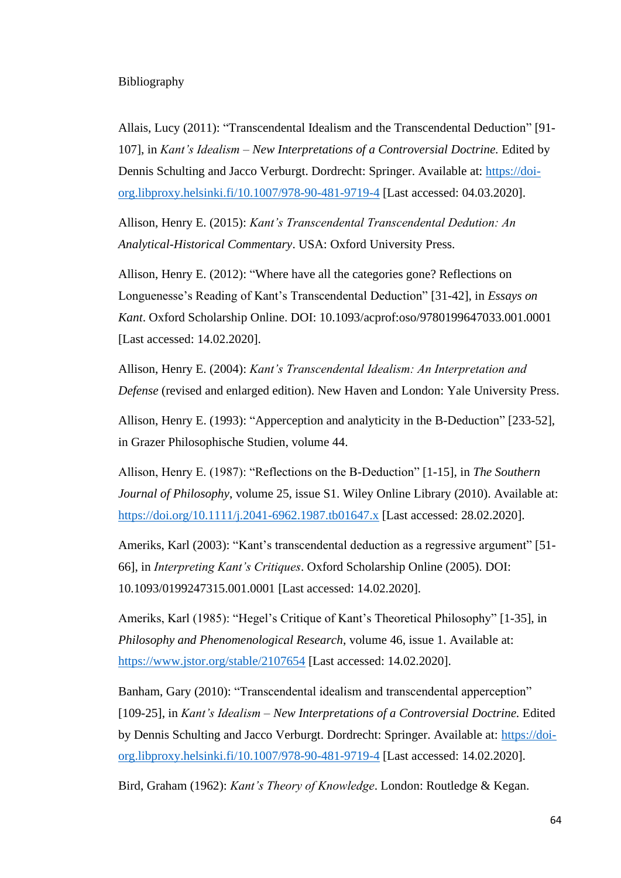# Bibliography

Allais, Lucy (2011): "Transcendental Idealism and the Transcendental Deduction" [91- 107], in *Kant's Idealism – New Interpretations of a Controversial Doctrine.* Edited by Dennis Schulting and Jacco Verburgt. Dordrecht: Springer. Available at: [https://doi](https://doi-org.libproxy.helsinki.fi/10.1007/978-90-481-9719-4)[org.libproxy.helsinki.fi/10.1007/978-90-481-9719-4](https://doi-org.libproxy.helsinki.fi/10.1007/978-90-481-9719-4) [Last accessed: 04.03.2020].

Allison, Henry E. (2015): *Kant's Transcendental Transcendental Dedution: An Analytical-Historical Commentary*. USA: Oxford University Press.

Allison, Henry E. (2012): "Where have all the categories gone? Reflections on Longuenesse's Reading of Kant's Transcendental Deduction" [31-42], in *Essays on Kant*. Oxford Scholarship Online. DOI: 10.1093/acprof:oso/9780199647033.001.0001 [Last accessed: 14.02.2020].

Allison, Henry E. (2004): *Kant's Transcendental Idealism: An Interpretation and Defense* (revised and enlarged edition). New Haven and London: Yale University Press.

Allison, Henry E. (1993): "Apperception and analyticity in the B-Deduction" [233-52], in Grazer Philosophische Studien, volume 44.

Allison, Henry E. (1987): "Reflections on the B-Deduction" [1-15], in *The Southern Journal of Philosophy*, volume 25, issue S1. Wiley Online Library (2010). Available at: <https://doi.org/10.1111/j.2041-6962.1987.tb01647.x> [Last accessed: 28.02.2020].

Ameriks, Karl (2003): "Kant's transcendental deduction as a regressive argument" [51- 66], in *Interpreting Kant's Critiques*. Oxford Scholarship Online (2005). DOI: 10.1093/0199247315.001.0001 [Last accessed: 14.02.2020].

Ameriks, Karl (1985): "Hegel's Critique of Kant's Theoretical Philosophy" [1-35], in *Philosophy and Phenomenological Research*, volume 46, issue 1. Available at: <https://www.jstor.org/stable/2107654> [Last accessed: 14.02.2020].

Banham, Gary (2010): "Transcendental idealism and transcendental apperception" [109-25], in *Kant's Idealism – New Interpretations of a Controversial Doctrine.* Edited by Dennis Schulting and Jacco Verburgt. Dordrecht: Springer. Available at: [https://doi](https://doi-org.libproxy.helsinki.fi/10.1007/978-90-481-9719-4)[org.libproxy.helsinki.fi/10.1007/978-90-481-9719-4](https://doi-org.libproxy.helsinki.fi/10.1007/978-90-481-9719-4) [Last accessed: 14.02.2020].

Bird, Graham (1962): *Kant's Theory of Knowledge*. London: Routledge & Kegan.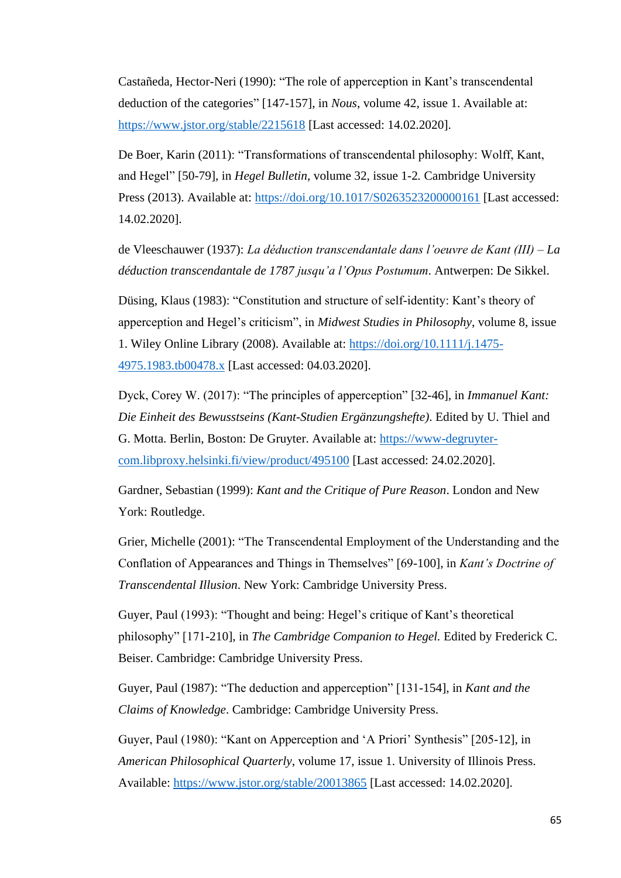Castañeda, Hector-Neri (1990): "The role of apperception in Kant's transcendental deduction of the categories" [147-157], in *Nous*, volume 42, issue 1. Available at: <https://www.jstor.org/stable/2215618> [Last accessed: 14.02.2020].

De Boer, Karin (2011): "Transformations of transcendental philosophy: Wolff, Kant, and Hegel" [50-79], in *Hegel Bulletin*, volume 32, issue 1-2*.* Cambridge University Press (2013). Available at:<https://doi.org/10.1017/S0263523200000161> [Last accessed: 14.02.2020].

de Vleeschauwer (1937): *La déduction transcendantale dans l'oeuvre de Kant (III) – La déduction transcendantale de 1787 jusqu'a l'Opus Postumum*. Antwerpen: De Sikkel.

Düsing, Klaus (1983): "Constitution and structure of self-identity: Kant's theory of apperception and Hegel's criticism", in *Midwest Studies in Philosophy*, volume 8, issue 1. Wiley Online Library (2008). Available at: [https://doi.org/10.1111/j.1475-](https://doi.org/10.1111/j.1475-4975.1983.tb00478.x) [4975.1983.tb00478.x](https://doi.org/10.1111/j.1475-4975.1983.tb00478.x) [Last accessed: 04.03.2020].

Dyck, Corey W. (2017): "The principles of apperception" [32-46], in *Immanuel Kant: Die Einheit des Bewusstseins (Kant-Studien Ergänzungshefte)*. Edited by U. Thiel and G. Motta. Berlin, Boston: De Gruyter. Available at: [https://www-degruyter](https://www-degruyter-com.libproxy.helsinki.fi/view/product/495100)[com.libproxy.helsinki.fi/view/product/495100](https://www-degruyter-com.libproxy.helsinki.fi/view/product/495100) [Last accessed: 24.02.2020].

Gardner, Sebastian (1999): *Kant and the Critique of Pure Reason*. London and New York: Routledge.

Grier, Michelle (2001): "The Transcendental Employment of the Understanding and the Conflation of Appearances and Things in Themselves" [69-100], in *Kant's Doctrine of Transcendental Illusion*. New York: Cambridge University Press.

Guyer, Paul (1993): "Thought and being: Hegel's critique of Kant's theoretical philosophy" [171-210], in *The Cambridge Companion to Hegel.* Edited by Frederick C. Beiser. Cambridge: Cambridge University Press.

Guyer, Paul (1987): "The deduction and apperception" [131-154], in *Kant and the Claims of Knowledge*. Cambridge: Cambridge University Press.

Guyer, Paul (1980): "Kant on Apperception and 'A Priori' Synthesis" [205-12], in *American Philosophical Quarterly*, volume 17, issue 1. University of Illinois Press. Available:<https://www.jstor.org/stable/20013865> [Last accessed: 14.02.2020].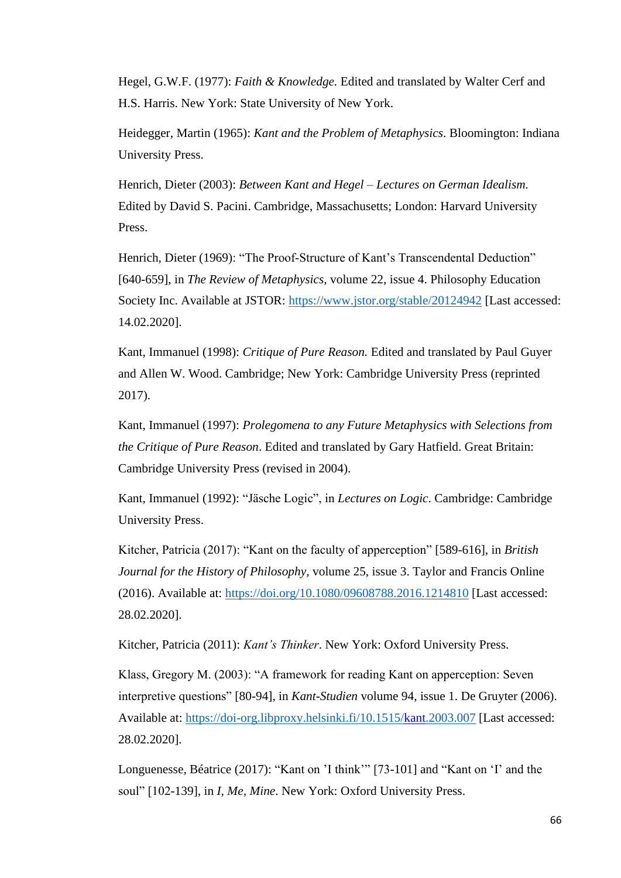Hegel, G.W.F. (1977): *Faith & Knowledge.* Edited and translated by Walter Cerf and H.S. Harris. New York: State University of New York.

Heidegger, Martin (1965): *Kant and the Problem of Metaphysics*. Bloomington: Indiana University Press.

Henrich, Dieter (2003): *Between Kant and Hegel – Lectures on German Idealism.*  Edited by David S. Pacini. Cambridge, Massachusetts; London: Harvard University Press.

Henrich, Dieter (1969): "The Proof-Structure of Kant's Transcendental Deduction" [640-659], in *The Review of Metaphysics,* volume 22, issue 4. Philosophy Education Society Inc. Available at JSTOR:<https://www.jstor.org/stable/20124942> [Last accessed: 14.02.2020].

Kant, Immanuel (1998): *Critique of Pure Reason.* Edited and translated by Paul Guyer and Allen W. Wood. Cambridge; New York: Cambridge University Press (reprinted 2017).

Kant, Immanuel (1997): *Prolegomena to any Future Metaphysics with Selections from the Critique of Pure Reason*. Edited and translated by Gary Hatfield. Great Britain: Cambridge University Press (revised in 2004).

Kant, Immanuel (1992): "Jäsche Logic", in *Lectures on Logic*. Cambridge: Cambridge University Press.

Kitcher, Patricia (2017): "Kant on the faculty of apperception" [589-616], in *British Journal for the History of Philosophy*, volume 25, issue 3. Taylor and Francis Online (2016). Available at:<https://doi.org/10.1080/09608788.2016.1214810> [Last accessed: 28.02.2020].

Kitcher, Patricia (2011): *Kant's Thinker*. New York: Oxford University Press.

Klass, Gregory M. (2003): "A framework for reading Kant on apperception: Seven interpretive questions" [80-94], in *Kant-Studien* volume 94, issue 1. De Gruyter (2006). Available at:<https://doi-org.libproxy.helsinki.fi/10.1515/kant.2003.007> [Last accessed: 28.02.2020].

Longuenesse, Béatrice (2017): "Kant on 'I think'" [73-101] and "Kant on 'I' and the soul" [102-139], in *I, Me, Mine*. New York: Oxford University Press.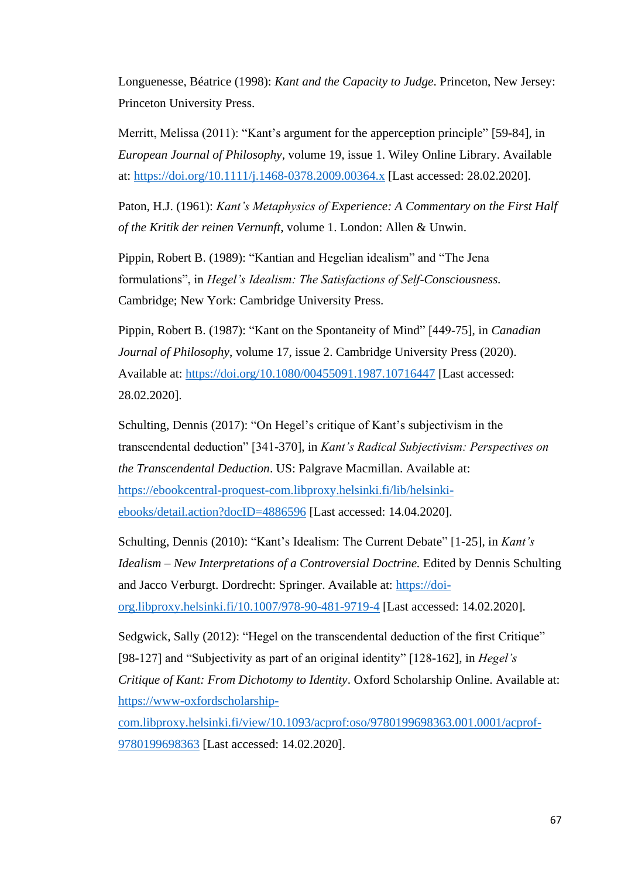Longuenesse, Béatrice (1998): *Kant and the Capacity to Judge*. Princeton, New Jersey: Princeton University Press.

Merritt, Melissa (2011): "Kant's argument for the apperception principle" [59-84], in *European Journal of Philosophy*, volume 19, issue 1. Wiley Online Library. Available at: <https://doi.org/10.1111/j.1468-0378.2009.00364.x> [Last accessed: 28.02.2020].

Paton, H.J. (1961): *Kant's Metaphysics of Experience: A Commentary on the First Half of the Kritik der reinen Vernunft*, volume 1. London: Allen & Unwin.

Pippin, Robert B. (1989): "Kantian and Hegelian idealism" and "The Jena formulations", in *Hegel's Idealism: The Satisfactions of Self-Consciousness.*  Cambridge; New York: Cambridge University Press.

Pippin, Robert B. (1987): "Kant on the Spontaneity of Mind" [449-75], in *Canadian Journal of Philosophy*, volume 17, issue 2. Cambridge University Press (2020). Available at:<https://doi.org/10.1080/00455091.1987.10716447> [Last accessed: 28.02.2020].

Schulting, Dennis (2017): "On Hegel's critique of Kant's subjectivism in the transcendental deduction" [341-370], in *Kant's Radical Subjectivism: Perspectives on the Transcendental Deduction*. US: Palgrave Macmillan. Available at: [https://ebookcentral-proquest-com.libproxy.helsinki.fi/lib/helsinki](https://ebookcentral-proquest-com.libproxy.helsinki.fi/lib/helsinki-ebooks/detail.action?docID=4886596)[ebooks/detail.action?docID=4886596](https://ebookcentral-proquest-com.libproxy.helsinki.fi/lib/helsinki-ebooks/detail.action?docID=4886596) [Last accessed: 14.04.2020].

Schulting, Dennis (2010): "Kant's Idealism: The Current Debate" [1-25], in *Kant's Idealism – New Interpretations of a Controversial Doctrine.* Edited by Dennis Schulting and Jacco Verburgt. Dordrecht: Springer. Available at: [https://doi](https://doi-org.libproxy.helsinki.fi/10.1007/978-90-481-9719-4)[org.libproxy.helsinki.fi/10.1007/978-90-481-9719-4](https://doi-org.libproxy.helsinki.fi/10.1007/978-90-481-9719-4) [Last accessed: 14.02.2020].

Sedgwick, Sally (2012): "Hegel on the transcendental deduction of the first Critique" [98-127] and "Subjectivity as part of an original identity" [128-162], in *Hegel's Critique of Kant: From Dichotomy to Identity*. Oxford Scholarship Online. Available at: [https://www-oxfordscholarship-](https://www-oxfordscholarship-com.libproxy.helsinki.fi/view/10.1093/acprof:oso/9780199698363.001.0001/acprof-9780199698363)

[com.libproxy.helsinki.fi/view/10.1093/acprof:oso/9780199698363.001.0001/acprof-](https://www-oxfordscholarship-com.libproxy.helsinki.fi/view/10.1093/acprof:oso/9780199698363.001.0001/acprof-9780199698363)[9780199698363](https://www-oxfordscholarship-com.libproxy.helsinki.fi/view/10.1093/acprof:oso/9780199698363.001.0001/acprof-9780199698363) [Last accessed: 14.02.2020].